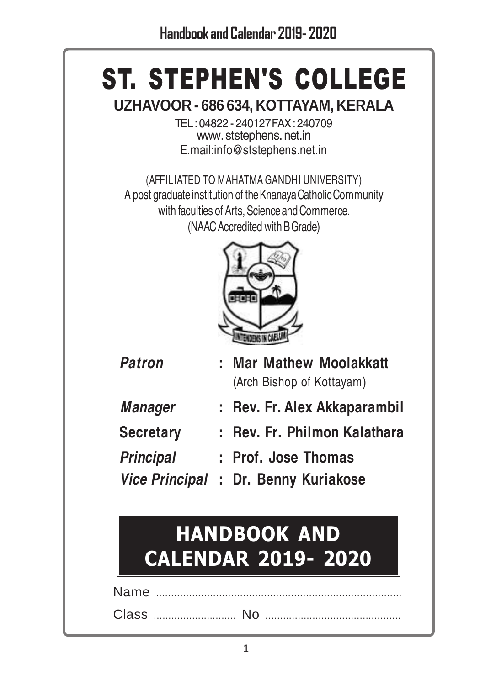# ST. STEPHEN'S COLLEGE

**UZHAVOOR - 686 634, KOTTAYAM, KERALA**

TEL : 04822 - 240127 FAX : 240709 www. ststephens. net.in E.mail:info@ststephens.net.in

(AFFILIATED TO MAHATMA GANDHI UNIVERSITY) A post graduate institution of the Knanaya Catholic Community with faculties of Arts, Science and Commerce. (NAAC Accredited with B Grade)



| <b>Patron</b>    | : Mar Mathew Moolakkatt              |
|------------------|--------------------------------------|
|                  | (Arch Bishop of Kottayam)            |
| <b>Manager</b>   | : Rev. Fr. Alex Akkaparambil         |
| <b>Secretary</b> | : Rev. Fr. Philmon Kalathara         |
| <b>Principal</b> | : Prof. Jose Thomas                  |
|                  | Vice Principal : Dr. Benny Kuriakose |

# HANDBOOK AND CALENDAR 2019- 2020

Name ... Class ............................ No ..............................................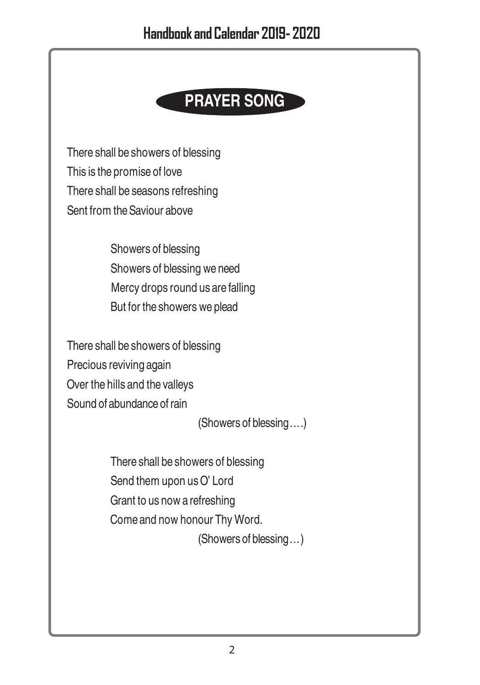# **PRAYER SONG**

There shall be showers of blessing This is the promise of love There shall be seasons refreshing Sent from the Saviour above

> Showers of blessing Showers of blessing we need Mercy drops round us are falling But for the showers we plead

There shall be showers of blessing Precious reviving again Over the hills and the valleys Sound of abundance of rain

(Showers of blessing….)

There shall be showers of blessing Send them upon us O' Lord Grant to us now a refreshing Come and now honour Thy Word. (Showers of blessing…)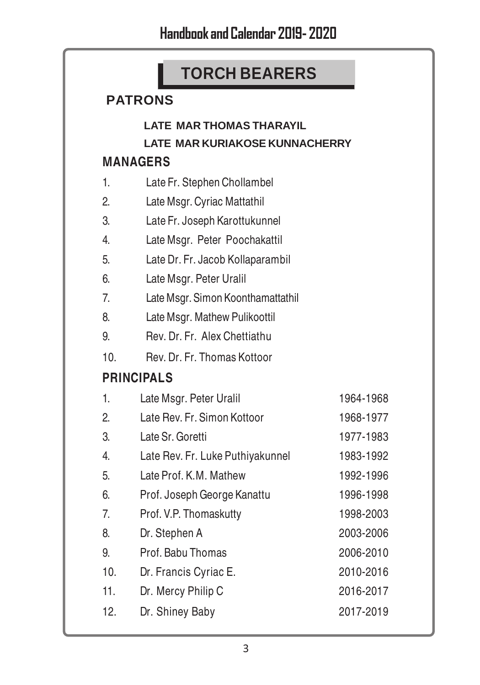# **TORCH BEARERS**

### **PATRONS**

### **LATE MAR THOMAS THARAYIL**

**LATE MAR KURIAKOSE KUNNACHERRY**

### **MANAGERS**

| 1.  | Late Fr. Stephen Chollambel       |           |
|-----|-----------------------------------|-----------|
| 2.  | Late Msgr. Cyriac Mattathil       |           |
| 3.  | Late Fr. Joseph Karottukunnel     |           |
| 4.  | Late Msgr. Peter Poochakattil     |           |
| 5.  | Late Dr. Fr. Jacob Kollaparambil  |           |
| 6.  | Late Msgr. Peter Uralil           |           |
| 7.  | Late Msgr. Simon Koonthamattathil |           |
| 8.  | Late Msgr. Mathew Pulikoottil     |           |
| 9.  | Rev. Dr. Fr. Alex Chettiathu      |           |
| 10. | Rev. Dr. Fr. Thomas Kottoor       |           |
|     | <b>PRINCIPALS</b>                 |           |
| 1.  | Late Msgr. Peter Uralil           | 1964-1968 |
| 2.  | Late Rev. Fr. Simon Kottoor       | 1968-1977 |
| 3.  | Late Sr. Goretti                  | 1977-1983 |
| 4.  | Late Rev. Fr. Luke Puthiyakunnel  | 1983-1992 |
| 5.  | Late Prof. K.M. Mathew            | 1992-1996 |
| 6.  | Prof. Joseph George Kanattu       | 1996-1998 |
| 7.  | Prof. V.P. Thomaskutty            | 1998-2003 |
| 8.  | Dr. Stephen A                     | 2003-2006 |
| 9.  | Prof. Babu Thomas                 | 2006-2010 |
| 10. | Dr. Francis Cyriac E.             | 2010-2016 |
| 11. | Dr. Mercy Philip C                | 2016-2017 |
| 12. | Dr. Shiney Baby                   | 2017-2019 |
|     |                                   |           |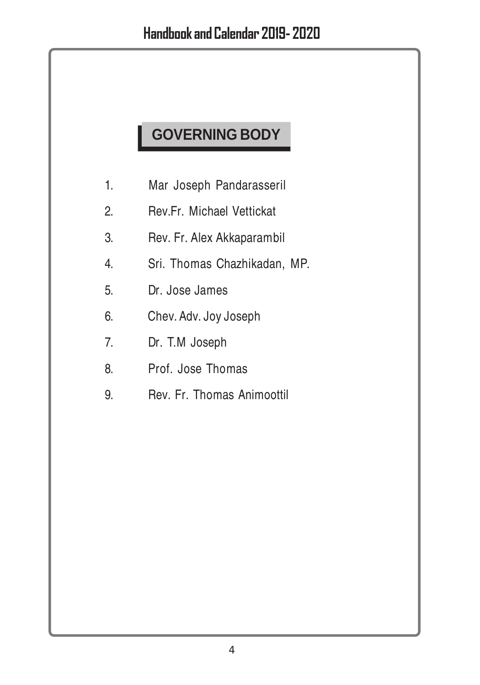# **GOVERNING BODY**

- 1. Mar Joseph Pandarasseril
- 2. Rev.Fr. Michael Vettickat
- 3. Rev. Fr. Alex Akkaparambil
- 4. Sri. Thomas Chazhikadan, MP.
- 5. Dr. Jose James
- 6. Chev. Adv. Joy Joseph
- 7. Dr. T.M Joseph
- 8. Prof. Jose Thomas
- 9. Rev. Fr. Thomas Animoottil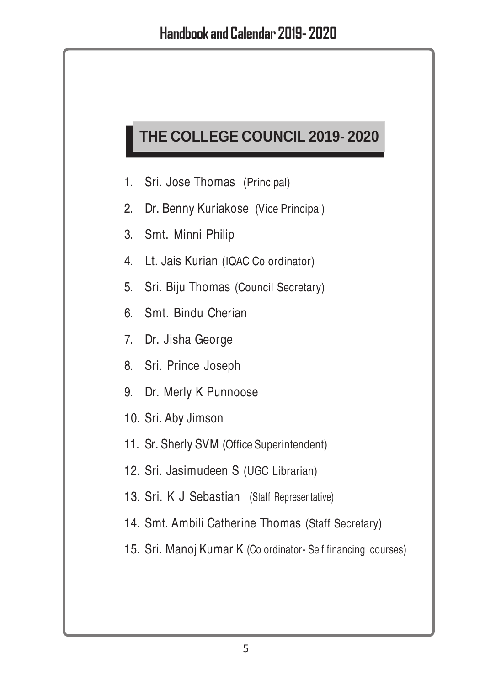# **THE COLLEGE COUNCIL 2019- 2020**

- 1. Sri. Jose Thomas (Principal)
- 2. Dr. Benny Kuriakose (Vice Principal)
- 3. Smt. Minni Philip
- 4. Lt. Jais Kurian (IQAC Co ordinator)
- 5. Sri. Biju Thomas (Council Secretary)
- 6. Smt. Bindu Cherian
- 7. Dr. Jisha George
- 8. Sri. Prince Joseph
- 9. Dr. Merly K Punnoose
- 10. Sri. Aby Jimson
- 11. Sr. Sherly SVM (Office Superintendent)
- 12. Sri. Jasimudeen S (UGC Librarian)
- 13. Sri. K J Sebastian (Staff Representative)
- 14. Smt. Ambili Catherine Thomas (Staff Secretary)
- 15. Sri. Manoj Kumar K (Co ordinator- Self financing courses)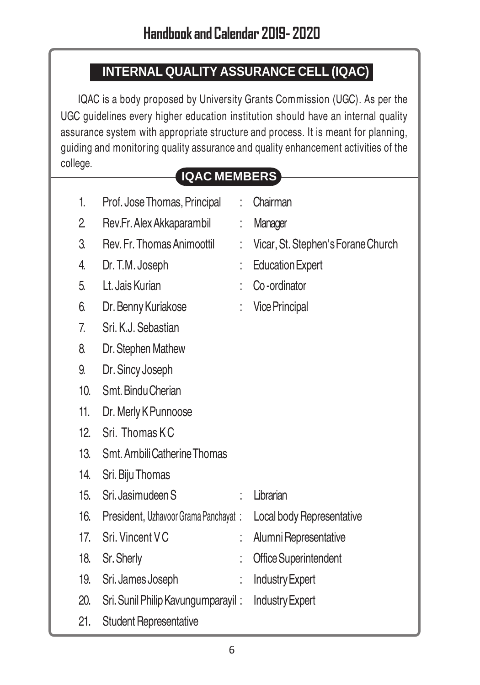### **INTERNAL QUALITY ASSURANCE CELL (IQAC)**

IQAC is a body proposed by University Grants Commission (UGC). As per the UGC guidelines every higher education institution should have an internal quality assurance system with appropriate structure and process. It is meant for planning, guiding and monitoring quality assurance and quality enhancement activities of the college.

### **IQAC MEMBERS**

| 1.  | Prof. Jose Thomas, Principal         | $\ddot{\cdot}$       | Chairman                           |
|-----|--------------------------------------|----------------------|------------------------------------|
| 2   | Rev.Fr. Alex Akkaparambil            | t                    | Manager                            |
| 3.  | Rev. Fr. Thomas Animoottil           |                      | Vicar, St. Stephen's Forane Church |
| 4.  | Dr. T.M. Joseph                      |                      | <b>Education Expert</b>            |
| 5.  | Lt. Jais Kurian                      | $\ddot{\phantom{0}}$ | Co-ordinator                       |
| 6.  | Dr. Benny Kuriakose                  |                      | <b>Vice Principal</b>              |
| 7.  | Sri, K.J. Sebastian                  |                      |                                    |
| 8.  | Dr. Stephen Mathew                   |                      |                                    |
| 9.  | Dr. Sincy Joseph                     |                      |                                    |
| 10. | Smt. Bindu Cherian                   |                      |                                    |
| 11. | Dr. Merly K Punnoose                 |                      |                                    |
| 12. | Sri. Thomas KC                       |                      |                                    |
| 13. | Smt. Ambili Catherine Thomas         |                      |                                    |
| 14. | Sri. Biju Thomas                     |                      |                                    |
| 15. | Sri, Jasimudeen S                    | t                    | Librarian                          |
| 16. | President, Uzhavoor Grama Panchayat: |                      | Local body Representative          |
| 17. | Sri. Vincent VC                      | ÷.                   | Alumni Representative              |
| 18. | Sr. Sherly                           | İ                    | <b>Office Superintendent</b>       |
| 19. | Sri. James Joseph                    | t.                   | <b>Industry Expert</b>             |
| 20. | Sri. Sunil Philip Kavungumparayil:   |                      | <b>Industry Expert</b>             |
|     |                                      |                      |                                    |

21. Student Representative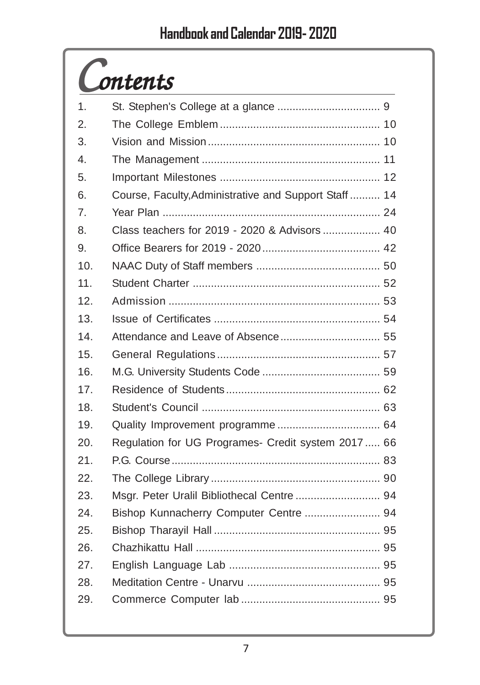# *Contents*

| 1.               |                                                       |
|------------------|-------------------------------------------------------|
| 2.               |                                                       |
| 3.               |                                                       |
| $\overline{4}$ . |                                                       |
| 5.               |                                                       |
| 6.               | Course, Faculty, Administrative and Support Staff  14 |
| 7.               |                                                       |
| 8.               | Class teachers for 2019 - 2020 & Advisors  40         |
| 9.               |                                                       |
| 10.              |                                                       |
| 11.              |                                                       |
| 12.              |                                                       |
| 13.              |                                                       |
| 14.              |                                                       |
| 15.              |                                                       |
| 16.              |                                                       |
| 17.              |                                                       |
| 18.              |                                                       |
| 19.              |                                                       |
| 20.              | Regulation for UG Programes- Credit system 2017 66    |
| 21.              |                                                       |
| 22.              |                                                       |
| 23.              | Msgr. Peter Uralil Bibliothecal Centre  94            |
| 24.              | Bishop Kunnacherry Computer Centre  94                |
| 25.              |                                                       |
| 26.              |                                                       |
| 27.              |                                                       |
| 28.              |                                                       |
| 29.              |                                                       |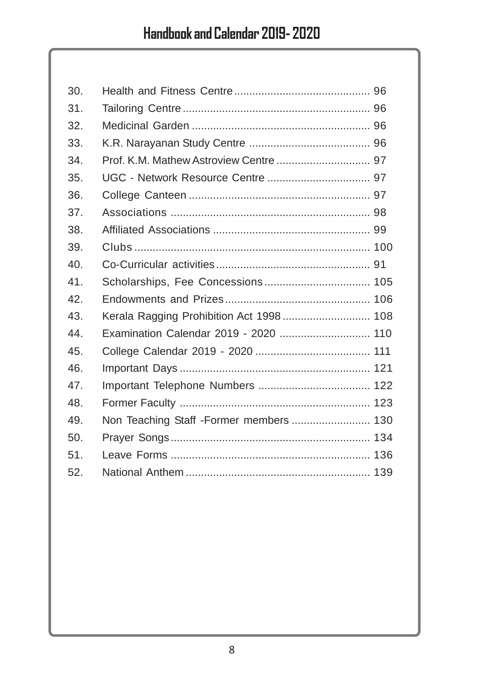| 30.             |                                          |  |
|-----------------|------------------------------------------|--|
| 31.             |                                          |  |
| 32.             |                                          |  |
| 33.             |                                          |  |
| 34.             | Prof. K.M. Mathew Astroview Centre  97   |  |
| 35.             |                                          |  |
| 36.             |                                          |  |
| 37.             |                                          |  |
| 38.             |                                          |  |
| 39.             |                                          |  |
| 40 <sub>1</sub> |                                          |  |
| 41.             |                                          |  |
| 42.             |                                          |  |
| 43.             | Kerala Ragging Prohibition Act 1998  108 |  |
| 44.             | Examination Calendar 2019 - 2020  110    |  |
| 45.             |                                          |  |
| 46.             |                                          |  |
| 47.             |                                          |  |
| 48.             |                                          |  |
| 49.             | Non Teaching Staff -Former members  130  |  |
| 50.             |                                          |  |
| 51.             |                                          |  |
| 52.             |                                          |  |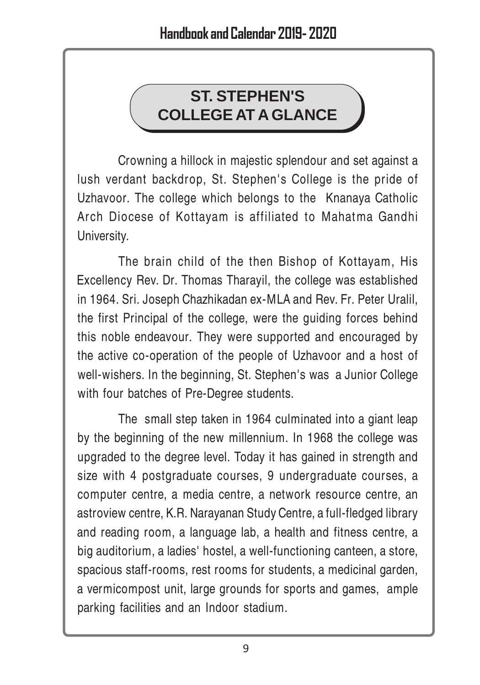# **ST. STEPHEN'S COLLEGE AT A GLANCE**

Crowning a hillock in majestic splendour and set against a lush verdant backdrop, St. Stephen's College is the pride of Uzhavoor. The college which belongs to the Knanaya Catholic Arch Diocese of Kottayam is affiliated to Mahatma Gandhi University.

The brain child of the then Bishop of Kottayam, His Excellency Rev. Dr. Thomas Tharayil, the college was established in 1964. Sri. Joseph Chazhikadan ex-MLA and Rev. Fr. Peter Uralil, the first Principal of the college, were the guiding forces behind this noble endeavour. They were supported and encouraged by the active co-operation of the people of Uzhavoor and a host of well-wishers. In the beginning, St. Stephen's was a Junior College with four batches of Pre-Degree students.

The small step taken in 1964 culminated into a giant leap by the beginning of the new millennium. In 1968 the college was upgraded to the degree level. Today it has gained in strength and size with 4 postgraduate courses, 9 undergraduate courses, a computer centre, a media centre, a network resource centre, an astroview centre, K.R. Narayanan Study Centre, a full-fledged library and reading room, a language lab, a health and fitness centre, a big auditorium, a ladies' hostel, a well-functioning canteen, a store, spacious staff-rooms, rest rooms for students, a medicinal garden, a vermicompost unit, large grounds for sports and games, ample parking facilities and an Indoor stadium.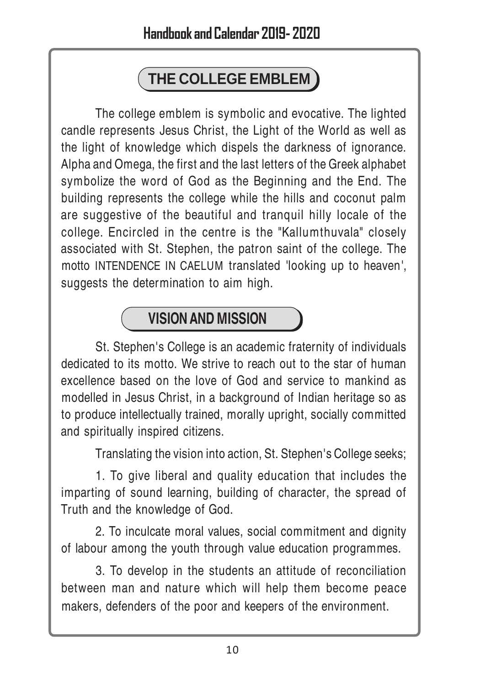# **THE COLLEGE EMBLEM**

The college emblem is symbolic and evocative. The lighted candle represents Jesus Christ, the Light of the World as well as the light of knowledge which dispels the darkness of ignorance. Alpha and Omega, the first and the last letters of the Greek alphabet symbolize the word of God as the Beginning and the End. The building represents the college while the hills and coconut palm are suggestive of the beautiful and tranquil hilly locale of the college. Encircled in the centre is the "Kallumthuvala" closely associated with St. Stephen, the patron saint of the college. The motto INTENDENCE IN CAELUM translated 'looking up to heaven', suggests the determination to aim high.

# **VISION AND MISSION**

St. Stephen's College is an academic fraternity of individuals dedicated to its motto. We strive to reach out to the star of human excellence based on the love of God and service to mankind as modelled in Jesus Christ, in a background of Indian heritage so as to produce intellectually trained, morally upright, socially committed and spiritually inspired citizens.

Translating the vision into action, St. Stephen's College seeks;

1. To give liberal and quality education that includes the imparting of sound learning, building of character, the spread of Truth and the knowledge of God.

2. To inculcate moral values, social commitment and dignity of labour among the youth through value education programmes.

3. To develop in the students an attitude of reconciliation between man and nature which will help them become peace makers, defenders of the poor and keepers of the environment.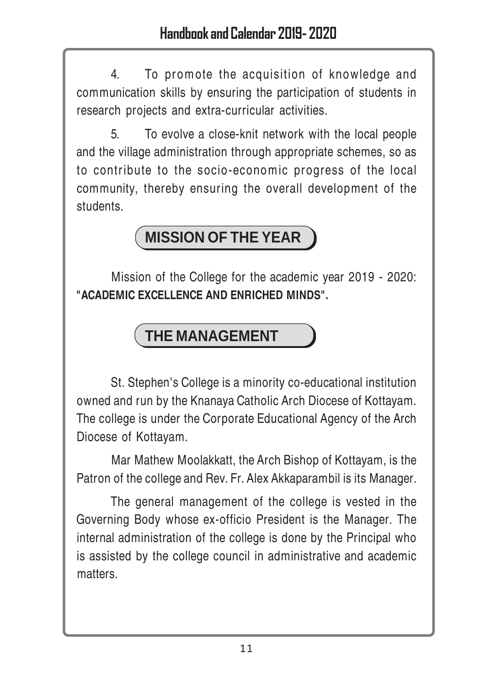4. To promote the acquisition of knowledge and communication skills by ensuring the participation of students in research projects and extra-curricular activities.

5. To evolve a close-knit network with the local people and the village administration through appropriate schemes, so as to contribute to the socio-economic progress of the local community, thereby ensuring the overall development of the students.

# **MISSION OF THE YEAR**

Mission of the College for the academic year 2019 - 2020: **"ACADEMIC EXCELLENCE AND ENRICHED MINDS".**

# **THE MANAGEMENT**

St. Stephen's College is a minority co-educational institution owned and run by the Knanaya Catholic Arch Diocese of Kottayam. The college is under the Corporate Educational Agency of the Arch Diocese of Kottayam.

Mar Mathew Moolakkatt, the Arch Bishop of Kottayam, is the Patron of the college and Rev. Fr. Alex Akkaparambil is its Manager.

The general management of the college is vested in the Governing Body whose ex-officio President is the Manager. The internal administration of the college is done by the Principal who is assisted by the college council in administrative and academic matters.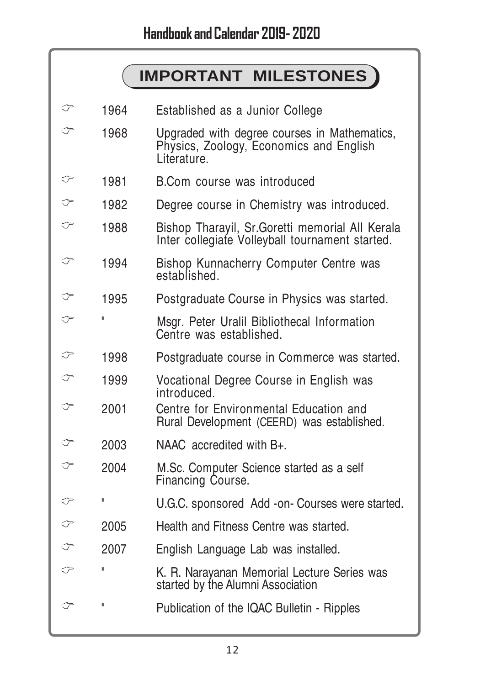# **IMPORTANT MILESTONES**

| ℺ | 1964         | Established as a Junior College                                                                        |
|---|--------------|--------------------------------------------------------------------------------------------------------|
| ⇔ | 1968         | Upgraded with degree courses in Mathematics,<br>Physics, Zoology, Economics and English<br>Literature. |
| ℺ | 1981         | B.Com course was introduced                                                                            |
| ⇐ | 1982         | Degree course in Chemistry was introduced.                                                             |
| ⇔ | 1988         | Bishop Tharayil, Sr. Goretti memorial All Kerala<br>Inter collegiate Volleyball tournament started.    |
| ℺ | 1994         | Bishop Kunnacherry Computer Centre was<br>established.                                                 |
| ⇔ | 1995         | Postgraduate Course in Physics was started.                                                            |
| ℺ | П            | Msgr. Peter Uralil Bibliothecal Information<br>Centre was established.                                 |
| ℺ | 1998         | Postgraduate course in Commerce was started.                                                           |
| ♡ | 1999         | Vocational Degree Course in English was<br>introduced.                                                 |
| ℺ | 2001         | Centre for Environmental Education and<br>Rural Development (CEERD) was established.                   |
| ⇔ | 2003         | NAAC accredited with B+.                                                                               |
| ⇔ | 2004         | M.Sc. Computer Science started as a self<br>Financing Course.                                          |
| ⇔ | П            | U.G.C. sponsored Add -on- Courses were started.                                                        |
| ℺ | 2005         | Health and Fitness Centre was started.                                                                 |
| ℺ | 2007         | English Language Lab was installed.                                                                    |
| ℺ | П            | K. R. Narayanan Memorial Lecture Series was<br>started by the Alumni Association                       |
| ℺ | $\mathbf{I}$ | Publication of the IQAC Bulletin - Ripples                                                             |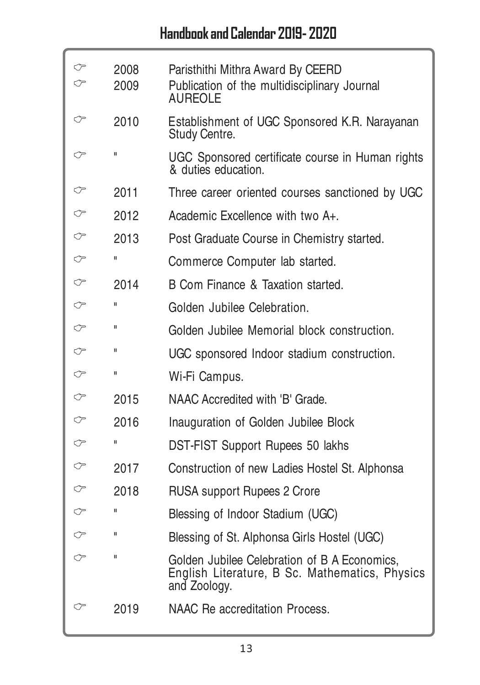| ⇔ | 2008<br>2009 | Paristhithi Mithra Award By CEERD<br>Publication of the multidisciplinary Journal<br><b>AUREOLE</b>            |
|---|--------------|----------------------------------------------------------------------------------------------------------------|
| ℺ | 2010         | Establishment of UGC Sponsored K.R. Narayanan<br>Study Centre.                                                 |
| ⇐ | $\mathbf{u}$ | UGC Sponsored certificate course in Human rights<br>& duties education.                                        |
| ℺ | 2011         | Three career oriented courses sanctioned by UGC                                                                |
|   | 2012         | Academic Excellence with two A+.                                                                               |
| ⇔ | 2013         | Post Graduate Course in Chemistry started.                                                                     |
|   | Ш            | Commerce Computer lab started.                                                                                 |
| ♡ | 2014         | B Com Finance & Taxation started.                                                                              |
| ⇐ | Ш            | Golden Jubilee Celebration.                                                                                    |
| ♡ | $\mathbf{u}$ | Golden Jubilee Memorial block construction.                                                                    |
| ⇐ | Ш            | UGC sponsored Indoor stadium construction.                                                                     |
| ⇔ | Ш            | Wi-Fi Campus.                                                                                                  |
| ♡ | 2015         | NAAC Accredited with 'B' Grade.                                                                                |
| ℺ | 2016         | Inauguration of Golden Jubilee Block                                                                           |
|   | Ш            | DST-FIST Support Rupees 50 lakhs                                                                               |
| ℺ | 2017         | Construction of new Ladies Hostel St. Alphonsa                                                                 |
|   | 2018         | <b>RUSA</b> support Rupees 2 Crore                                                                             |
| ℺ | Ш            | Blessing of Indoor Stadium (UGC)                                                                               |
|   | Ш            | Blessing of St. Alphonsa Girls Hostel (UGC)                                                                    |
| ⇔ | П            | Golden Jubilee Celebration of B A Economics,<br>English Literature, B Sc. Mathematics, Physics<br>and Zoology. |
| ℺ | 2019         | NAAC Re accreditation Process.                                                                                 |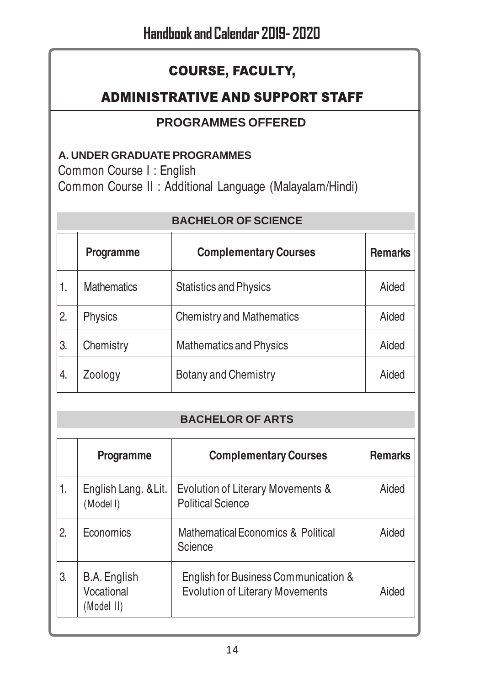### COURSE, FACULTY,

### ADMINISTRATIVE AND SUPPORT STAFF

### **PROGRAMMES OFFERED**

### **A. UNDER GRADUATE PROGRAMMES**

Common Course I : English

Common Course II : Additional Language (Malayalam/Hindi)

#### **BACHELOR OF SCIENCE**

|    | Programme          | <b>Complementary Courses</b>     | <b>Remarks</b> |
|----|--------------------|----------------------------------|----------------|
| 1. | <b>Mathematics</b> | <b>Statistics and Physics</b>    | Aided          |
| 2. | Physics            | <b>Chemistry and Mathematics</b> | Aided          |
| 3. | Chemistry          | <b>Mathematics and Physics</b>   | Aided          |
| 4. | Zoology            | Botany and Chemistry             | Aided          |

#### **BACHELOR OF ARTS**

|    | Programme                                | <b>Complementary Courses</b>                                                   | <b>Remarks</b> |
|----|------------------------------------------|--------------------------------------------------------------------------------|----------------|
| 1. | English Lang. & Lit.<br>(Model I)        | Evolution of Literary Movements &<br><b>Political Science</b>                  | Aided          |
| 2. | Economics                                | Mathematical Economics & Political<br>Science                                  | Aided          |
| 3. | B.A. English<br>Vocational<br>(Model II) | English for Business Communication &<br><b>Evolution of Literary Movements</b> | Aided          |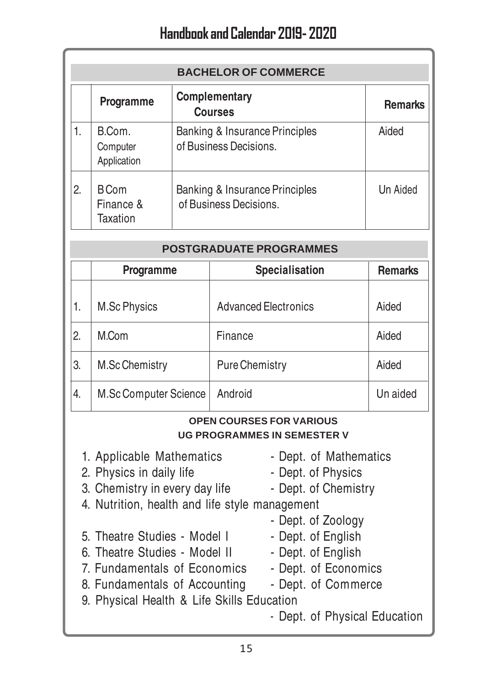|    | <b>BACHELOR OF COMMERCE</b>          |                                                          |                |  |  |
|----|--------------------------------------|----------------------------------------------------------|----------------|--|--|
|    | Programme                            | <b>Complementary</b><br><b>Courses</b>                   | <b>Remarks</b> |  |  |
| 1. | B.Com.<br>Computer<br>Application    | Banking & Insurance Principles<br>of Business Decisions. | Aided          |  |  |
| 2. | <b>BCom</b><br>Finance &<br>Taxation | Banking & Insurance Principles<br>of Business Decisions. | Un Aided       |  |  |

| <b>POSTGRADUATE PROGRAMMES</b> |                                               |                             |          |  |  |  |
|--------------------------------|-----------------------------------------------|-----------------------------|----------|--|--|--|
|                                | Specialisation<br>Programme<br><b>Remarks</b> |                             |          |  |  |  |
| 1.                             | M.Sc Physics                                  | <b>Advanced Electronics</b> | Aided    |  |  |  |
| 2.                             | M.Com                                         | Finance                     | Aided    |  |  |  |
| 3.                             | M.Sc Chemistry                                | <b>Pure Chemistry</b>       | Aided    |  |  |  |
| 4.                             | M.Sc Computer Science                         | Android                     | Un aided |  |  |  |

#### **OPEN COURSES FOR VARIOUS UG PROGRAMMES IN SEMESTER V**

- 1. Applicable Mathematics Dept. of Mathematics
- 
- 2. Physics in daily life Dept. of Physics
- 
- 
- 3. Chemistry in every day life Dept. of Chemistry
- 4. Nutrition, health and life style management
	- Dept. of Zoology
- 5. Theatre Studies Model I Dept. of English
- 6. Theatre Studies Model II Dept. of English
- 7. Fundamentals of Economics Dept. of Economics
	-
- 8. Fundamentals of Accounting Dept. of Commerce
- 9. Physical Health & Life Skills Education
	- Dept. of Physical Education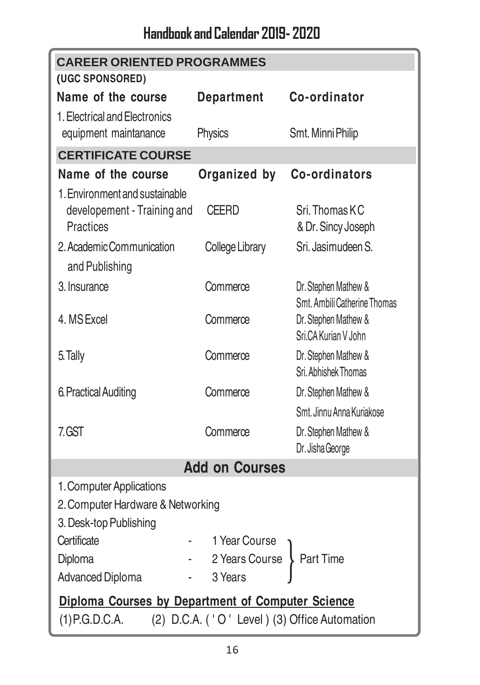| <b>CAREER ORIENTED PROGRAMMES</b>                                                                                     |                       |                                                      |  |  |  |
|-----------------------------------------------------------------------------------------------------------------------|-----------------------|------------------------------------------------------|--|--|--|
| (UGC SPONSORED)                                                                                                       |                       |                                                      |  |  |  |
| Name of the course                                                                                                    | <b>Department</b>     | Co-ordinator                                         |  |  |  |
| 1. Electrical and Electronics<br>equipment maintanance                                                                | Physics               | Smt. Minni Philip                                    |  |  |  |
| <b>CERTIFICATE COURSE</b>                                                                                             |                       |                                                      |  |  |  |
| Name of the course                                                                                                    | Organized by          | Co-ordinators                                        |  |  |  |
| 1. Environment and sustainable<br>developement - Training and<br>Practices                                            | <b>CEERD</b>          | Sri. Thomas KC<br>& Dr. Sincy Joseph                 |  |  |  |
| 2. Academic Communication<br>and Publishing                                                                           | College Library       | Sri. Jasimudeen S.                                   |  |  |  |
| 3. Insurance                                                                                                          | Commerce              | Dr. Stephen Mathew &<br>Smt. Ambili Catherine Thomas |  |  |  |
| 4. MS Excel                                                                                                           | Commerce              | Dr. Stephen Mathew &<br>Sri.CA Kurian V John         |  |  |  |
| 5. Tally                                                                                                              | Commerce              | Dr. Stephen Mathew &<br>Sri. Abhishek Thomas         |  |  |  |
| 6. Practical Auditing                                                                                                 | Commerce              | Dr. Stephen Mathew &                                 |  |  |  |
|                                                                                                                       |                       | Smt. Jinnu Anna Kuriakose                            |  |  |  |
| 7.GST                                                                                                                 | Commerce              | Dr. Stephen Mathew &<br>Dr. Jisha George             |  |  |  |
|                                                                                                                       | <b>Add on Courses</b> |                                                      |  |  |  |
| 1. Computer Applications<br>2. Computer Hardware & Networking<br>3. Desk-top Publishing                               |                       |                                                      |  |  |  |
| Certificate                                                                                                           | 1 Year Course         |                                                      |  |  |  |
| Diploma                                                                                                               | 2 Years Course        | Part Time                                            |  |  |  |
| Advanced Diploma                                                                                                      | 3 Years               |                                                      |  |  |  |
| Diploma Courses by Department of Computer Science<br>(2) D.C.A. ('O' Level) (3) Office Automation<br>$(1)$ P.G.D.C.A. |                       |                                                      |  |  |  |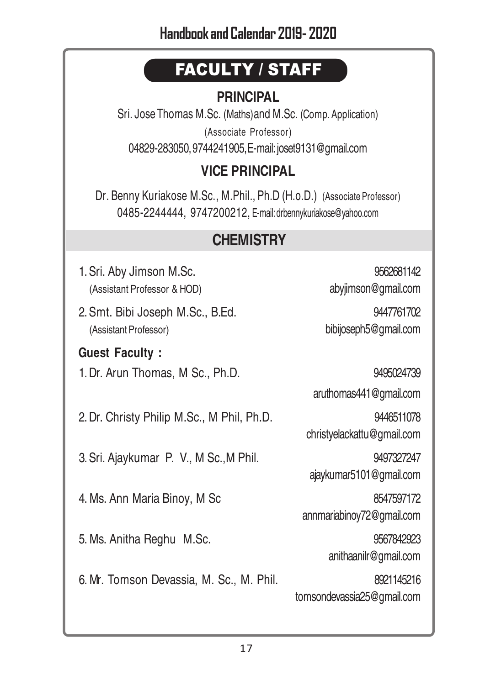# FACULTY / STAFF

### **PRINCIPAL**

Sri. Jose Thomas M.Sc. (Maths)and M.Sc. (Comp. Application) (Associate Professor) 04829-283050, 9744241905, E-mail: joset9131@gmail.com

### **VICE PRINCIPAL**

Dr. Benny Kuriakose M.Sc., M.Phil., Ph.D (H.o.D.) (Associate Professor) 0485-2244444, 9747200212, E-mail: drbennykuriakose@yahoo.com

# **CHEMISTRY**

1.Sri. Aby Jimson M.Sc. 9562681142 (Assistant Professor & HOD) abyjimson@gmail.com

2.Smt. Bibi Joseph M.Sc., B.Ed. 9447761702 (Assistant Professor) bibijoseph5@gmail.com

### **Guest Faculty :**

1.Dr. Arun Thomas, M Sc., Ph.D. 9495024739

2.Dr. Christy Philip M.Sc., M Phil, Ph.D. 9446511078

3.Sri. Ajaykumar P. V., M Sc.,M Phil. 9497327247

4. Ms. Ann Maria Binoy, M Sc 8547597172

5.Ms. Anitha Reghu M.Sc. 9567842923

6.Mr. Tomson Devassia, M. Sc., M. Phil. 8921145216

aruthomas441@gmail.com

christyelackattu@gmail.com

ajaykumar5101@gmail.com

annmariabinoy72@gmail.com

anithaanilr@gmail.com

tomsondevassia25@gmail.com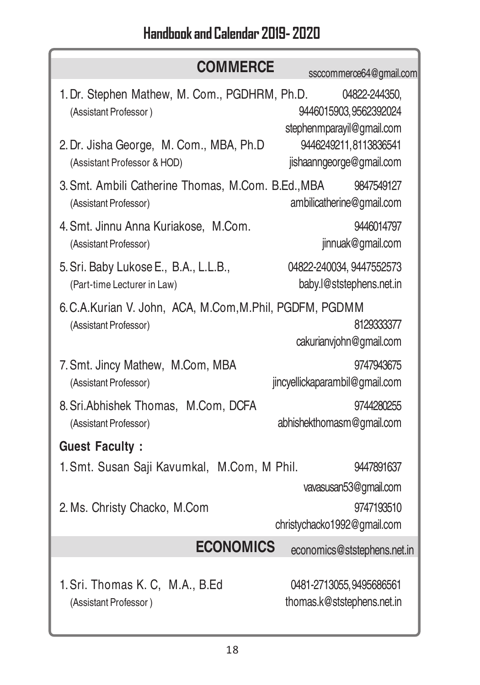| <b>COMMERCE</b>                                                        | ssccommerce64@gmail.com                                              |
|------------------------------------------------------------------------|----------------------------------------------------------------------|
| 1. Dr. Stephen Mathew, M. Com., PGDHRM, Ph.D.<br>(Assistant Professor) | 04822-244350,<br>9446015903, 9562392024<br>stephenmparayil@gmail.com |
| 2. Dr. Jisha George, M. Com., MBA, Ph.D                                | 9446249211,8113836541                                                |
| (Assistant Professor & HOD)                                            | jishaanngeorge@gmail.com                                             |
| 3. Smt. Ambili Catherine Thomas, M.Com. B.Ed., MBA                     | 9847549127                                                           |
| (Assistant Professor)                                                  | ambilicatherine@gmail.com                                            |
| 4. Smt. Jinnu Anna Kuriakose, M.Com.                                   | 9446014797                                                           |
| (Assistant Professor)                                                  | jinnuak@gmail.com                                                    |
| 5. Sri. Baby Lukose E., B.A., L.L.B.,                                  | 04822-240034, 9447552573                                             |
| (Part-time Lecturer in Law)                                            | baby.l@ststephens.net.in                                             |
| 6. C.A. Kurian V. John, ACA, M. Com, M. Phil, PGDFM, PGDMM             | 8129333377                                                           |
| (Assistant Professor)                                                  | cakurianvjohn@gmail.com                                              |
| 7. Smt. Jincy Mathew, M.Com, MBA                                       | 9747943675                                                           |
| (Assistant Professor)                                                  | jincyellickaparambil@gmail.com                                       |
| 8. Sri. Abhishek Thomas, M.Com, DCFA                                   | 9744280255                                                           |
| (Assistant Professor)                                                  | abhishekthomasm@gmail.com                                            |
| <b>Guest Faculty:</b>                                                  |                                                                      |
| 1. Smt. Susan Saji Kavumkal, M.Com, M Phil.                            | 9447891637                                                           |
|                                                                        | vavasusan53@gmail.com                                                |
| 2. Ms. Christy Chacko, M.Com                                           | 9747193510<br>christychacko1992@gmail.com                            |
| <b>ECONOMICS</b>                                                       | economics@ststephens.net.in                                          |
| 1. Sri. Thomas K. C, M.A., B.Ed                                        | 0481-2713055, 9495686561                                             |
| (Assistant Professor)                                                  | thomas.k@ststephens.net.in                                           |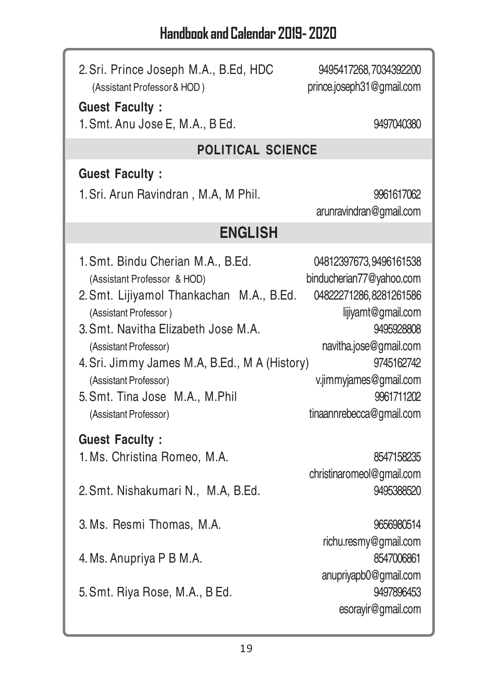ſ

| 2. Sri. Prince Joseph M.A., B.Ed, HDC<br>(Assistant Professor & HOD)                                                                                                                                                                                                                                                                                                | 9495417268,7034392200<br>prince.joseph31@gmail.com                                                                                                                                                                            |  |  |  |  |
|---------------------------------------------------------------------------------------------------------------------------------------------------------------------------------------------------------------------------------------------------------------------------------------------------------------------------------------------------------------------|-------------------------------------------------------------------------------------------------------------------------------------------------------------------------------------------------------------------------------|--|--|--|--|
| <b>Guest Faculty:</b><br>1. Smt. Anu Jose E, M.A., B Ed.                                                                                                                                                                                                                                                                                                            | 9497040380                                                                                                                                                                                                                    |  |  |  |  |
| POLITICAL SCIENCE                                                                                                                                                                                                                                                                                                                                                   |                                                                                                                                                                                                                               |  |  |  |  |
| <b>Guest Faculty:</b>                                                                                                                                                                                                                                                                                                                                               |                                                                                                                                                                                                                               |  |  |  |  |
| 1. Sri. Arun Ravindran, M.A, M Phil.                                                                                                                                                                                                                                                                                                                                | 9961617062<br>arunravindran@gmail.com                                                                                                                                                                                         |  |  |  |  |
| <b>ENGLISH</b>                                                                                                                                                                                                                                                                                                                                                      |                                                                                                                                                                                                                               |  |  |  |  |
| 1. Smt. Bindu Cherian M.A., B.Ed.<br>(Assistant Professor & HOD)<br>2. Smt. Lijiyamol Thankachan M.A., B.Ed.<br>(Assistant Professor)<br>3. Smt. Navitha Elizabeth Jose M.A.<br>(Assistant Professor)<br>4. Sri. Jimmy James M.A, B.Ed., M A (History)<br>(Assistant Professor)<br>5. Smt. Tina Jose M.A., M.Phil<br>(Assistant Professor)<br><b>Guest Faculty:</b> | 04812397673,9496161538<br>binducherian77@yahoo.com<br>04822271286, 8281261586<br>lijiyamt@gmail.com<br>9495928808<br>navitha.jose@gmail.com<br>9745162742<br>v.jimmyjames@gmail.com<br>9961711202<br>tinaannrebecca@gmail.com |  |  |  |  |
| 1. Ms. Christina Romeo, M.A.                                                                                                                                                                                                                                                                                                                                        | 8547158235                                                                                                                                                                                                                    |  |  |  |  |
| 2. Smt. Nishakumari N., M.A, B.Ed.                                                                                                                                                                                                                                                                                                                                  | christinaromeol@gmail.com<br>9495388520                                                                                                                                                                                       |  |  |  |  |
| 3. Ms. Resmi Thomas, M.A.                                                                                                                                                                                                                                                                                                                                           | 9656980514                                                                                                                                                                                                                    |  |  |  |  |
| 4. Ms. Anupriya P B M.A.                                                                                                                                                                                                                                                                                                                                            | richu.resmy@gmail.com<br>8547006861<br>anupriyapb0@gmail.com                                                                                                                                                                  |  |  |  |  |
| 5. Smt. Riya Rose, M.A., B Ed.                                                                                                                                                                                                                                                                                                                                      | 9497896453<br>esorayir@gmail.com                                                                                                                                                                                              |  |  |  |  |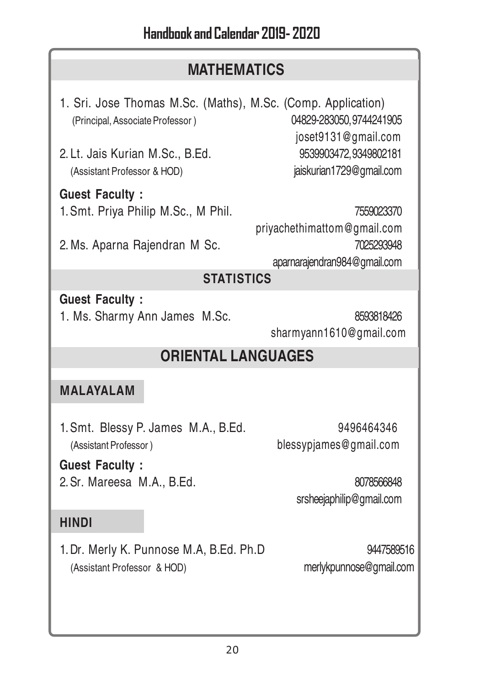### **MATHEMATICS**

1. Sri. Jose Thomas M.Sc. (Maths), M.Sc. (Comp. Application) (Principal, Associate Professor ) 04829-283050, 9744241905

2.Lt. Jais Kurian M.Sc., B.Ed. 9539903472, 9349802181 (Assistant Professor & HOD) jaiskurian1729@gmail.com

**Guest Faculty :** 1.Smt. Priya Philip M.Sc., M Phil. 7559023370

2.Ms. Aparna Rajendran M Sc. 7025293948

joset9131@gmail.com

 priyachethimattom@gmail.com aparnarajendran984@gmail.com

### **STATISTICS**

**Guest Faculty :**

1. Ms. Sharmy Ann James M.Sc. 8593818426 sharmyann1610@gmail.com

# **ORIENTAL LANGUAGES**

### **MALAYALAM**

1.Smt. Blessy P. James M.A., B.Ed. 9496464346 (Assistant Professor ) blessypjames@gmail.com

**Guest Faculty :** 2.Sr. Mareesa M.A., B.Ed. 8078566848

srsheejaphilip@gmail.com

### **HINDI**

1.Dr. Merly K. Punnose M.A, B.Ed. Ph.D 9447589516 (Assistant Professor & HOD) merlykpunnose@gmail.com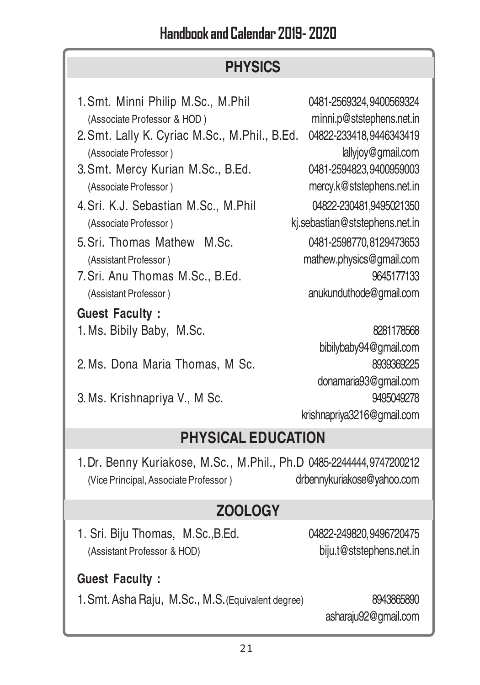# **PHYSICS**

| 1. Smt. Minni Philip M.Sc., M.Phil<br>(Associate Professor & HOD)<br>2. Smt. Lally K. Cyriac M.Sc., M.Phil., B.Ed.<br>(Associate Professor)<br>3. Smt. Mercy Kurian M.Sc., B.Ed.<br>(Associate Professor)<br>4. Sri. K.J. Sebastian M.Sc., M.Phil<br>(Associate Professor)<br>5. Sri. Thomas Mathew M.Sc.<br>(Assistant Professor)<br>7. Sri. Anu Thomas M.Sc., B.Ed.<br>(Assistant Professor) | 0481-2569324, 9400569324<br>minni.p@ststephens.net.in<br>04822-233418, 9446343419<br>lallyjoy@gmail.com<br>0481-2594823, 9400959003<br>mercy.k@ststephens.net.in<br>04822-230481,9495021350<br>kj.sebastian@ststephens.net.in<br>0481-2598770, 8129473653<br>mathew.physics@gmail.com<br>9645177133<br>anukunduthode@gmail.com |  |  |  |
|------------------------------------------------------------------------------------------------------------------------------------------------------------------------------------------------------------------------------------------------------------------------------------------------------------------------------------------------------------------------------------------------|--------------------------------------------------------------------------------------------------------------------------------------------------------------------------------------------------------------------------------------------------------------------------------------------------------------------------------|--|--|--|
| <b>Guest Faculty:</b>                                                                                                                                                                                                                                                                                                                                                                          |                                                                                                                                                                                                                                                                                                                                |  |  |  |
| 1. Ms. Bibily Baby, M.Sc.                                                                                                                                                                                                                                                                                                                                                                      | 8281178568                                                                                                                                                                                                                                                                                                                     |  |  |  |
| 2. Ms. Dona Maria Thomas, M Sc.<br>3. Ms. Krishnapriya V., M Sc.                                                                                                                                                                                                                                                                                                                               | bibilybaby94@gmail.com<br>8939369225<br>donamaria93@gmail.com<br>9495049278<br>krishnapriya3216@gmail.com                                                                                                                                                                                                                      |  |  |  |
| <b>PHYSICAL EDUCATION</b>                                                                                                                                                                                                                                                                                                                                                                      |                                                                                                                                                                                                                                                                                                                                |  |  |  |
| 1. Dr. Benny Kuriakose, M.Sc., M.Phil., Ph.D 0485-2244444, 9747200212<br>(Vice Principal, Associate Professor)                                                                                                                                                                                                                                                                                 | drbennykuriakose@yahoo.com                                                                                                                                                                                                                                                                                                     |  |  |  |
| <b>ZOOLOGY</b>                                                                                                                                                                                                                                                                                                                                                                                 |                                                                                                                                                                                                                                                                                                                                |  |  |  |
| 1. Sri. Biju Thomas, M.Sc., B.Ed.<br>(Assistant Professor & HOD)                                                                                                                                                                                                                                                                                                                               | 04822-249820, 9496720475<br>biju.t@ststephens.net.in                                                                                                                                                                                                                                                                           |  |  |  |
| <b>Guest Faculty:</b>                                                                                                                                                                                                                                                                                                                                                                          |                                                                                                                                                                                                                                                                                                                                |  |  |  |
| 1. Smt. Asha Raju, M.Sc., M.S. (Equivalent degree)                                                                                                                                                                                                                                                                                                                                             | 8943865890<br>asharaju92@gmail.com                                                                                                                                                                                                                                                                                             |  |  |  |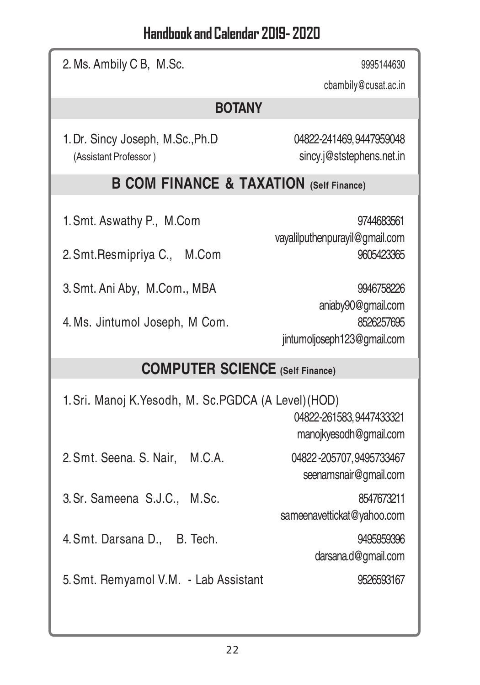| 2. Ms. Ambily C B, M.Sc.                                                                                                       | 9995144630                                                                                                                                  |  |  |  |
|--------------------------------------------------------------------------------------------------------------------------------|---------------------------------------------------------------------------------------------------------------------------------------------|--|--|--|
|                                                                                                                                | cbambily@cusat.ac.in                                                                                                                        |  |  |  |
| <b>BOTANY</b>                                                                                                                  |                                                                                                                                             |  |  |  |
| 1. Dr. Sincy Joseph, M.Sc., Ph.D<br>(Assistant Professor)                                                                      | 04822-241469, 9447959048<br>sincy.j@ststephens.net.in                                                                                       |  |  |  |
| <b>B COM FINANCE &amp; TAXATION (Self Finance)</b>                                                                             |                                                                                                                                             |  |  |  |
| 1. Smt. Aswathy P., M.Com<br>2. Smt. Resmipriya C.,<br>M.Com<br>3. Smt. Ani Aby, M.Com., MBA<br>4. Ms. Jintumol Joseph, M Com. | 9744683561<br>vayalilputhenpurayil@gmail.com<br>9605423365<br>9946758226<br>aniaby90@gmail.com<br>8526257695<br>jintumoljoseph123@gmail.com |  |  |  |
| <b>COMPUTER SCIENCE</b> (Self Finance)                                                                                         |                                                                                                                                             |  |  |  |
| 1. Sri. Manoj K. Yesodh, M. Sc. PGDCA (A Level) (HOD)<br>04822-261583, 9447433321<br>manojkyesodh@gmail.com                    |                                                                                                                                             |  |  |  |
| 2. Smt. Seena. S. Nair,<br>M.C.A.                                                                                              | 04822-205707, 9495733467<br>seenamsnair@gmail.com                                                                                           |  |  |  |
| 3. Sr. Sameena S.J.C., M.Sc.                                                                                                   | 8547673211<br>sameenavettickat@yahoo.com                                                                                                    |  |  |  |
| 4. Smt. Darsana D., B. Tech.                                                                                                   | 9495959396<br>darsana.d@gmail.com                                                                                                           |  |  |  |
| 5. Smt. Remyamol V.M. - Lab Assistant                                                                                          | 9526593167                                                                                                                                  |  |  |  |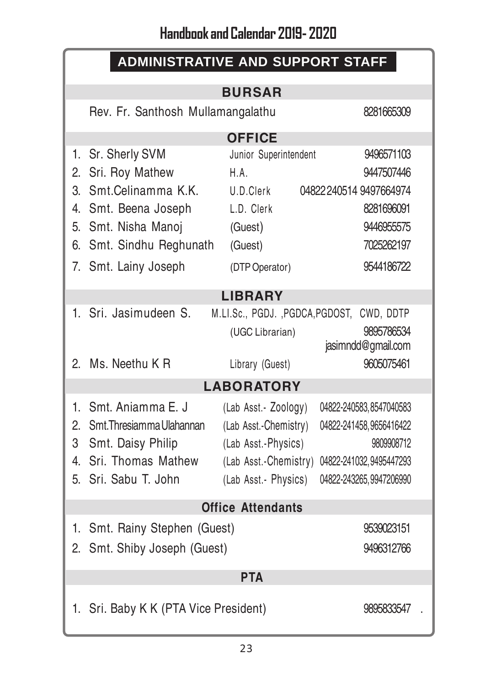| <b>ADMINISTRATIVE AND SUPPORT STAFF</b>         |                                       |                                           |                          |  |
|-------------------------------------------------|---------------------------------------|-------------------------------------------|--------------------------|--|
|                                                 |                                       | <b>BURSAR</b>                             |                          |  |
| Rev. Fr. Santhosh Mullamangalathu<br>8281665309 |                                       |                                           |                          |  |
|                                                 |                                       | <b>OFFICE</b>                             |                          |  |
|                                                 | 1. Sr. Sherly SVM                     | Junior Superintendent                     | 9496571103               |  |
|                                                 | 2. Sri. Roy Mathew                    | H.A.                                      | 9447507446               |  |
| $\mathcal{S}_{\cdot}$                           | Smt.Celinamma K.K.                    | U D Clerk                                 | 04822240514 9497664974   |  |
|                                                 | 4. Smt. Beena Joseph                  | L.D. Clerk                                | 8281696091               |  |
|                                                 | 5. Smt. Nisha Manoj                   | (Guest)                                   | 9446955575               |  |
| 6.                                              | Smt. Sindhu Reghunath                 | (Guest)                                   | 7025262197               |  |
|                                                 | 7. Smt. Lainy Joseph                  | (DTP Operator)                            | 9544186722               |  |
|                                                 |                                       | <b>LIBRARY</b>                            |                          |  |
|                                                 | 1. Sri. Jasimudeen S.                 | M.LI.Sc., PGDJ., PGDCA, PGDOST, CWD, DDTP |                          |  |
|                                                 |                                       | (UGC Librarian)                           | 9895786534               |  |
|                                                 |                                       |                                           | jasimndd@gmail.com       |  |
|                                                 | 2. Ms. Neethu K R                     | Library (Guest)                           | 9605075461               |  |
| <b>LABORATORY</b>                               |                                       |                                           |                          |  |
| 1.                                              | Smt. Anjamma E. J.                    | (Lab Asst.- Zoology)                      | 04822-240583, 8547040583 |  |
|                                                 | 2. Smt. Thresiamma Ulahannan          | (Lab Asst.-Chemistry)                     | 04822-241458, 9656416422 |  |
| 3                                               | Smt. Daisy Philip                     | (Lab Asst.-Physics)                       | 9809908712               |  |
| 4                                               | Sri. Thomas Mathew                    | (Lab Asst.-Chemistry)                     | 04822-241032, 9495447293 |  |
| 5.                                              | Sri. Sabu T. John                     | (Lab Asst.- Physics)                      | 04822-243265, 9947206990 |  |
| <b>Office Attendants</b>                        |                                       |                                           |                          |  |
|                                                 | 1. Smt. Rainy Stephen (Guest)         |                                           | 9539023151               |  |
|                                                 | 2. Smt. Shiby Joseph (Guest)          |                                           | 9496312766               |  |
|                                                 |                                       |                                           |                          |  |
| <b>PTA</b>                                      |                                       |                                           |                          |  |
|                                                 | 1. Sri. Baby K K (PTA Vice President) |                                           | 9895833547               |  |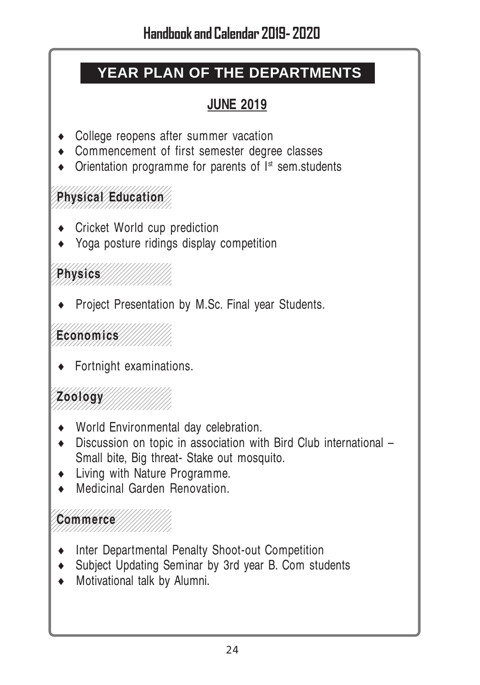# **YEAR PLAN OF THE DEPARTMENTS**

### **JUNE 2019**

- College reopens after summer vacation
- ♦ Commencement of first semester degree classes
- $\bullet$  Orientation programme for parents of  $I<sup>st</sup>$  sem.students

#### 12345678901234567890123456789012345678901234567890123456789012345678901234567890123456789012345678901234567890 **Physical Education** 1234567890123456789012345678901 12345678901234567890123456789012345678901234567890123456789012345678901234567890123456789012345678901234567890

1234567890123456789012345678901

12345678901234567890123456789012345678901234567890123456789012345678901234567890123456789012345678901234567890

- Cricket World cup prediction
- ♦ Yoga posture ridings display competition

#### 1234567890123456789012345678901 1234567890123456789012345678901 1234567890123456789012345678901 1234567890123456789012345678901 **Physics** 1234567890123456789012345678901

**Project Presentation by M.Sc. Final year Students.** 

#### 1234567890123456789012345678901 1234567890123456789012345678901 1234567890123456789012345678901 **Economics** 1234567890123456789012345678901

 $\leftarrow$  Fortnight examinations.

#### 12345678901234567890123456789012345678901234567890123456789012345678901234567890123456789012345678901234567890 1234567890123456789012345678901 **Zoology**////////////// 1234567890123456789012345678901 12345678901234567890123456789012345678901234567890123456789012345678901234567890123456789012345678901234567890

12345678901234567890123456789012345678901234567890123456789012345678901234567890123456789012345678901234567890

1234567890123456789012345678901

- World Environmental day celebration.
- ♦ Discussion on topic in association with Bird Club international Small bite, Big threat- Stake out mosquito.
- ♦ Living with Nature Programme.
- Medicinal Garden Renovation.

#### 1234567890123456789012345678901 Commerce 111111111 1234567890123456789012345678901

- ♦ Inter Departmental Penalty Shoot-out Competition
- ♦ Subject Updating Seminar by 3rd year B. Com students
- ♦ Motivational talk by Alumni.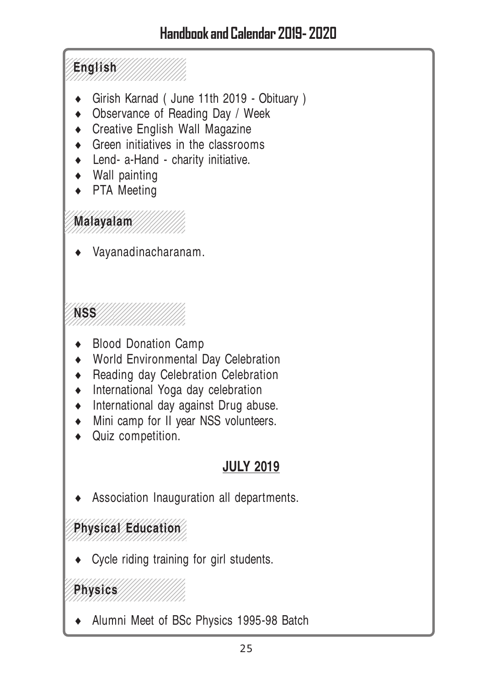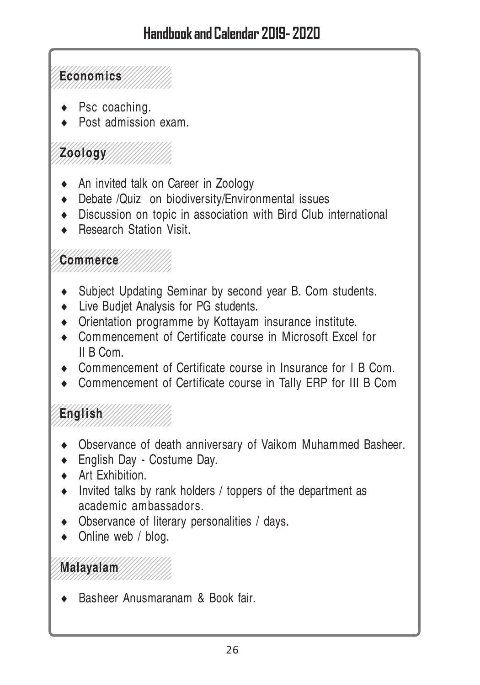12345678901234567890123456789012345678901234567890123456789012345678901234567890123456789012345678901234567890 1234567890123456789012345678901 1234567890123456789012345678901 1234567890123456789012345678901 1234567890123456789012345678901 **Economics** 1234567890123456789012345678901 1234567890123456789012345678901

- Psc coaching.
- Post admission exam.

12345678901234567890123456789012345678901234567890123456789012345678901234567890123456789012345678901234567890 1234567890123456789012345678901 120010gy///////////// 1234567890123456789012345678901 1234567890123456789012345678901

- An invited talk on Career in Zoology
- ♦ Debate /Quiz on biodiversity/Environmental issues
- ♦ Discussion on topic in association with Bird Club international
- Research Station Visit.

12345678901234567890123456789012345678901234567890123456789012345678901234567890123456789012345678901234567890 1234567890123456789012345678901 1234567890123456789012345678901 123456789012345678901234567890123456789012345678901234567890123456789012345678901234567890123456789012345678901 1234567890123456789012345678901 1234567890123456789012345678901

- ♦ Subject Updating Seminar by second year B. Com students.
- Live Budiet Analysis for PG students.
- ♦ Orientation programme by Kottayam insurance institute.
- ♦ Commencement of Certificate course in Microsoft Excel for II B Com.
- ♦ Commencement of Certificate course in Insurance for I B Com.
- ♦ Commencement of Certificate course in Tally ERP for III B Com

12345678901234567890123456789012345678901234567890123456789012345678901234567890123456789012345678901234567890 1234567890123456789012345678901 1234567890123456789012345678901 1234567890123456789012345678901 **English** 1234567890123456789012345678901 1234567890123456789012345678901 12345678901234567890123456789012345678901234567890123456789012345678901234567890123456789012345678901234567890

- Observance of death anniversary of Vaikom Muhammed Basheer.
- English Day Costume Day.
- Art Exhibition
- ♦ Invited talks by rank holders / toppers of the department as academic ambassadors.
- ♦ Observance of literary personalities / days.
- Online web / blog.

12345678901234567890123456789012345678901234567890123456789012345678901234567890123456789012345678901234567890 1234567890123456789012345678901 **Malayalam** 1234567890123456789012345678901

Basheer Anusmaranam & Book fair.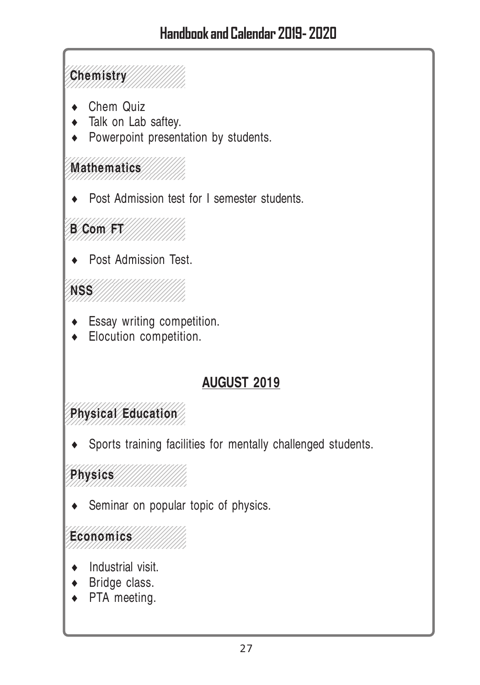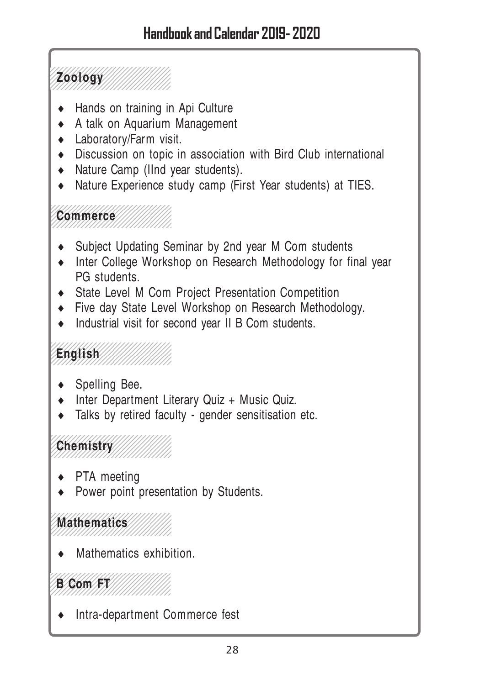123456789012345678901234567890 123456891234568912345689 120010gy////////////// 123456789012345678901234567890 123456789012345678901234567890

- Hands on training in Api Culture
- ♦ A talk on Aquarium Management
- Laboratory/Farm visit.
- ♦ Discussion on topic in association with Bird Club international
- ♦ Nature Camp (IInd year students).
- ♦ Nature Experience study camp (First Year students) at TIES.

12345678901234567890123456789012345678901234567890123456789012345678901234567890123456789012345678901234567890 1234567890123456789012345678901 1234567890123456789012345678901 **Commerce** ///////// 1234567890123456789012345678901

12345678901234567890123456789012345678901234567890123456789012345678901234567890123456789012345678901234567890

- Subject Updating Seminar by 2nd year M Com students
- ♦ Inter College Workshop on Research Methodology for final year PG students.
- State Level M Com Project Presentation Competition
- ♦ Five day State Level Workshop on Research Methodology.
- ♦ Industrial visit for second year II B Com students.

#### 12345678901234567890123456789012345678901234567890123456789012345678901234567890123456789012345678901234567890 1234567890123456789012345678901 1234 English //////////////////////// 12*3456890123455555555555555* 1234567890123456789012345678901 12345678901234567890123456789012345678901234567890123456789012345678901234567890123456789012345678901234567890

- Spelling Bee.
- ♦ Inter Department Literary Quiz + Music Quiz.
- ♦ Talks by retired faculty gender sensitisation etc.

# Chemistry///////////

12345678901234567890123456789012345678901234567890123456789012345678901234567890123456789012345678901234567890

1234567890123456789012345678901

- PTA meeting
- Power point presentation by Students.

#### 12345678901234567890123456789012345678901234567890123456789012345678901234567890123456789012345678901234567890 1234567890123456789012345678901 Mathematics 1234567890123456789012345678901

Mathematics exhibition.

#### 123456789012345678901234567890 123456789012345678901234567890 13 Com FT 123456789012345678901234567890

1234567890123456789012345678901

Intra-department Commerce fest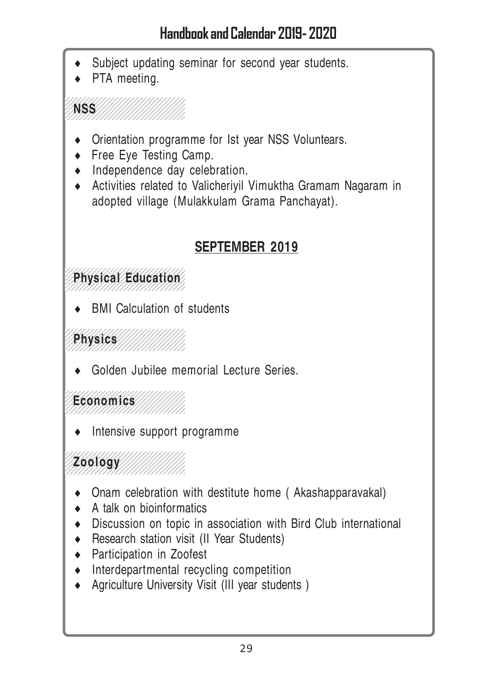- Subject updating seminar for second year students.
- PTA meeting.

#### 12345678901234567890123456789012345678901234567890123456789012345678901234567890123456789012345678901234567890 12345678901234567890123456789012 1235 1234 1234 1234 1234 1234 1235 1234 1235 1234 1235 1234 1235 1234 1235 1234 1235 1234 1235 1235 1235 1235 1 12345678912345678912345

- Orientation programme for Ist year NSS Voluntears.
- Free Eye Testing Camp.
- $\bullet$  Independence day celebration.
- ♦ Activities related to Valicheriyil Vimuktha Gramam Nagaram in adopted village (Mulakkulam Grama Panchayat).

### **SEPTEMBER 2019**

#### 12345678901234567890123456789012345678901234567890123456789012345678901234567890123456789012345678901234567890 123456789134567891345678912345678 **Physical Education** 12345678901234567890123456789012 12345678901234567890123456789012

**BMI Calculation of students** 

1234567890123456789012345678901 1249 **Physics** //////////////////// 1234567890123456789012345678901

12345678901234567890123456789012345678901234567890123456789012345678901234567890123456789012345678901234567890

12345678901234567890123456789012 12345678901234567890123456789012345678901234567890123456789012345678901234567890123456789012345678901234567890

Golden Jubilee memorial Lecture Series.

#### 12345678901234567890123456789012 Economics ///////// 12345678901234567890123456789012

Intensive support programme

12345678901234567890123456789012345678901234567890123456789012345678901234567890123456789012345678901234567890 120010gy////////////// 12*345678901334567891334557891* 123456789134567891345678912345678

- Onam celebration with destitute home (Akashapparavakal)
- $\bullet$  A talk on bioinformatics
- ♦ Discussion on topic in association with Bird Club international
- ♦ Research station visit (II Year Students)
- ♦ Participation in Zoofest
- ♦ Interdepartmental recycling competition
- Agriculture University Visit (III year students )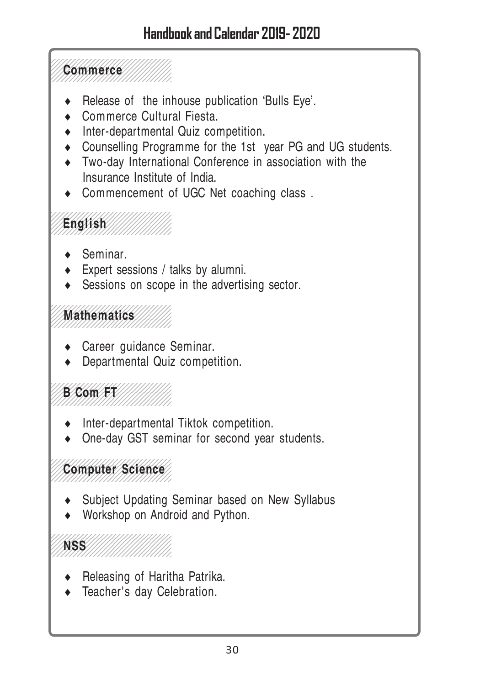12345678901234567890123456789012345678901234567890123456789012345678901234567890123456789012345678901234567890 12345678912345678912345678912345 1234567890123456789012345678901 **NSS** /////////////////// 1234567890123456789012345678901 12345678901234567890123456789012345678901234567890123456789012345678901234567890123456789012345678901234567890 **1234 Computer Science** 1234567890123456789012345678901 12345678901234567890123456789012345678901234567890123456789012345678901234567890123456789012345678901234567890 1234567890123456789012345678901 123456901234567890123456789012345678901234567890123456789012345678901234567890123456789012345678901234567890123 1234567890123456789012345678901 12345678901234567890123456789012345678901234567890123456789012345678901234567890123456789012345678901234567890 1234 Mathematics 1234567890123456789012345678901 1234567890123456789012345678901 12345678901234567890123456789012345678901234567890123456789012345678901234567890123456789012345678901234567890 1234567890123456789012345678901 125 English 1234567890123456789012345678901 1234567890123456789012345678901 12345678901234567890123456789012345678901234567890123456789012345678901234567890123456789012345678901234567890 12345678901234567890123456789012345678901234567890123456789012345678901234567890123456789012345678901234567890 1234567890123456789012345678901 1234567890123456789012345 1234567890123456789012345678901 1234567890123456789012345678901 Release of the inhouse publication 'Bulls Eye'. ♦ Commerce Cultural Fiesta. ♦ Inter-departmental Quiz competition. ♦ Counselling Programme for the 1st year PG and UG students. ♦ Two-day International Conference in association with the Insurance Institute of India. Commencement of UGC Net coaching class. Seminar.  $\leftarrow$  Expert sessions / talks by alumni. Sessions on scope in the advertising sector. • Career guidance Seminar. ♦ Departmental Quiz competition. Inter-departmental Tiktok competition. One-day GST seminar for second year students. Subject Updating Seminar based on New Syllabus • Workshop on Android and Python.

- Releasing of Haritha Patrika.
- ♦ Teacher's day Celebration.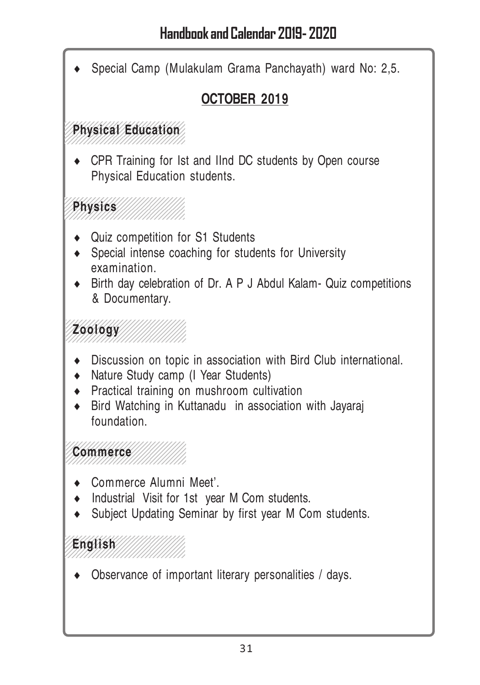**English** /////////////// 1234567890123456789012345678901 ,,,,,,,,,,,,,,,,,,,,,,,,,,,,, Commerce ///////// 1234567890123456789012345678901 1234567890123456789012345678901 **Zoology** ////////////// 1234567890123456789012345678901 ,,,,,,,,,,,,,,,,,,,,,,,,,,,,,, 12345678901234567890123456789012345678901234567890123456789012345678901234567890123456789012345678901234567890 123456891891234567891891234568 12345678901234567890123456789012 12345678901234567890123456789012 12345678901234567890123456789012 **Physics** 12345678901234567890123456789012 12345678901234567890123456789012 12345678901234567890123456789012345678901234567890123456789012345678901234567890123456789012345678901234567890 **Physical Education** 123456789134567891345678912345678 123456789134567891345678912345678 12345678901234567890123456789012 Special Camp (Mulakulam Grama Panchayath) ward No: 2,5. **OCTOBER 2019** ♦ CPR Training for Ist and IInd DC students by Open course Physical Education students. ♦ Quiz competition for S1 Students ♦ Special intense coaching for students for University examination. ♦ Birth day celebration of Dr. A P J Abdul Kalam- Quiz competitions & Documentary. ♦ Discussion on topic in association with Bird Club international. ♦ Nature Study camp (I Year Students) ♦ Practical training on mushroom cultivation ♦ Bird Watching in Kuttanadu in association with Jayaraj foundation. Commerce Alumni Meet'. ♦ Industrial Visit for 1st year M Com students. ♦ Subject Updating Seminar by first year M Com students. ♦ Observance of important literary personalities / days.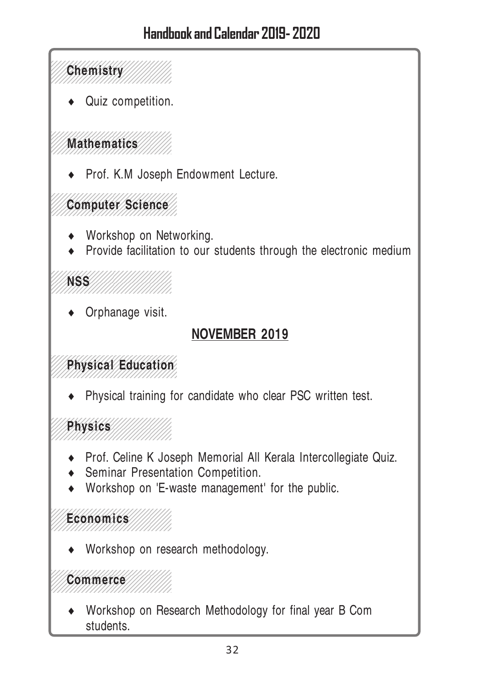Quiz competition.

 **Mathematics** 112345789<del>123457912345791234</del>78912347891 

Prof. K.M Joseph Endowment Lecture.

 **Computer Science** 

- Workshop on Networking.
- Provide facilitation to our students through the electronic medium

 1235 1234 1234 1234 1234 1234 1235 1234 1235 1234 1235 1234 1235 1234 1235 1234 1235 1234 1235 1235 1235 1235 1 

Orphanage visit.

### **NOVEMBER 2019**

#### **Physical Education**

Physical training for candidate who clear PSC written test.

 

- Prof. Celine K Joseph Memorial All Kerala Intercollegiate Quiz.
- Seminar Presentation Competition.
- Workshop on 'E-waste management' for the public.

#### 

Workshop on research methodology.

#### 

Workshop on Research Methodology for final year B Com students.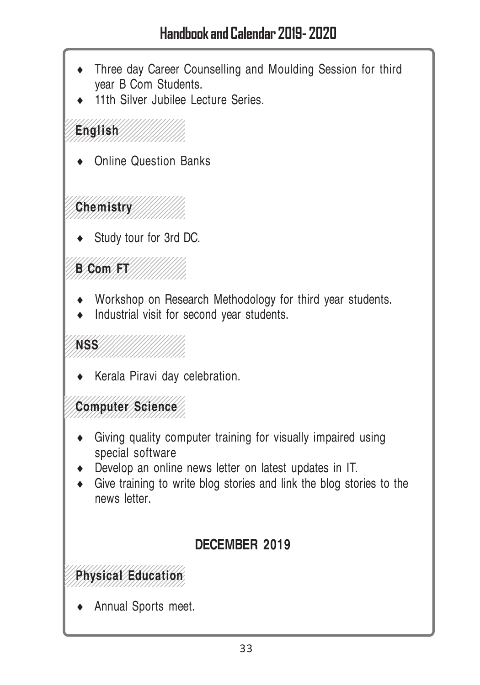- Three day Career Counselling and Moulding Session for third year B Com Students.
- 11th Silver Jubilee Lecture Series.

12345678901234567890123456789012345678901234567890123456789012345678901234567890123456789012345678901234567890 12345678901234567890123456789012 12345678901234567890123456789012 12345678901234567890123456789012 12345678901234567890123456789012 **English** 123456789134567891345678912345678 12345678901234567890123456789012345678901234567890123456789012345678901234567890123456789012345678901234567890

Online Question Banks

1234567890123456789012345678901 Chemistry////////// 1234567890123456789012345678901

Study tour for 3rd DC.

1234567890123456789012345678901 1234567890123456789012345678901 1234567890123456789012345678901 1234567890123456789012345678901 **B Com FT** 1234567890123456789012345678901 1234567890123456789012345678901

- ♦ Workshop on Research Methodology for third year students.
- ♦ Industrial visit for second year students.

1234567890123456789012345678901 1235 111 111 111 111 111 111 111 111 11 1234567890123456789012345678901 1234567890123456789012345678901

Kerala Piravi day celebration.

12345678901234567890123456789012345678901234567890123456789012345678901234567890123456789012345678901234567890 12345678901234567890123456789012 **Computer Science** 12345678901234567890123456789012 12345678901234567890123456789012345678901234567890123456789012345678901234567890123456789012345678901234567890

- ♦ Giving quality computer training for visually impaired using special software
- ♦ Develop an online news letter on latest updates in IT.
- ♦ Give training to write blog stories and link the blog stories to the news letter.

### **DECEMBER 2019**

12345678901234567890123456789012345678901234567890123456789012345678901234567890123456789012345678901234567890 123456789134567891345678912345678 **Physical Education** 1234567890133456913456789012345

Annual Sports meet.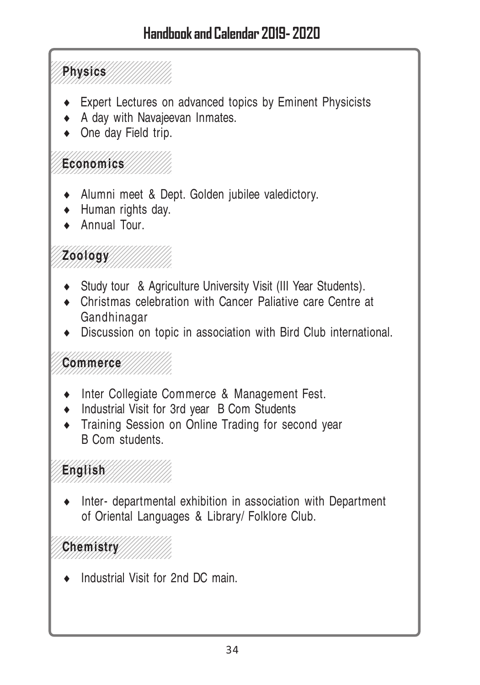12345678901234567890123456789012345678901234567890123456789012345678901234567890123456789012345678901234567890 1234567890123456789012345678901 1234567890123456789012345678901 1234567890123456789012345678901 1234567890123456789012345678901 **Physics** 1234567890123456789012345678901 1234567890123456789012345678901

- Expert Lectures on advanced topics by Eminent Physicists
- ♦ A day with Navajeevan Inmates.
- $\bullet$  One day Field trip.

#### 12345678901234567890123456789012345678901234567890123456789012345678901234567890123456789012345678901234567890 1234567890123456789012345678901 **Economics** 1234567890123456789012345678901

- ♦ Alumni meet & Dept. Golden jubilee valedictory.
- ♦ Human rights day.
- Annual Tour.

#### 12345678901234567890123456789012345678901234567890123456789012345678901234567890123456789012345678901234567890 1234567890123456789012345678901 120010gy 12*3456789012345689012345678912345* 1234567890123456789012345678901

- Study tour & Agriculture University Visit (III Year Students).
- ♦ Christmas celebration with Cancer Paliative care Centre at Gandhinagar
- ♦ Discussion on topic in association with Bird Club international.

#### 12345678901234567890123456789012345678901234567890123456789012345678901234567890123456789012345678901234567890 12345678912345678912345678912345 1234567890123456789012345678901 **Commerce** 1234567890123456789012345678901 12345678901234567890123456789012345678901234567890123456789012345678901234567890123456789012345678901234567890

- ♦ Inter Collegiate Commerce & Management Fest.
- ♦ Industrial Visit for 3rd year B Com Students
- Training Session on Online Trading for second year B Com students.

#### 12345678901234567890123456789012345678901234567890123456789012345678901234567890123456789012345678901234567890 1234567890123456789012345678901  $12356$ 1234567890123456789012345678901 1234567890123456789012345678901

Inter- departmental exhibition in association with Department of Oriental Languages & Library/ Folklore Club.

#### 12345678901234567890123456789012345678901234567890123456789012345678901234567890123456789012345678901234567890 1234567890123456789012345678901 **Chemistry** ///////// 1234567890123456789012345678901

Industrial Visit for 2nd DC main.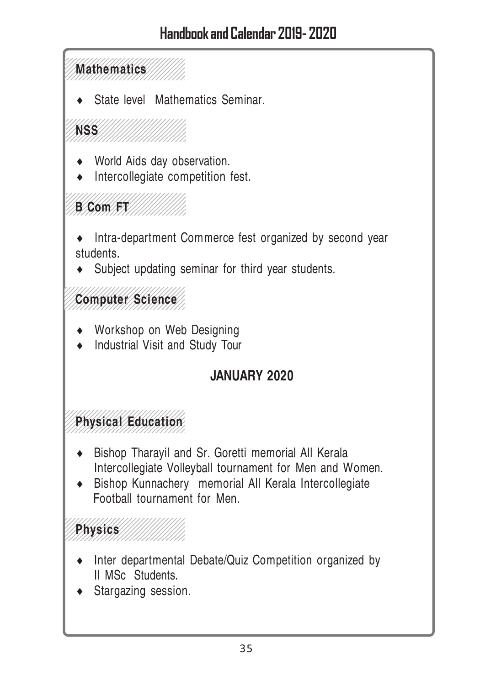12345678901234567890123456789012345678901234567890123456789012345678901234567890123456789012345678901234567890 **Mathematics** 12345678901234567890123456789012

State level Mathematics Seminar.

1234567890123456789012345678901 1234567890123456789012345678901 1234567890123456789012345678901 **NSS** 1234567890123456789012345678901 1234567890123456789012345678901

- World Aids day observation.
- ♦ Intercollegiate competition fest.

#### 1234567890123456789012345678901 1234567890123456789012345678901 **B Com FT** ,,,,,,,,,,,,,,,,,,,,,,,,,,,,,,,

♦ Intra-department Commerce fest organized by second year students.

• Subject updating seminar for third year students.

12345678901234567890123456789012345678901234567890123456789012345678901234567890123456789012345678901234567890 Computer Science 12345678901234567890123456789012 12345678901234567890123456789012345678901234567890123456789012345678901234567890123456789012345678901234567890

- Workshop on Web Designing
- ♦ Industrial Visit and Study Tour

### **JANUARY 2020**

#### 1234567890123456789012345678901 **Physical Education** 1234567890123456789012345678901 1234567890123456789012345678901

- ♦ Bishop Tharayil and Sr. Goretti memorial All Kerala Intercollegiate Volleyball tournament for Men and Women.
- ♦ Bishop Kunnachery memorial All Kerala Intercollegiate Football tournament for Men.

#### 1234567890123456789012345678901 1234568 1234567890123456789012345678901

- ♦ Inter departmental Debate/Quiz Competition organized by II MSc Students.
- Stargazing session.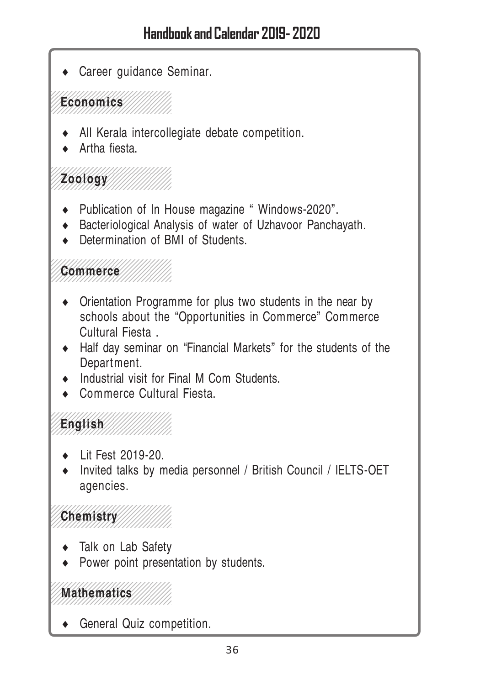• Career guidance Seminar.

12345678901234567890123456789012345678901234567890123456789012345678901234567890123456789012345678901234567890 1234567890123456789012345678901 1234567890123456789012345678901  $E$ conomics 1234567890123456789012345678901 1234567890123456789012345678901

- All Kerala intercollegiate debate competition.
- Artha fiesta.
- 12345678901234567890123456789012345678901234567890123456789012345678901234567890123456789012345678901234567890 1234567890123456789012345678901 120010gy///////////// 1234567890123456789012345678901 1234567890123456789012345678901
	- ♦ Publication of In House magazine " Windows-2020".
	- ♦ Bacteriological Analysis of water of Uzhavoor Panchayath.
	- Determination of BMI of Students.

12345678901234567890123456789012345678901234567890123456789012345678901234567890123456789012345678901234567890 1234567890123456789012345678901 123456789012345678901234567890123456789012345678901234567890123456789012345678901234567890123456789012345678901 1234567890123456789012345678901 1234567890123456789012345678901

- Orientation Programme for plus two students in the near by schools about the "Opportunities in Commerce" Commerce Cultural Fiesta .
- ♦ Half day seminar on "Financial Markets" for the students of the Department.
- Industrial visit for Final M Com Students.
- Commerce Cultural Fiesta.

12345678901234567890123456789012345678901234567890123456789012345678901234567890123456789012345678901234567890 1234567890123456789012345678901 1234567890123456789012345678901  $12569$ 1234567890123456789012345678901 12345678901234567890123456789012345678901234567890123456789012345678901234567890123456789012345678901234567890

- Lit Fest 2019-20.
- ♦ Invited talks by media personnel / British Council / IELTS-OET agencies.

12345678901234567890123456789012345678901234567890123456789012345678901234567890123456789012345678901234567890 1254678991 1234567890123456789012345678901

- 12345678901234567890123456789012345678901234567890123456789012345678901234567890123456789012345678901234567890 ♦ Talk on Lab Safety
	- Power point presentation by students.

12345678901234567890123456789012345678901234567890123456789012345678901234567890123456789012345678901234567890 1234567890123456789012345678901 **Mathematics** 1234567890123456789012345678901 1234567890123456789012345678901

General Quiz competition.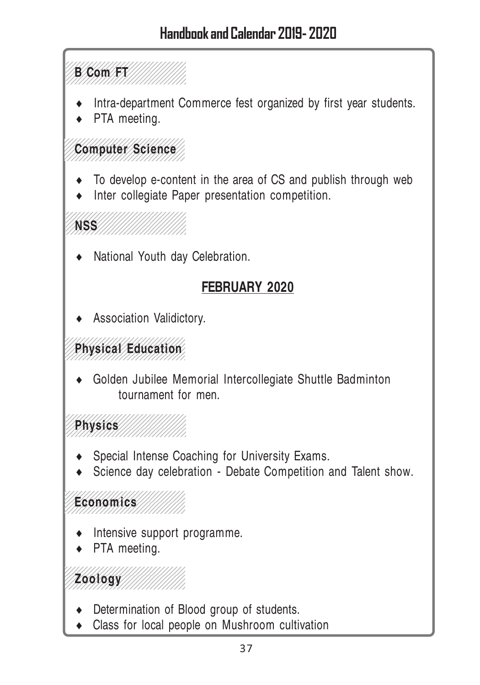#### 1234567890123456789012345678901 1**3 Com FT** 1234567890123456789012345678901 1234567890123456789012345678901

- Intra-department Commerce fest organized by first year students.
- PTA meeting.

#### 12345678901234567890123456789012345678901234567890123456789012345678901234567890123456789012345678901234567890 12345678901234567890123456789012 **Computer Science** 12345678901234567890123456789012 12345678901234567890123456789012

- To develop e-content in the area of CS and publish through web
- ♦ Inter collegiate Paper presentation competition.

,,,,,,,,,,,,,,,,,,,,,,,,,,,,,,, ,,,,,,,,,,,,,,,,,,,,,,,,,,,,,, **NSS** 11/1/1/1/1/1/1/1/1 ,,,,,,,,,,,,,,,,,,,,,,,,,,,,,,

National Youth day Celebration.

## **FEBRUARY 2020**

Association Validictory.

#### 1234567890123456789012345678901 **Physical Education** 1234567890123456789012345678901 1234567890123456789012345678901

Golden Jubilee Memorial Intercollegiate Shuttle Badminton tournament for men.

,,,,,,,,,,,,,,,,,,,,,,,,,,,,,,,,  $129$ 1234567890123456789012345678901

- Special Intense Coaching for University Exams.
- Science day celebration Debate Competition and Talent show.

12345678901234567890123456789012345678901234567890123456789012345678901234567890123456789012345678901234567890 **Economics** 12345678901234567890123456789012 12345678901234567890123456789012

- Intensive support programme.
- PTA meeting.

1234567890123456789012345678901 **120010gy** 1234567890123456789012345678901

- Determination of Blood group of students.
- Class for local people on Mushroom cultivation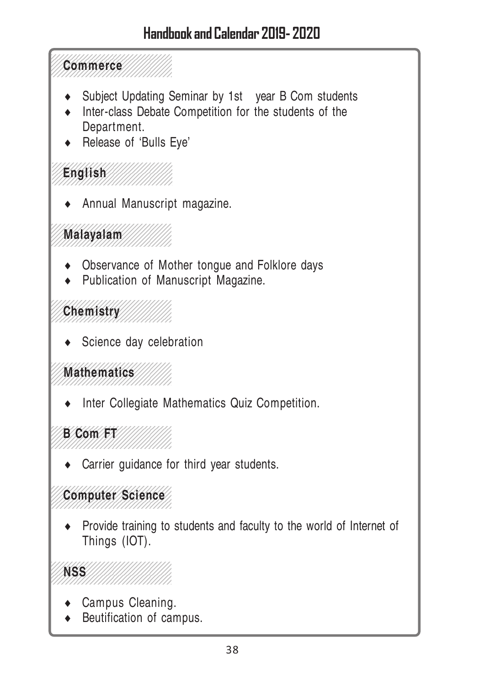- Subject Updating Seminar by 1st year B Com students
- Inter-class Debate Competition for the students of the Department.
- Release of 'Bulls Eye'

  $1.5899$ 

Annual Manuscript magazine.

 123456789012345678901234567890123456789012345678901234567890123456789012345678901234567890123456789012345678901<br>12345689012345689012345689012345689012345688901234568901234568901234568901234568901234568901234568901234568901 

- ♦ Observance of Mother tongue and Folklore days
- ♦ Publication of Manuscript Magazine.

 

Science day celebration

 1234567890123456789012345678901 1234567890123456789012345678901 **Mathematics** 

Inter Collegiate Mathematics Quiz Competition.

 

Carrier guidance for third year students.

#### **2345 Computer Science**

Provide training to students and faculty to the world of Internet of Things (IOT).

 **NSS** 11/1/1/1/1/1/1/1 

- Campus Cleaning.
- Beutification of campus.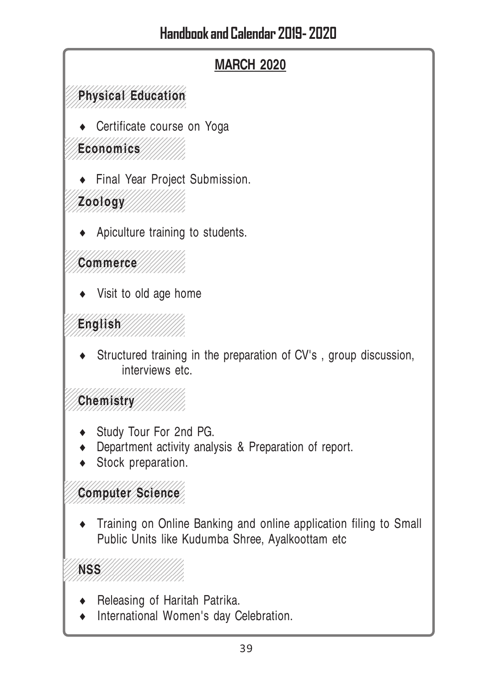

♦ Training on Online Banking and online application filing to Small Public Units like Kudumba Shree, Ayalkoottam etc

 12345678901234567890123456789012 **NSS** 

- ♦ Releasing of Haritah Patrika.
- International Women's day Celebration.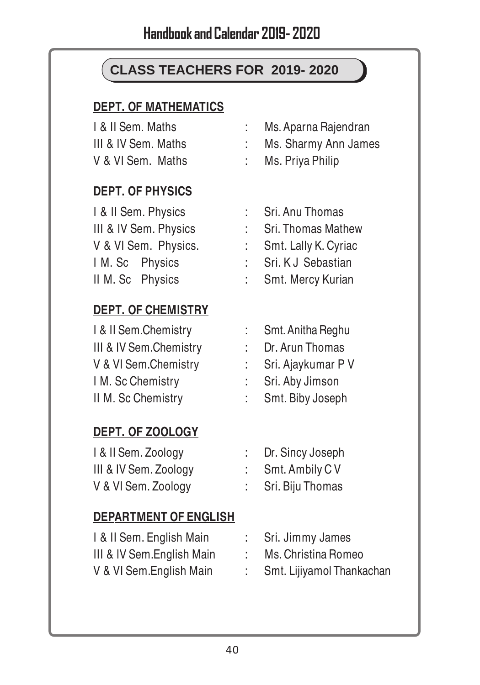## **CLASS TEACHERS FOR 2019- 2020**

#### **DEPT. OF MATHEMATICS**

| I & II Sem. Maths   | Ms. Aparna Rajendran |
|---------------------|----------------------|
| III & IV Sem. Maths | Ms. Sharmy Ann James |
| V & VI Sem. Maths   | Ms. Priya Philip     |

#### **DEPT. OF PHYSICS**

| I & II Sem. Physics   |                | : Sri. Anu Thomas      |
|-----------------------|----------------|------------------------|
| III & IV Sem. Physics |                | Sri. Thomas Mathew     |
| V & VI Sem. Physics.  |                | : Smt. Lally K. Cyriac |
| I M. Sc Physics       | <b>College</b> | Sri. KJ Sebastian      |
| II M. Sc Physics      |                | : Smt. Mercy Kurian    |

#### **DEPT. OF CHEMISTRY**

| I & II Sem.Chemistry   | : Smt. Anitha Reghu  |
|------------------------|----------------------|
| III & IV Sem.Chemistry | Dr. Arun Thomas      |
| V & VI Sem.Chemistry   | : Sri. Ajaykumar P V |
| I M. Sc Chemistry      | : Sri. Aby Jimson    |
| II M. Sc Chemistry     | : Smt. Biby Joseph   |

#### **DEPT. OF ZOOLOGY**

| I & II Sem. Zoology   | Dr. Sincy Joseph |
|-----------------------|------------------|
| III & IV Sem. Zoology | Smt. Ambily CV   |
| V & VI Sem. Zoology   | Sri. Biju Thomas |

#### **DEPARTMENT OF ENGLISH**

| I & II Sem. English Main   | Sri. Jimmy James          |
|----------------------------|---------------------------|
| III & IV Sem. English Main | Ms. Christina Romeo       |
| V & VI Sem.English Main    | Smt. Lijiyamol Thankachan |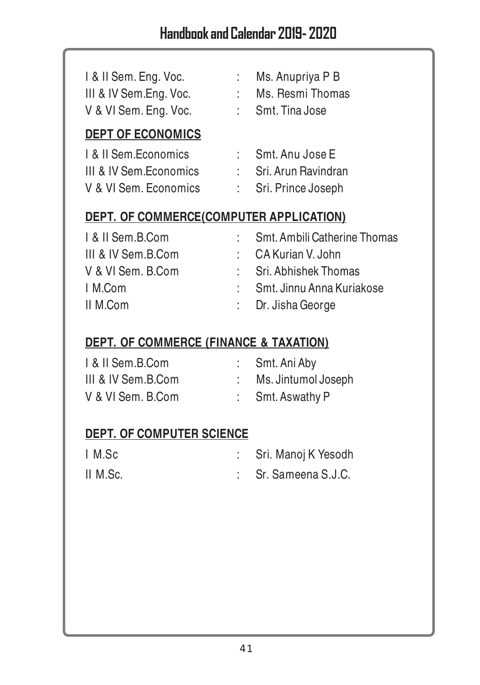| I & II Sem. Eng. Voc.<br>III & IV Sem.Eng. Voc.<br>V & VI Sem. Eng. Voc. | t. | Ms. Anupriya P B<br>Ms. Resmi Thomas<br>: Smt. Tina Jose         |
|--------------------------------------------------------------------------|----|------------------------------------------------------------------|
| <b>DEPT OF ECONOMICS</b>                                                 |    |                                                                  |
| L & II Sem Economics<br>III & IV Sem.Economics<br>V & VI Sem. Economics  | t. | Smt. Anu Jose E<br>: Sri, Arun Ravindran<br>: Sri. Prince Joseph |
| DEPT. OF COMMERCE(COMPUTER APPLICATION)                                  |    |                                                                  |
| I & II Sem.B.Com                                                         | t. | Smt. Ambili Catherine Thomas                                     |
| III & IV Sem.B.Com                                                       | t. | CA Kurian V. John                                                |
| V & VI Sem. B.Com                                                        | ÷  | Sri. Abhishek Thomas                                             |

| I M.Com | Smt. Jinnu Anna Kuriakose |
|---------|---------------------------|
|         |                           |

II M.Com : Dr. Jisha George

#### **DEPT. OF COMMERCE (FINANCE & TAXATION)**

| I & II Sem.B.Com   | Smt. Ani Aby        |
|--------------------|---------------------|
| III & IV Sem.B.Com | Ms. Jintumol Joseph |
| V & VI Sem. B.Com  | Smt. Aswathy P      |

#### **DEPT. OF COMPUTER SCIENCE**

| I M.Sc   | : Sri. Manoj K Yesodh |
|----------|-----------------------|
| II M.Sc. | : Sr. Sameena S.J.C.  |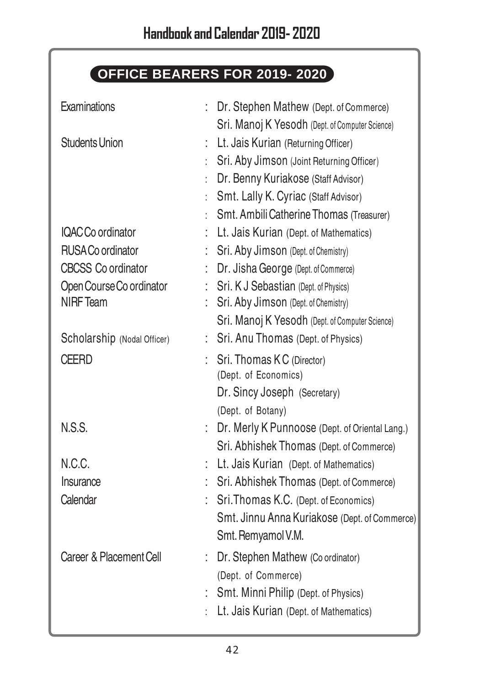# **OFFICE BEARERS FOR 2019- 2020**

| Examinations                | t. | Dr. Stephen Mathew (Dept. of Commerce)            |
|-----------------------------|----|---------------------------------------------------|
|                             |    | Sri. Manoj K Yesodh (Dept. of Computer Science)   |
| <b>Students Union</b>       | t. | Lt. Jais Kurian (Returning Officer)               |
|                             |    | Sri. Aby Jimson (Joint Returning Officer)         |
|                             | ł. | Dr. Benny Kuriakose (Staff Advisor)               |
|                             |    | Smt. Lally K. Cyriac (Staff Advisor)              |
|                             |    | Smt. Ambili Catherine Thomas (Treasurer)          |
| IQAC Co ordinator           |    | Lt. Jais Kurian (Dept. of Mathematics)            |
| RUSA Co ordinator           |    | Sri. Aby Jimson (Dept. of Chemistry)              |
| <b>CBCSS Co ordinator</b>   |    | Dr. Jisha George (Dept. of Commerce)              |
| Open Course Co ordinator    |    | Sri. K J Sebastian (Dept. of Physics)             |
| <b>NIRF Team</b>            |    | Sri. Aby Jimson (Dept. of Chemistry)              |
|                             |    | Sri. Manoj K Yesodh (Dept. of Computer Science)   |
| Scholarship (Nodal Officer) |    | Sri. Anu Thomas (Dept. of Physics)                |
| CEERD                       |    | Sri. Thomas KC (Director)<br>(Dept. of Economics) |
|                             |    | Dr. Sincy Joseph (Secretary)                      |
|                             |    | (Dept. of Botany)                                 |
| <b>N.S.S.</b>               |    | Dr. Merly K Punnoose (Dept. of Oriental Lang.)    |
|                             |    | Sri. Abhishek Thomas (Dept. of Commerce)          |
| N.C.C.                      |    | Lt. Jais Kurian (Dept. of Mathematics)            |
| Insurance                   |    | Sri. Abhishek Thomas (Dept. of Commerce)          |
| Calendar                    |    | Sri. Thomas K.C. (Dept. of Economics)             |
|                             |    | Smt. Jinnu Anna Kuriakose (Dept. of Commerce)     |
|                             |    | Smt. Remyamol V.M.                                |
| Career & Placement Cell     | t. | Dr. Stephen Mathew (Co ordinator)                 |
|                             |    | (Dept. of Commerce)                               |
|                             |    | Smt. Minni Philip (Dept. of Physics)              |
|                             |    | Lt. Jais Kurian (Dept. of Mathematics)            |
|                             |    |                                                   |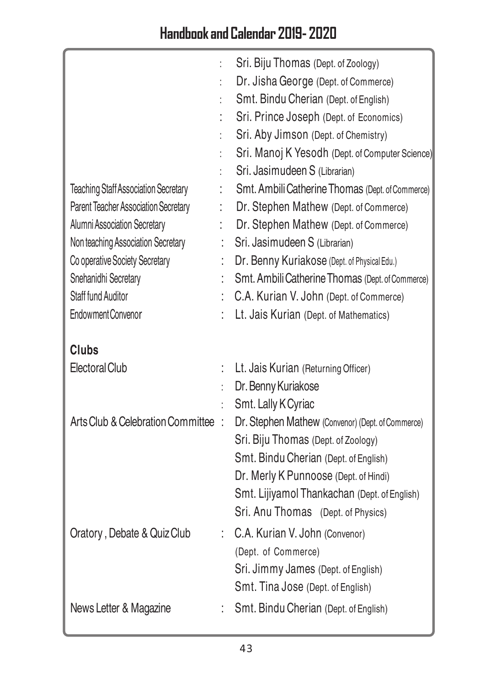|                                             |   | Sri. Biju Thomas (Dept. of Zoology)                                        |
|---------------------------------------------|---|----------------------------------------------------------------------------|
|                                             |   | Dr. Jisha George (Dept. of Commerce)                                       |
|                                             |   | Smt. Bindu Cherian (Dept. of English)                                      |
|                                             |   | Sri. Prince Joseph (Dept. of Economics)                                    |
|                                             |   | Sri. Aby Jimson (Dept. of Chemistry)                                       |
|                                             |   | Sri. Manoj K Yesodh (Dept. of Computer Science)                            |
|                                             |   | Sri. Jasimudeen S (Librarian)                                              |
| <b>Teaching Staff Association Secretary</b> |   | Smt. Ambili Catherine Thomas (Dept. of Commerce)                           |
| Parent Teacher Association Secretary        |   | Dr. Stephen Mathew (Dept. of Commerce)                                     |
| <b>Alumni Association Secretary</b>         |   | Dr. Stephen Mathew (Dept. of Commerce)                                     |
| Non teaching Association Secretary          |   | Sri. Jasimudeen S (Librarian)                                              |
| Co operative Society Secretary              |   | Dr. Benny Kuriakose (Dept. of Physical Edu.)                               |
| Snehanidhi Secretary                        |   | Smt. Ambili Catherine Thomas (Dept. of Commerce)                           |
| Staff fund Auditor                          |   | C.A. Kurian V. John (Dept. of Commerce)                                    |
| <b>Endowment Convenor</b>                   |   | Lt. Jais Kurian (Dept. of Mathematics)                                     |
|                                             |   |                                                                            |
| <b>Clubs</b>                                |   |                                                                            |
| Electoral Club                              |   | Lt. Jais Kurian (Returning Officer)                                        |
|                                             |   | Dr. Benny Kuriakose                                                        |
|                                             |   |                                                                            |
|                                             |   | Smt. Lally K Cyriac                                                        |
| Arts Club & Celebration Committee :         |   | Dr. Stephen Mathew (Convenor) (Dept. of Commerce)                          |
|                                             |   | Sri. Biju Thomas (Dept. of Zoology)                                        |
|                                             |   | Smt. Bindu Cherian (Dept. of English)                                      |
|                                             |   | Dr. Merly K Punnoose (Dept. of Hindi)                                      |
|                                             |   | Smt. Lijiyamol Thankachan (Dept. of English)                               |
|                                             |   | Sri. Anu Thomas (Dept. of Physics)                                         |
|                                             | t | C.A. Kurian V. John (Convenor)                                             |
| Oratory, Debate & Quiz Club                 |   | (Dept. of Commerce)                                                        |
|                                             |   | Sri. Jimmy James (Dept. of English)                                        |
|                                             |   |                                                                            |
| News Letter & Magazine                      |   | Smt. Tina Jose (Dept. of English)<br>Smt. Bindu Cherian (Dept. of English) |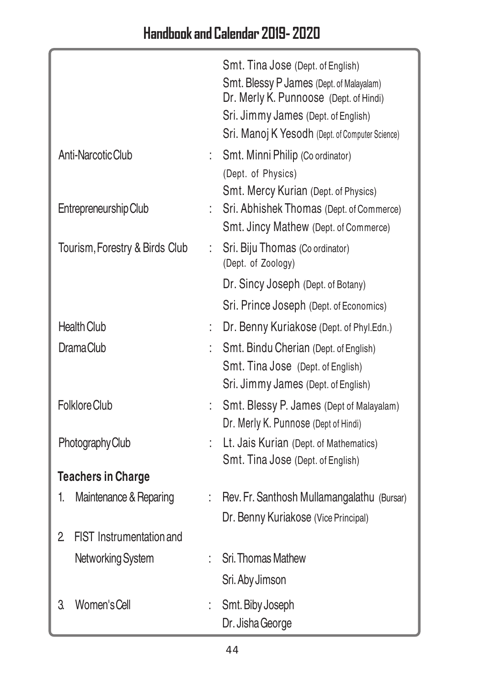|    |                                |    | Smt. Tina Jose (Dept. of English)                                                |
|----|--------------------------------|----|----------------------------------------------------------------------------------|
|    |                                |    | Smt. Blessy P James (Dept. of Malayalam)                                         |
|    |                                |    | Dr. Merly K. Punnoose (Dept. of Hindi)                                           |
|    |                                |    | Sri. Jimmy James (Dept. of English)                                              |
|    |                                |    | Sri. Manoj K Yesodh (Dept. of Computer Science)                                  |
|    | Anti-Narcotic Club             | t. | Smt. Minni Philip (Co ordinator)                                                 |
|    |                                |    | (Dept. of Physics)                                                               |
|    | Entrepreneurship Club          |    | Smt. Mercy Kurian (Dept. of Physics)<br>Sri. Abhishek Thomas (Dept. of Commerce) |
|    |                                |    | Smt. Jincy Mathew (Dept. of Commerce)                                            |
|    | Tourism, Forestry & Birds Club | t. | Sri. Biju Thomas (Co ordinator)                                                  |
|    |                                |    | (Dept. of Zoology)                                                               |
|    |                                |    | Dr. Sincy Joseph (Dept. of Botany)                                               |
|    |                                |    | Sri. Prince Joseph (Dept. of Economics)                                          |
|    | <b>Health Club</b>             | t. | Dr. Benny Kuriakose (Dept. of Phyl.Edn.)                                         |
|    | Drama Club                     |    | Smt. Bindu Cherian (Dept. of English)                                            |
|    |                                |    | Smt. Tina Jose (Dept. of English)                                                |
|    |                                |    | Sri. Jimmy James (Dept. of English)                                              |
|    | Folklore Club                  |    | Smt. Blessy P. James (Dept of Malayalam)                                         |
|    |                                |    | Dr. Merly K. Punnose (Dept of Hindi)                                             |
|    | Photography Club               |    | Lt. Jais Kurian (Dept. of Mathematics)                                           |
|    |                                |    | Smt. Tina Jose (Dept. of English)                                                |
|    | <b>Teachers in Charge</b>      |    |                                                                                  |
| 1. | Maintenance & Reparing         |    | Rev. Fr. Santhosh Mullamangalathu (Bursar)                                       |
|    |                                |    | Dr. Benny Kuriakose (Vice Principal)                                             |
| 2  | FIST Instrumentation and       |    |                                                                                  |
|    | Networking System              |    | Sri. Thomas Mathew                                                               |
|    |                                |    | Sri. Aby Jimson                                                                  |
| 3. | Women's Cell                   |    | Smt. Biby Joseph                                                                 |
|    |                                |    | Dr. Jisha George                                                                 |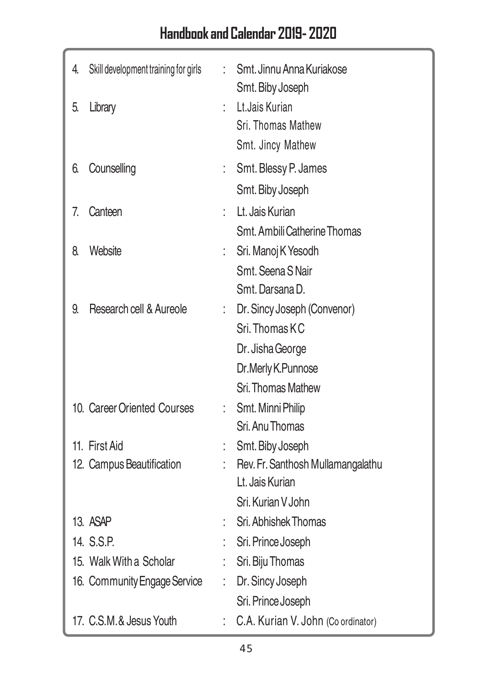# Handbook and Calendar 2019- 2020

| 4. | Skill development training for girls | t. | Smt. Jinnu Anna Kuriakose<br>Smt. Biby Joseph |
|----|--------------------------------------|----|-----------------------------------------------|
| 5. | Library                              | t. | Lt.Jais Kurian                                |
|    |                                      |    | Sri. Thomas Mathew                            |
|    |                                      |    | Smt. Jincy Mathew                             |
| 6. | Counselling                          | t, | Smt. Blessy P. James                          |
|    |                                      |    | Smt. Biby Joseph                              |
| 7. | Canteen                              |    | Lt. Jais Kurian                               |
|    |                                      |    | Smt. Ambili Catherine Thomas                  |
| 8. | Website                              | t, | Sri. Manoj K Yesodh                           |
|    |                                      |    | Smt. Seena S Nair                             |
|    |                                      |    | Smt. Darsana D.                               |
| 9. | Research cell & Aureole              | t. | Dr. Sincy Joseph (Convenor)                   |
|    |                                      |    | Sri. Thomas KC                                |
|    |                                      |    | Dr. Jisha George                              |
|    |                                      |    | Dr.Merly K.Punnose                            |
|    |                                      |    | Sri. Thomas Mathew                            |
|    | 10. Career Oriented Courses          | t. | Smt. Minni Philip                             |
|    |                                      |    | Sri. Anu Thomas                               |
|    | 11. First Aid                        |    | Smt. Biby Joseph                              |
|    | 12. Campus Beautification            |    | Rev. Fr. Santhosh Mullamangalathu             |
|    |                                      |    | Lt. Jais Kurian                               |
|    |                                      |    | Sri. Kurian V John                            |
|    | 13. ASAP                             |    | Sri. Abhishek Thomas                          |
|    | 14. S.S.P.                           |    | Sri. Prince Joseph                            |
|    | 15. Walk With a Scholar              | t. | Sri. Biju Thomas                              |
|    | 16. Community Engage Service         | t, | Dr. Sincy Joseph                              |
|    |                                      |    | Sri. Prince Joseph                            |
|    | 17. C.S.M.& Jesus Youth              | t. | C.A. Kurian V. John (Co ordinator)            |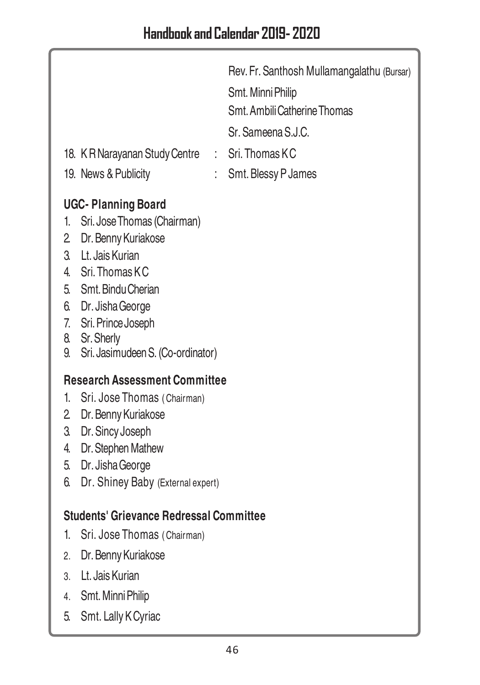| 18. K R Narayanan Study Centre<br>t.                                                                                                                                                                                                                                                       | Rev. Fr. Santhosh Mullamangalathu (Bursar)<br>Smt. Minni Philip<br>Smt. Ambili Catherine Thomas<br>Sr. Sameena S.J.C.<br>Sri. Thomas KC |
|--------------------------------------------------------------------------------------------------------------------------------------------------------------------------------------------------------------------------------------------------------------------------------------------|-----------------------------------------------------------------------------------------------------------------------------------------|
| 19. News & Publicity                                                                                                                                                                                                                                                                       | Smt. Blessy P James                                                                                                                     |
| <b>UGC-Planning Board</b><br>Sri. Jose Thomas (Chairman)<br>1.<br>$\overline{2}$<br>Dr. Benny Kuriakose<br>Lt. Jais Kurian<br>3.<br>4. Sri. Thomas KC<br>5. Smt. Bindu Cherian<br>6. Dr. Jisha George<br>7. Sri. Prince Joseph<br>8. Sr. Sherly<br>Sri. Jasimudeen S. (Co-ordinator)<br>9. |                                                                                                                                         |
| <b>Research Assessment Committee</b>                                                                                                                                                                                                                                                       |                                                                                                                                         |
| 1 <sup>1</sup><br>Sri. Jose Thomas (Chairman)<br>2 Dr. Benny Kuriakose                                                                                                                                                                                                                     |                                                                                                                                         |
| 3.<br>Dr. Sincy Joseph                                                                                                                                                                                                                                                                     |                                                                                                                                         |
| Dr. Stephen Mathew<br>4.                                                                                                                                                                                                                                                                   |                                                                                                                                         |
| Dr. Jisha George<br>5.                                                                                                                                                                                                                                                                     |                                                                                                                                         |
| 6.<br>Dr. Shiney Baby (External expert)                                                                                                                                                                                                                                                    |                                                                                                                                         |
| <b>Students' Grievance Redressal Committee</b>                                                                                                                                                                                                                                             |                                                                                                                                         |
| 1.<br>Sri. Jose Thomas (Chairman)                                                                                                                                                                                                                                                          |                                                                                                                                         |
| Dr. Benny Kuriakose<br>2.                                                                                                                                                                                                                                                                  |                                                                                                                                         |
| 3. Lt. Jais Kurian                                                                                                                                                                                                                                                                         |                                                                                                                                         |
| Smt. Minni Philip<br>4.                                                                                                                                                                                                                                                                    |                                                                                                                                         |
| 5.<br>Smt. Lally K Cyriac                                                                                                                                                                                                                                                                  |                                                                                                                                         |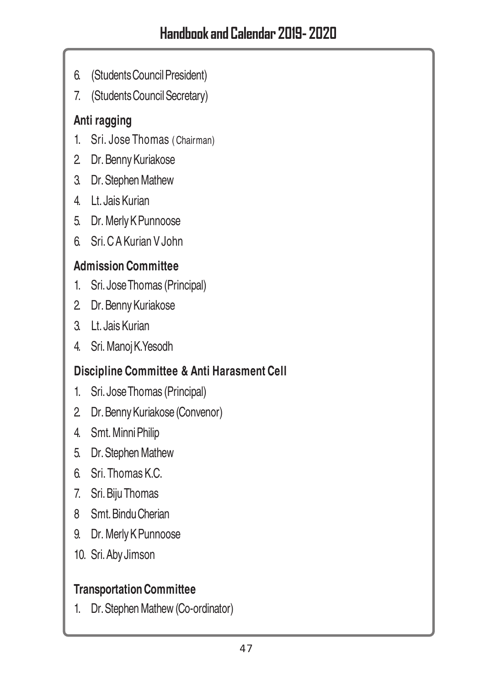- 6. (Students Council President)
- 7. (Students Council Secretary)

## **Anti ragging**

- 1. Sri. Jose Thomas ( Chairman)
- 2. Dr. Benny Kuriakose
- 3. Dr. Stephen Mathew
- 4. Lt. Jais Kurian
- 5. Dr. Merly K Punnoose
- 6. Sri. C A Kurian V John

## **Admission Committee**

- 1. Sri. Jose Thomas (Principal)
- 2. Dr. Benny Kuriakose
- 3. Lt. Jais Kurian
- 4. Sri. Manoj K.Yesodh

## **Discipline Committee & Anti Harasment Cell**

- 1. Sri. Jose Thomas (Principal)
- 2. Dr. Benny Kuriakose (Convenor)
- 4. Smt. Minni Philip
- 5. Dr. Stephen Mathew
- 6. Sri. Thomas K.C.
- 7. Sri. Biju Thomas
- 8 Smt. Bindu Cherian
- 9. Dr. Merly K Punnoose
- 10. Sri. Aby Jimson

## **Transportation Committee**

1. Dr. Stephen Mathew (Co-ordinator)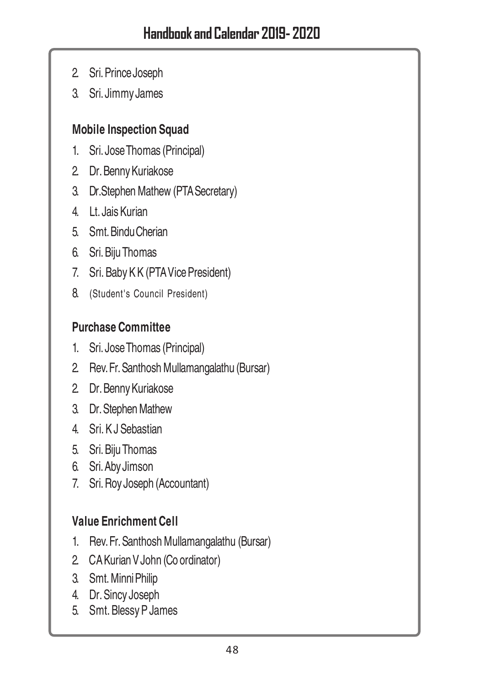- 2. Sri. Prince Joseph
- 3. Sri. Jimmy James

#### **Mobile Inspection Squad**

- 1. Sri. Jose Thomas (Principal)
- 2. Dr. Benny Kuriakose
- 3. Dr.Stephen Mathew (PTA Secretary)
- 4. Lt. Jais Kurian
- 5. Smt. Bindu Cherian
- 6. Sri. Biju Thomas
- 7. Sri. Baby K K (PTA Vice President)
- 8. (Student's Council President)

#### **Purchase Committee**

- 1. Sri. Jose Thomas (Principal)
- 2. Rev. Fr. Santhosh Mullamangalathu (Bursar)
- 2. Dr. Benny Kuriakose
- 3. Dr. Stephen Mathew
- 4. Sri. K J Sebastian
- 5. Sri. Biju Thomas
- 6. Sri. Aby Jimson
- 7. Sri. Roy Joseph (Accountant)

## **Value Enrichment Cell**

- 1. Rev. Fr. Santhosh Mullamangalathu (Bursar)
- 2. CA Kurian V John (Co ordinator)
- 3. Smt. Minni Philip
- 4. Dr. Sincy Joseph
- 5. Smt. Blessy P James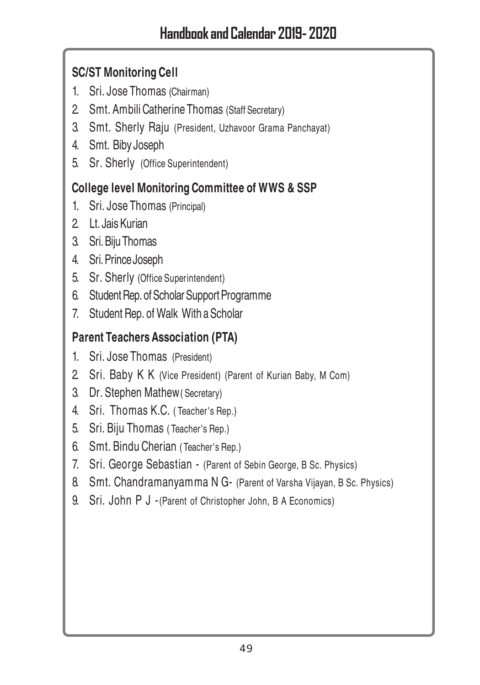## **SC/ST Monitoring Cell**

- 1. Sri. Jose Thomas (Chairman)
- 2. Smt. Ambili Catherine Thomas (Staff Secretary)
- 3. Smt. Sherly Raju (President, Uzhavoor Grama Panchayat)
- 4. Smt. Biby Joseph
- 5. Sr. Sherly (Office Superintendent)

## **College level Monitoring Committee of WWS & SSP**

- 1. Sri. Jose Thomas (Principal)
- 2. Lt. Jais Kurian
- 3. Sri. Biju Thomas
- 4. Sri. Prince Joseph
- 5. Sr. Sherly (Office Superintendent)
- 6. Student Rep. of Scholar Support Programme
- 7. Student Rep. of Walk With a Scholar

## **Parent Teachers Association (PTA)**

- 1. Sri. Jose Thomas (President)
- 2. Sri. Baby K K (Vice President) (Parent of Kurian Baby, M Com)
- 3. Dr. Stephen Mathew( Secretary)
- 4. Sri. Thomas K.C. ( Teacher's Rep.)
- 5. Sri. Biju Thomas ( Teacher's Rep.)
- 6. Smt. Bindu Cherian ( Teacher's Rep.)
- 7. Sri. George Sebastian (Parent of Sebin George, B Sc. Physics)
- 8. Smt. Chandramanyamma N G- (Parent of Varsha Vijayan, B Sc. Physics)
- 9. Sri. John P J -(Parent of Christopher John, B A Economics)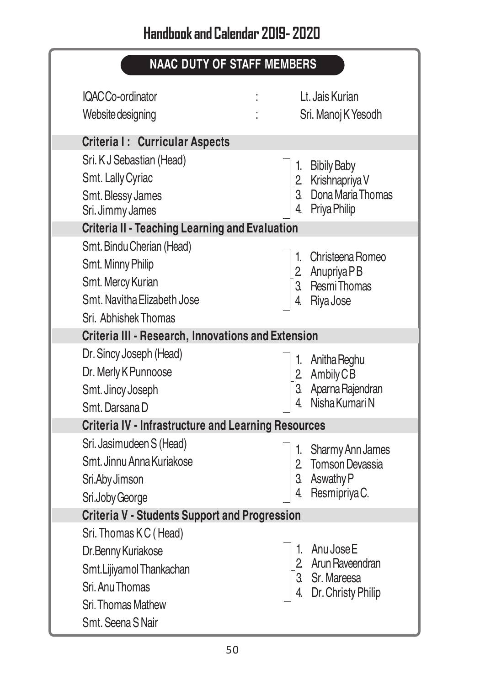# **NAAC DUTY OF STAFF MEMBERS**

| IQAC Co-ordinator<br>Website designing                                                                                                | Lt. Jais Kurian<br>Sri. Manoj K Yesodh                                            |
|---------------------------------------------------------------------------------------------------------------------------------------|-----------------------------------------------------------------------------------|
| Criteria I: Curricular Aspects                                                                                                        |                                                                                   |
| Sri. K J Sebastian (Head)<br>Smt. Lally Cyriac<br>Smt. Blessy James<br>Sri. Jimmy James                                               | 1. Bibily Baby<br>2. Krishnapriya V<br>3. Dona Maria Thomas<br>4.<br>Priya Philip |
| <b>Criteria II - Teaching Learning and Evaluation</b>                                                                                 |                                                                                   |
| Smt. Bindu Cherian (Head)<br>Smt. Minny Philip<br>Smt. Mercy Kurian<br>Smt. Navitha Elizabeth Jose<br>Sri. Abhishek Thomas            | 1. Christeena Romeo<br>2 Anupriya PB<br>3 Resmi Thomas<br>Riya Jose               |
| Criteria III - Research, Innovations and Extension                                                                                    |                                                                                   |
| Dr. Sincy Joseph (Head)<br>Dr. Merly K Punnoose<br>Smt. Jincy Joseph<br>Smt. Darsana D                                                | 1. Anitha Reghu<br>2. Ambily CB<br>3. Aparna Rajendran<br>Nisha Kumari N          |
| <b>Criteria IV - Infrastructure and Learning Resources</b>                                                                            |                                                                                   |
| Sri. Jasimudeen S (Head)<br>Smt. Jinnu Anna Kuriakose<br>Sri.Aby Jimson<br>Sri.Joby George                                            | 1. Sharmy Ann James<br>2. Tomson Devassia<br>3. Aswathy P<br>Resmipriya C.        |
| <b>Criteria V - Students Support and Progression</b>                                                                                  |                                                                                   |
| Sri. Thomas KC (Head)<br>Dr.Benny Kuriakose<br>Smt.Lijiyamol Thankachan<br>Sri. Anu Thomas<br>Sri. Thomas Mathew<br>Smt. Seena S Nair | 1. Anu Jose E<br>2. Arun Raveendran<br>Sr. Mareesa<br>Dr. Christy Philip          |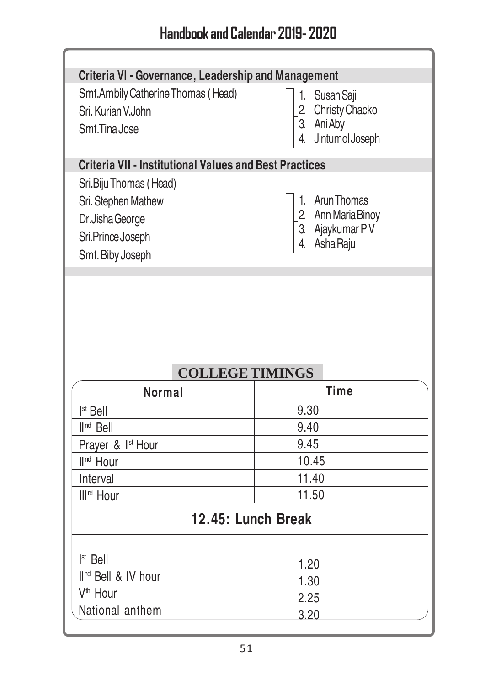ł

Ń

| Criteria VI - Governance, Leadership and Management<br>Smt.Ambily Catherine Thomas (Head)    | 1. Susan Saji          |  |                  |
|----------------------------------------------------------------------------------------------|------------------------|--|------------------|
| Sri. Kurian V.John                                                                           | 2 Christy Chacko       |  |                  |
| Smt.Tina Jose                                                                                | 3. Ani Aby             |  |                  |
|                                                                                              | Jintumol Joseph<br>4.  |  |                  |
| <b>Criteria VII - Institutional Values and Best Practices</b>                                |                        |  |                  |
| Sri.Biju Thomas (Head)                                                                       |                        |  |                  |
| Sri. Stephen Mathew                                                                          | Arun Thomas<br>1.      |  |                  |
| 2 Ann Maria Binoy<br>Dr.Jisha George<br>3. Ajaykumar PV<br>Sri.Prince Joseph<br>4. Asha Raju |                        |  |                  |
|                                                                                              |                        |  | Smt. Biby Joseph |
|                                                                                              | <b>COLLEGE TIMINGS</b> |  |                  |
| <b>Normal</b>                                                                                | <b>Time</b>            |  |                  |
| Ist Bell                                                                                     | 9.30                   |  |                  |
| $\mathbb{I}^{\mathsf{nd}}$ Bell                                                              | 9.40                   |  |                  |
| Prayer & I <sup>st</sup> Hour                                                                | 9.45                   |  |                  |
| II <sup>nd</sup> Hour                                                                        | 10.45                  |  |                  |
| Interval                                                                                     | 11.40                  |  |                  |
| III <sup>rd</sup> Hour                                                                       | 11.50                  |  |                  |
|                                                                                              | 12.45: Lunch Break     |  |                  |
| $Ist$ Bell                                                                                   |                        |  |                  |
| II <sup>nd</sup> Bell & IV hour                                                              | 1.20                   |  |                  |
| V <sup>th</sup> Hour<br>National anthem                                                      | 1.30<br>2.25           |  |                  |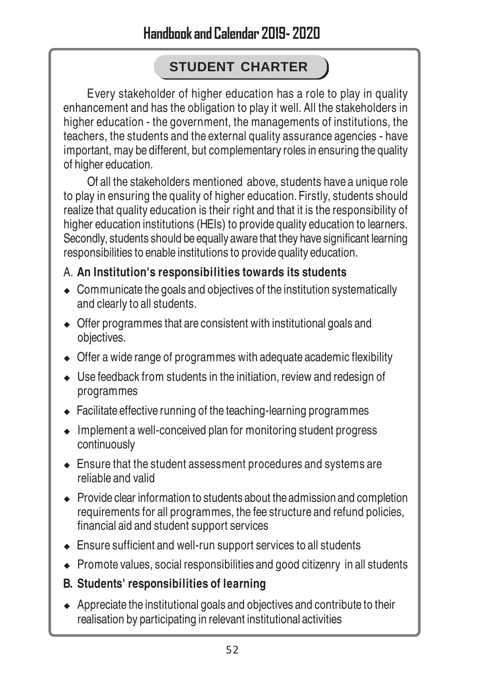## **STUDENT CHARTER**

Every stakeholder of higher education has a role to play in quality enhancement and has the obligation to play it well. All the stakeholders in higher education - the government, the managements of institutions, the teachers, the students and the external quality assurance agencies - have important, may be different, but complementary roles in ensuring the quality of higher education.

Of all the stakeholders mentioned above, students have a unique role to play in ensuring the quality of higher education. Firstly, students should realize that quality education is their right and that it is the responsibility of higher education institutions (HEIs) to provide quality education to learners. Secondly, students should be equally aware that they have significant learning responsibilities to enable institutions to provide quality education.

#### A. **An Institution's responsibilities towards its students**

- $\bullet$  Communicate the goals and objectives of the institution systematically and clearly to all students.
- $\triangleleft$  Offer programmes that are consistent with institutional goals and objectives.
- $\bullet$  Offer a wide range of programmes with adequate academic flexibility
- $\bullet$  Use feedback from students in the initiation, review and redesign of programmes
- $\triangle$  Facilitate effective running of the teaching-learning programmes
- $\bullet$  Implement a well-conceived plan for monitoring student progress continuously
- $\triangle$  Ensure that the student assessment procedures and systems are reliable and valid
- $\rightarrow$  Provide clear information to students about the admission and completion requirements for all programmes, the fee structure and refund policies, financial aid and student support services
- $\triangle$  Ensure sufficient and well-run support services to all students
- $\bullet$  Promote values, social responsibilities and good citizenry in all students
- **B. Students' responsibilities of learning**
- $\triangle$  Appreciate the institutional goals and objectives and contribute to their realisation by participating in relevant institutional activities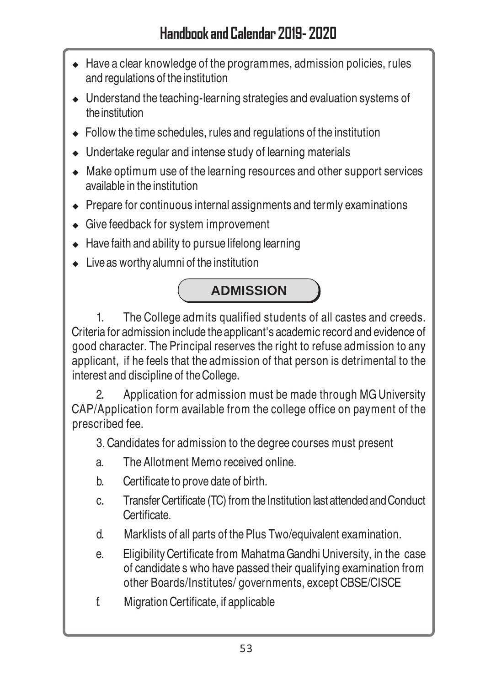## Handbook and Calendar 2019- 2020

- $\triangleleft$  Have a clear knowledge of the programmes, admission policies, rules and regulations of the institution
- $\bullet$  Understand the teaching-learning strategies and evaluation systems of the institution
- $\bullet$  Follow the time schedules, rules and regulations of the institution
- $\bullet$  Undertake regular and intense study of learning materials
- $\bullet$  Make optimum use of the learning resources and other support services available in the institution
- $\rightarrow$  Prepare for continuous internal assignments and termly examinations
- $\triangleleft$  Give feedback for system improvement
- $\triangle$  Have faith and ability to pursue lifelong learning
- $\bullet$  Live as worthy alumni of the institution



1. The College admits qualified students of all castes and creeds. Criteria for admission include the applicant's academic record and evidence of good character. The Principal reserves the right to refuse admission to any applicant, if he feels that the admission of that person is detrimental to the interest and discipline of the College.

2. Application for admission must be made through MG University CAP/Application form available from the college office on payment of the prescribed fee.

3. Candidates for admission to the degree courses must present

- a. The Allotment Memo received online.
- b. Certificate to prove date of birth.
- c. Transfer Certificate (TC) from the Institution last attended and Conduct **Certificate**
- d. Marklists of all parts of the Plus Two/equivalent examination.
- e. Eligibility Certificate from Mahatma Gandhi University, in the case of candidate s who have passed their qualifying examination from other Boards/Institutes/ governments, except CBSE/CISCE
- f. Migration Certificate, if applicable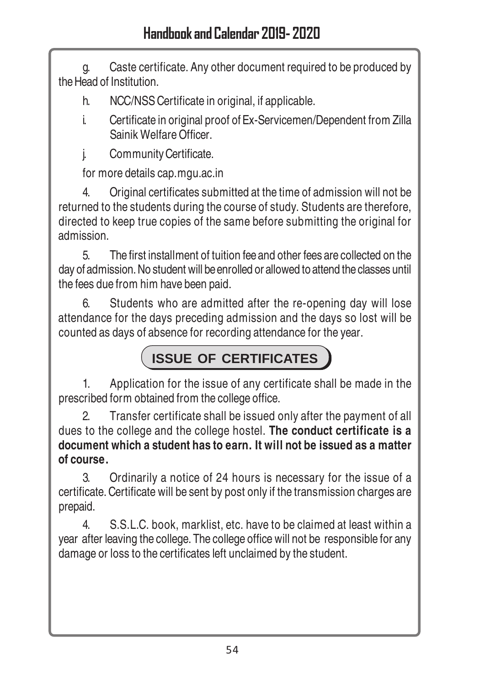g. Caste certificate. Any other document required to be produced by the Head of Institution.

- h. NCC/NSS Certificate in original, if applicable.
- i. Certificate in original proof of Ex-Servicemen/Dependent from Zilla Sainik Welfare Officer.

j. Community Certificate.

for more details cap.mgu.ac.in

4. Original certificates submitted at the time of admission will not be returned to the students during the course of study. Students are therefore, directed to keep true copies of the same before submitting the original for admission.

5. The first installment of tuition fee and other fees are collected on the day of admission. No student will be enrolled or allowed to attend the classes until the fees due from him have been paid.

6. Students who are admitted after the re-opening day will lose attendance for the days preceding admission and the days so lost will be counted as days of absence for recording attendance for the year.

# **ISSUE OF CERTIFICATES**

1. Application for the issue of any certificate shall be made in the prescribed form obtained from the college office.

2. Transfer certificate shall be issued only after the payment of all dues to the college and the college hostel. **The conduct certificate is a document which a student has to earn. It will not be issued as a matter of course.**

3. Ordinarily a notice of 24 hours is necessary for the issue of a certificate. Certificate will be sent by post only if the transmission charges are prepaid.

4. S.S.L.C. book, marklist, etc. have to be claimed at least within a year after leaving the college. The college office will not be responsible for any damage or loss to the certificates left unclaimed by the student.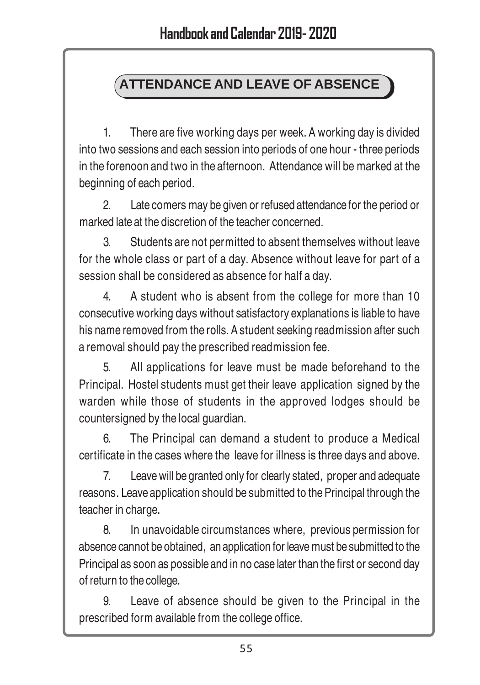## **ATTENDANCE AND LEAVE OF ABSENCE**

1. There are five working days per week. A working day is divided into two sessions and each session into periods of one hour - three periods in the forenoon and two in the afternoon. Attendance will be marked at the beginning of each period.

2. Late comers may be given or refused attendance for the period or marked late at the discretion of the teacher concerned.

3. Students are not permitted to absent themselves without leave for the whole class or part of a day. Absence without leave for part of a session shall be considered as absence for half a day.

4. A student who is absent from the college for more than 10 consecutive working days without satisfactory explanations is liable to have his name removed from the rolls. A student seeking readmission after such a removal should pay the prescribed readmission fee.

5. All applications for leave must be made beforehand to the Principal. Hostel students must get their leave application signed by the warden while those of students in the approved lodges should be countersigned by the local guardian.

6. The Principal can demand a student to produce a Medical certificate in the cases where the leave for illness is three days and above.

7. Leave will be granted only for clearly stated, proper and adequate reasons. Leave application should be submitted to the Principal through the teacher in charge.

8. In unavoidable circumstances where, previous permission for absence cannot be obtained, an application for leave must be submitted to the Principal as soon as possible and in no case later than the first or second day of return to the college.

9. Leave of absence should be given to the Principal in the prescribed form available from the college office.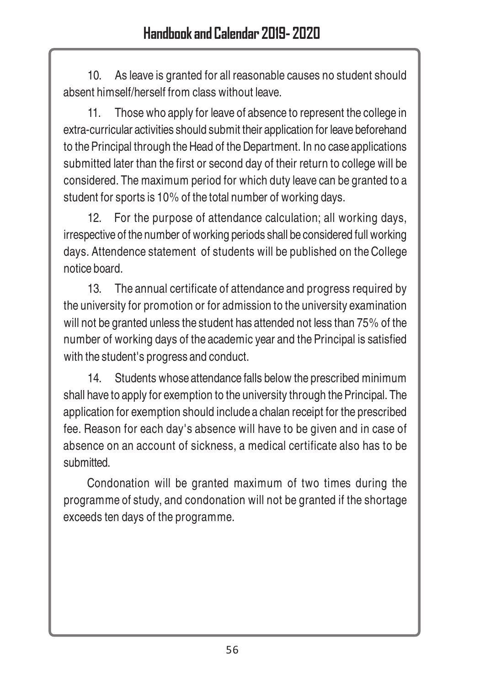10. As leave is granted for all reasonable causes no student should absent himself/herself from class without leave.

11. Those who apply for leave of absence to represent the college in extra-curricular activities should submit their application for leave beforehand to the Principal through the Head of the Department. In no case applications submitted later than the first or second day of their return to college will be considered. The maximum period for which duty leave can be granted to a student for sports is 10% of the total number of working days.

12. For the purpose of attendance calculation; all working days, irrespective of the number of working periods shall be considered full working days. Attendence statement of students will be published on the College notice board.

13. The annual certificate of attendance and progress required by the university for promotion or for admission to the university examination will not be granted unless the student has attended not less than 75% of the number of working days of the academic year and the Principal is satisfied with the student's progress and conduct.

14. Students whose attendance falls below the prescribed minimum shall have to apply for exemption to the university through the Principal. The application for exemption should include a chalan receipt for the prescribed fee. Reason for each day's absence will have to be given and in case of absence on an account of sickness, a medical certificate also has to be submitted.

Condonation will be granted maximum of two times during the programme of study, and condonation will not be granted if the shortage exceeds ten days of the programme.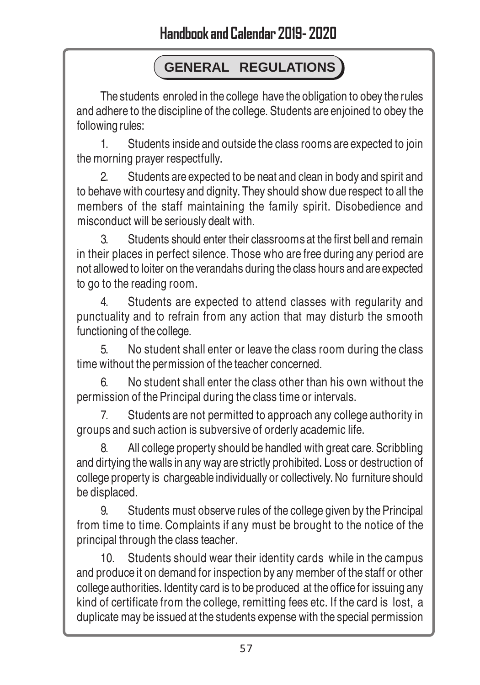## **GENERAL REGULATIONS**

The students enroled in the college have the obligation to obey the rules and adhere to the discipline of the college. Students are enjoined to obey the following rules:

1. Students inside and outside the class rooms are expected to join the morning prayer respectfully.

2. Students are expected to be neat and clean in body and spirit and to behave with courtesy and dignity. They should show due respect to all the members of the staff maintaining the family spirit. Disobedience and misconduct will be seriously dealt with.

3. Students should enter their classrooms at the first bell and remain in their places in perfect silence. Those who are free during any period are not allowed to loiter on the verandahs during the class hours and are expected to go to the reading room.

4. Students are expected to attend classes with regularity and punctuality and to refrain from any action that may disturb the smooth functioning of the college.

5. No student shall enter or leave the class room during the class time without the permission of the teacher concerned.

6. No student shall enter the class other than his own without the permission of the Principal during the class time or intervals.

7. Students are not permitted to approach any college authority in groups and such action is subversive of orderly academic life.

8. All college property should be handled with great care. Scribbling and dirtying the walls in any way are strictly prohibited. Loss or destruction of college property is chargeable individually or collectively. No furniture should be displaced.

9. Students must observe rules of the college given by the Principal from time to time. Complaints if any must be brought to the notice of the principal through the class teacher.

10. Students should wear their identity cards while in the campus and produce it on demand for inspection by any member of the staff or other college authorities. Identity card is to be produced at the office for issuing any kind of certificate from the college, remitting fees etc. If the card is lost, a duplicate may be issued at the students expense with the special permission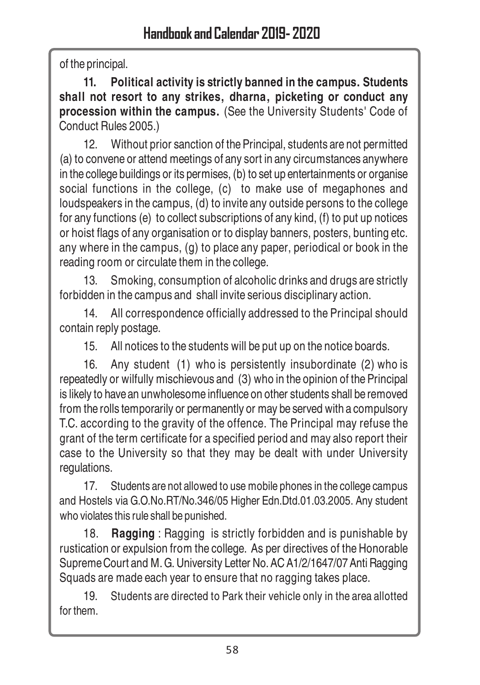of the principal.

**11. Political activity is strictly banned in the campus. Students shall not resort to any strikes, dharna, picketing or conduct any procession within the campus.** (See the University Students' Code of Conduct Rules 2005.)

12. Without prior sanction of the Principal, students are not permitted (a) to convene or attend meetings of any sort in any circumstances anywhere in the college buildings or its permises, (b) to set up entertainments or organise social functions in the college, (c) to make use of megaphones and loudspeakers in the campus, (d) to invite any outside persons to the college for any functions (e) to collect subscriptions of any kind, (f) to put up notices or hoist flags of any organisation or to display banners, posters, bunting etc. any where in the campus, (g) to place any paper, periodical or book in the reading room or circulate them in the college.

13. Smoking, consumption of alcoholic drinks and drugs are strictly forbidden in the campus and shall invite serious disciplinary action.

14. All correspondence officially addressed to the Principal should contain reply postage.

15. All notices to the students will be put up on the notice boards.

16. Any student (1) who is persistently insubordinate (2) who is repeatedly or wilfully mischievous and (3) who in the opinion of the Principal is likely to have an unwholesome influence on other students shall be removed from the rolls temporarily or permanently or may be served with a compulsory T.C. according to the gravity of the offence. The Principal may refuse the grant of the term certificate for a specified period and may also report their case to the University so that they may be dealt with under University regulations.

17. Students are not allowed to use mobile phones in the college campus and Hostels via G.O.No.RT/No.346/05 Higher Edn.Dtd.01.03.2005. Any student who violates this rule shall be punished.

18. **Ragging** : Ragging is strictly forbidden and is punishable by rustication or expulsion from the college. As per directives of the Honorable Supreme Court and M. G. University Letter No. AC A1/2/1647/07 Anti Ragging Squads are made each year to ensure that no ragging takes place.

19. Students are directed to Park their vehicle only in the area allotted for them.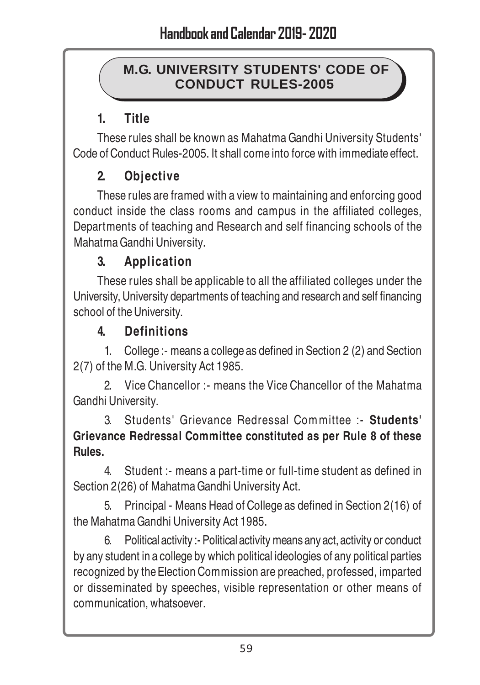#### **M.G. UNIVERSITY STUDENTS' CODE OF CONDUCT RULES-2005**

## **1. Title**

These rules shall be known as Mahatma Gandhi University Students' Code of Conduct Rules-2005. It shall come into force with immediate effect.

## **2. Objective**

These rules are framed with a view to maintaining and enforcing good conduct inside the class rooms and campus in the affiliated colleges, Departments of teaching and Research and self financing schools of the Mahatma Gandhi University.

## **3. Application**

These rules shall be applicable to all the affiliated colleges under the University, University departments of teaching and research and self financing school of the University.

## **4. Definitions**

1. College :- means a college as defined in Section 2 (2) and Section 2(7) of the M.G. University Act 1985.

2. Vice Chancellor :- means the Vice Chancellor of the Mahatma Gandhi University.

3. Students' Grievance Redressal Committee :- **Students' Grievance Redressal Committee constituted as per Rule 8 of these Rules.**

4. Student :- means a part-time or full-time student as defined in Section 2(26) of Mahatma Gandhi University Act.

5. Principal - Means Head of College as defined in Section 2(16) of the Mahatma Gandhi University Act 1985.

6. Political activity :- Political activity means any act, activity or conduct by any student in a college by which political ideologies of any political parties recognized by the Election Commission are preached, professed, imparted or disseminated by speeches, visible representation or other means of communication, whatsoever.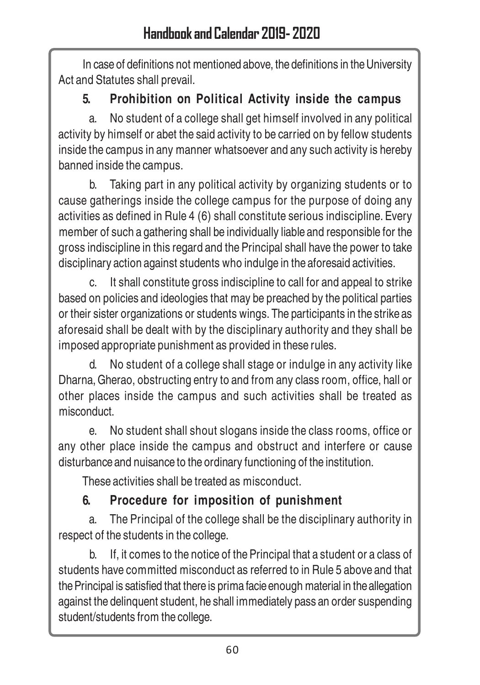In case of definitions not mentioned above, the definitions in the University Act and Statutes shall prevail.

## **5. Prohibition on Political Activity inside the campus**

a. No student of a college shall get himself involved in any political activity by himself or abet the said activity to be carried on by fellow students inside the campus in any manner whatsoever and any such activity is hereby banned inside the campus.

b. Taking part in any political activity by organizing students or to cause gatherings inside the college campus for the purpose of doing any activities as defined in Rule 4 (6) shall constitute serious indiscipline. Every member of such a gathering shall be individually liable and responsible for the gross indiscipline in this regard and the Principal shall have the power to take disciplinary action against students who indulge in the aforesaid activities.

c. It shall constitute gross indiscipline to call for and appeal to strike based on policies and ideologies that may be preached by the political parties or their sister organizations or students wings. The participants in the strike as aforesaid shall be dealt with by the disciplinary authority and they shall be imposed appropriate punishment as provided in these rules.

d. No student of a college shall stage or indulge in any activity like Dharna, Gherao, obstructing entry to and from any class room, office, hall or other places inside the campus and such activities shall be treated as misconduct.

e. No student shall shout slogans inside the class rooms, office or any other place inside the campus and obstruct and interfere or cause disturbance and nuisance to the ordinary functioning of the institution.

These activities shall be treated as misconduct.

## **6. Procedure for imposition of punishment**

a. The Principal of the college shall be the disciplinary authority in respect of the students in the college.

b. If, it comes to the notice of the Principal that a student or a class of students have committed misconduct as referred to in Rule 5 above and that the Principal is satisfied that there is prima facie enough material in the allegation against the delinquent student, he shall immediately pass an order suspending student/students from the college.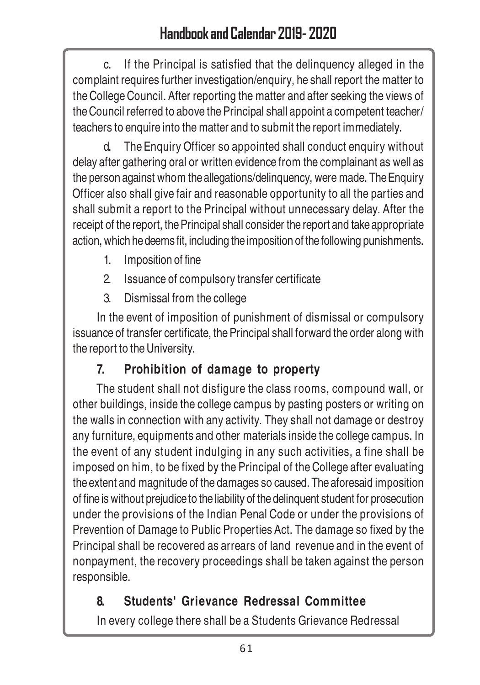c. If the Principal is satisfied that the delinquency alleged in the complaint requires further investigation/enquiry, he shall report the matter to the College Council. After reporting the matter and after seeking the views of the Council referred to above the Principal shall appoint a competent teacher/ teachers to enquire into the matter and to submit the report immediately.

d. The Enquiry Officer so appointed shall conduct enquiry without delay after gathering oral or written evidence from the complainant as well as the person against whom the allegations/delinquency, were made. The Enquiry Officer also shall give fair and reasonable opportunity to all the parties and shall submit a report to the Principal without unnecessary delay. After the receipt of the report, the Principal shall consider the report and take appropriate action, which he deems fit, including the imposition of the following punishments.

- 1. Imposition of fine
- 2. Issuance of compulsory transfer certificate
- 3. Dismissal from the college

In the event of imposition of punishment of dismissal or compulsory issuance of transfer certificate, the Principal shall forward the order along with the report to the University.

## **7. Prohibition of damage to property**

The student shall not disfigure the class rooms, compound wall, or other buildings, inside the college campus by pasting posters or writing on the walls in connection with any activity. They shall not damage or destroy any furniture, equipments and other materials inside the college campus. In the event of any student indulging in any such activities, a fine shall be imposed on him, to be fixed by the Principal of the College after evaluating the extent and magnitude of the damages so caused. The aforesaid imposition of fine is without prejudice to the liability of the delinquent student for prosecution under the provisions of the Indian Penal Code or under the provisions of Prevention of Damage to Public Properties Act. The damage so fixed by the Principal shall be recovered as arrears of land revenue and in the event of nonpayment, the recovery proceedings shall be taken against the person responsible.

## **8. Students' Grievance Redressal Committee**

In every college there shall be a Students Grievance Redressal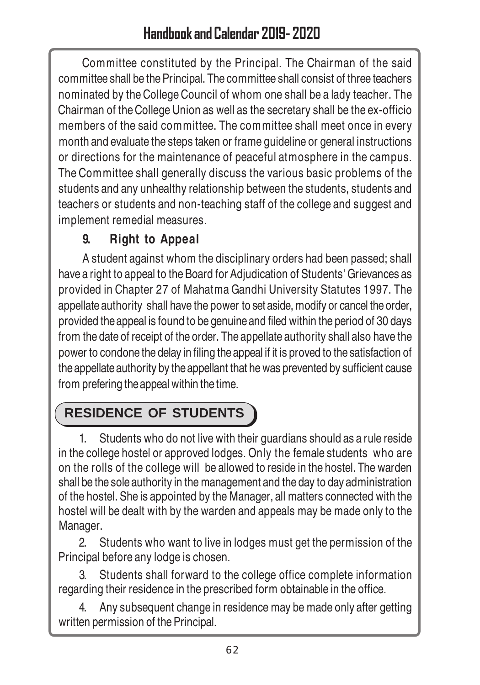Committee constituted by the Principal. The Chairman of the said committee shall be the Principal. The committee shall consist of three teachers nominated by the College Council of whom one shall be a lady teacher. The Chairman of the College Union as well as the secretary shall be the ex-officio members of the said committee. The committee shall meet once in every month and evaluate the steps taken or frame guideline or general instructions or directions for the maintenance of peaceful atmosphere in the campus. The Committee shall generally discuss the various basic problems of the students and any unhealthy relationship between the students, students and teachers or students and non-teaching staff of the college and suggest and implement remedial measures.

## **9. Right to Appeal**

A student against whom the disciplinary orders had been passed; shall have a right to appeal to the Board for Adjudication of Students' Grievances as provided in Chapter 27 of Mahatma Gandhi University Statutes 1997. The appellate authority shall have the power to set aside, modify or cancel the order, provided the appeal is found to be genuine and filed within the period of 30 days from the date of receipt of the order. The appellate authority shall also have the power to condone the delay in filing the appeal if it is proved to the satisfaction of the appellate authority by the appellant that he was prevented by sufficient cause from prefering the appeal within the time.

# **RESIDENCE OF STUDENTS**

1. Students who do not live with their guardians should as a rule reside in the college hostel or approved lodges. Only the female students who are on the rolls of the college will be allowed to reside in the hostel. The warden shall be the sole authority in the management and the day to day administration of the hostel. She is appointed by the Manager, all matters connected with the hostel will be dealt with by the warden and appeals may be made only to the Manager.

2. Students who want to live in lodges must get the permission of the Principal before any lodge is chosen.

3. Students shall forward to the college office complete information regarding their residence in the prescribed form obtainable in the office.

4. Any subsequent change in residence may be made only after getting written permission of the Principal.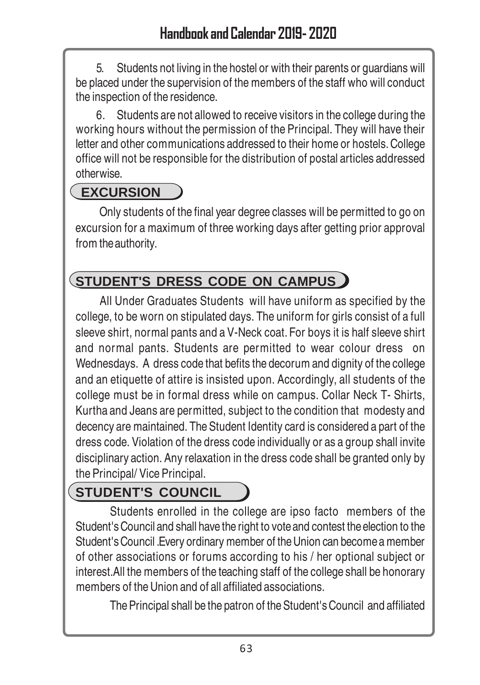5. Students not living in the hostel or with their parents or guardians will be placed under the supervision of the members of the staff who will conduct the inspection of the residence.

 6. Students are not allowed to receive visitors in the college during the working hours without the permission of the Principal. They will have their letter and other communications addressed to their home or hostels. College office will not be responsible for the distribution of postal articles addressed otherwise.

## **EXCURSION**

Only students of the final year degree classes will be permitted to go on excursion for a maximum of three working days after getting prior approval from the authority.

## **STUDENT'S DRESS CODE ON CAMPUS**

All Under Graduates Students will have uniform as specified by the college, to be worn on stipulated days. The uniform for girls consist of a full sleeve shirt, normal pants and a V-Neck coat. For boys it is half sleeve shirt and normal pants. Students are permitted to wear colour dress on Wednesdays. A dress code that befits the decorum and dignity of the college and an etiquette of attire is insisted upon. Accordingly, all students of the college must be in formal dress while on campus. Collar Neck T- Shirts, Kurtha and Jeans are permitted, subject to the condition that modesty and decency are maintained. The Student Identity card is considered a part of the dress code. Violation of the dress code individually or as a group shall invite disciplinary action. Any relaxation in the dress code shall be granted only by the Principal/ Vice Principal.

## **STUDENT'S COUNCIL**

Students enrolled in the college are ipso facto members of the Student's Council and shall have the right to vote and contest the election to the Student's Council .Every ordinary member of the Union can become a member of other associations or forums according to his / her optional subject or interest.All the members of the teaching staff of the college shall be honorary members of the Union and of all affiliated associations.

The Principal shall be the patron of the Student's Council and affiliated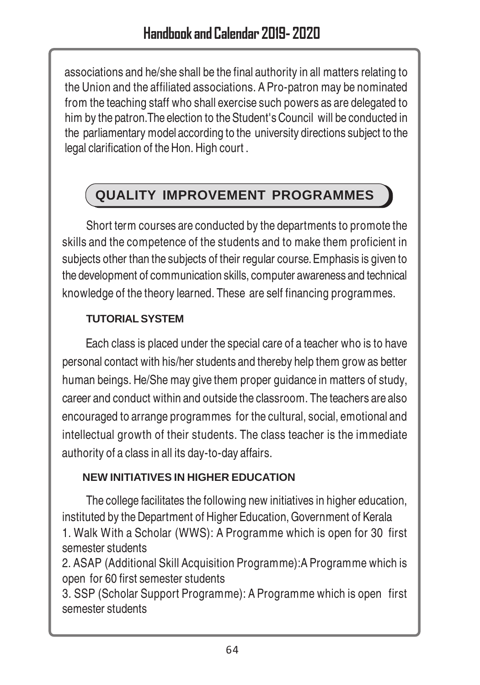associations and he/she shall be the final authority in all matters relating to the Union and the affiliated associations. A Pro-patron may be nominated from the teaching staff who shall exercise such powers as are delegated to him by the patron.The election to the Student's Council will be conducted in the parliamentary model according to the university directions subject to the legal clarification of the Hon. High court .

## **QUALITY IMPROVEMENT PROGRAMMES**

Short term courses are conducted by the departments to promote the skills and the competence of the students and to make them proficient in subjects other than the subjects of their regular course. Emphasis is given to the development of communication skills, computer awareness and technical knowledge of the theory learned. These are self financing programmes.

#### **TUTORIAL SYSTEM**

Each class is placed under the special care of a teacher who is to have personal contact with his/her students and thereby help them grow as better human beings. He/She may give them proper guidance in matters of study, career and conduct within and outside the classroom. The teachers are also encouraged to arrange programmes for the cultural, social, emotional and intellectual growth of their students. The class teacher is the immediate authority of a class in all its day-to-day affairs.

#### **NEW INITIATIVES IN HIGHER EDUCATION**

The college facilitates the following new initiatives in higher education, instituted by the Department of Higher Education, Government of Kerala 1. Walk With a Scholar (WWS): A Programme which is open for 30 first semester students

2. ASAP (Additional Skill Acquisition Programme):A Programme which is open for 60 first semester students

3. SSP (Scholar Support Programme): A Programme which is open first semester students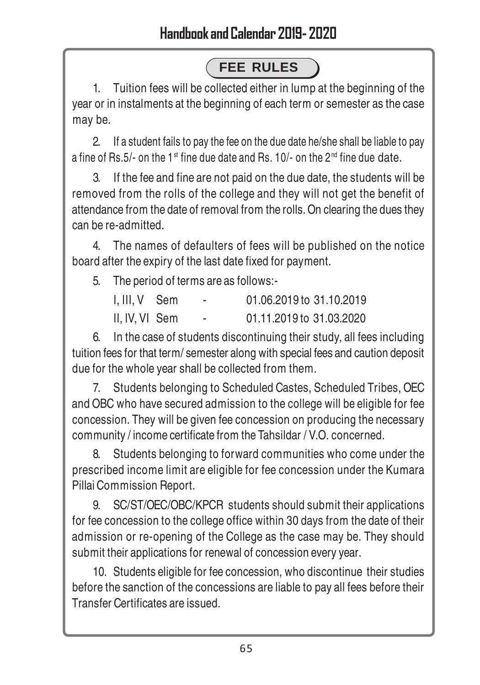# **FEE RULES**

1. Tuition fees will be collected either in lump at the beginning of the year or in instalments at the beginning of each term or semester as the case may be.

2. If a student fails to pay the fee on the due date he/she shall be liable to pay a fine of Rs.5/- on the 1<sup>st</sup> fine due date and Rs. 10/- on the 2<sup>nd</sup> fine due date.

3. If the fee and fine are not paid on the due date, the students will be removed from the rolls of the college and they will not get the benefit of attendance from the date of removal from the rolls. On clearing the dues they can be re-admitted.

4. The names of defaulters of fees will be published on the notice board after the expiry of the last date fixed for payment.

5. The period of terms are as follows:-

| I, III, V Sem  | $\overline{\phantom{a}}$ | 01.06.2019 to 31.10.2019 |
|----------------|--------------------------|--------------------------|
| II, IV, VI Sem | -                        | 01.11.2019 to 31.03.2020 |

6. In the case of students discontinuing their study, all fees including tuition fees for that term/ semester along with special fees and caution deposit due for the whole year shall be collected from them.

7. Students belonging to Scheduled Castes, Scheduled Tribes, OEC and OBC who have secured admission to the college will be eligible for fee concession. They will be given fee concession on producing the necessary community / income certificate from the Tahsildar / V.O. concerned.

8. Students belonging to forward communities who come under the prescribed income limit are eligible for fee concession under the Kumara Pillai Commission Report.

9. SC/ST/OEC/OBC/KPCR students should submit their applications for fee concession to the college office within 30 days from the date of their admission or re-opening of the College as the case may be. They should submit their applications for renewal of concession every year.

10. Students eligible for fee concession, who discontinue their studies before the sanction of the concessions are liable to pay all fees before their Transfer Certificates are issued.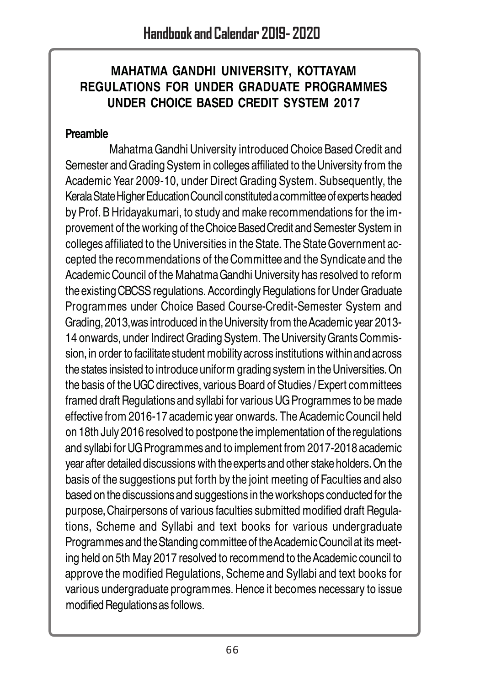#### **MAHATMA GANDHI UNIVERSITY, KOTTAYAM REGULATIONS FOR UNDER GRADUATE PROGRAMMES UNDER CHOICE BASED CREDIT SYSTEM 2017**

#### **Preamble**

Mahatma Gandhi University introduced Choice Based Credit and Semester and Grading System in colleges affiliated to the University from the Academic Year 2009-10, under Direct Grading System. Subsequently, the Kerala State Higher Education Council constituted a committee of experts headed by Prof. B Hridayakumari, to study and make recommendations for the improvement of the working of the Choice Based Credit and Semester System in colleges affiliated to the Universities in the State. The State Government accepted the recommendations of the Committee and the Syndicate and the Academic Council of the Mahatma Gandhi University has resolved to reform the existing CBCSS regulations. Accordingly Regulations for Under Graduate Programmes under Choice Based Course-Credit-Semester System and Grading, 2013,was introduced in the University from the Academic year 2013- 14 onwards, under Indirect Grading System. The University Grants Commission, in order to facilitate student mobility across institutions within and across the states insisted to introduce uniform grading system in the Universities. On the basis of the UGC directives, various Board of Studies / Expert committees framed draft Regulations and syllabi for various UG Programmes to be made effective from 2016-17 academic year onwards. The Academic Council held on 18th July 2016 resolved to postpone the implementation of the regulations and syllabi for UG Programmes and to implement from 2017-2018 academic year after detailed discussions with the experts and other stake holders. On the basis of the suggestions put forth by the joint meeting of Faculties and also based on the discussions and suggestions in the workshops conducted for the purpose, Chairpersons of various faculties submitted modified draft Regulations, Scheme and Syllabi and text books for various undergraduate Programmes and the Standing committee of the Academic Council at its meeting held on 5th May 2017 resolved to recommend to the Academic council to approve the modified Regulations, Scheme and Syllabi and text books for various undergraduate programmes. Hence it becomes necessary to issue modified Regulations as follows.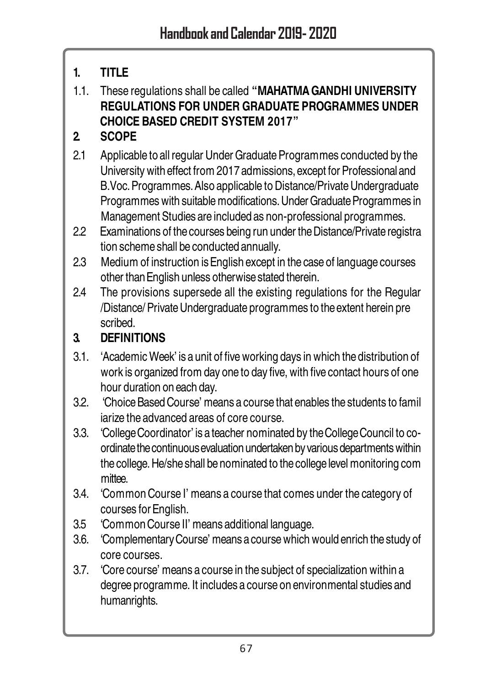## **1. TITLE**

1.1. These regulations shall be called **"MAHATMA GANDHI UNIVERSITY REGULATIONS FOR UNDER GRADUATE PROGRAMMES UNDER CHOICE BASED CREDIT SYSTEM 2017"**

## **2. SCOPE**

- 2.1 Applicable to all regular Under Graduate Programmes conducted by the University with effect from 2017 admissions, except for Professional and B.Voc. Programmes. Also applicable to Distance/Private Undergraduate Programmes with suitable modifications. Under Graduate Programmes in Management Studies are included as non-professional programmes.
- 2.2 Examinations of the courses being run under the Distance/Private registra tion scheme shall be conducted annually.
- 2.3 Medium of instruction is English except in the case of language courses other than English unless otherwise stated therein.
- 2.4 The provisions supersede all the existing regulations for the Regular /Distance/ Private Undergraduate programmes to the extent herein pre scribed.

## **3. DEFINITIONS**

- 3.1. 'Academic Week' is a unit of five working days in which the distribution of work is organized from day one to day five, with five contact hours of one hour duration on each day.
- 3.2. 'Choice Based Course' means a course that enables the students to famil iarize the advanced areas of core course.
- 3.3. 'College Coordinator' is a teacher nominated by the College Council to coordinate the continuous evaluation undertaken by various departments within the college. He/she shall be nominated to the college level monitoring com mittee.
- 3.4. 'Common Course I' means a course that comes under the category of courses for English.
- 3.5 'Common Course II' means additional language.
- 3.6. 'Complementary Course' means a course which would enrich the study of core courses.
- 3.7. 'Core course' means a course in the subject of specialization within a degree programme. It includes a course on environmental studies and humanrights.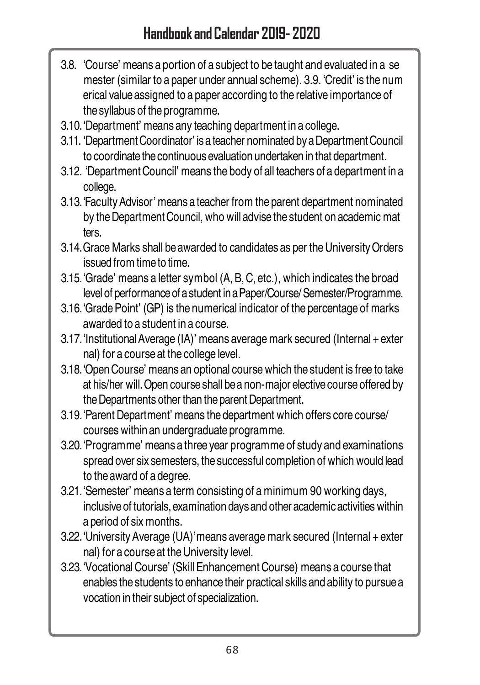- 3.8. 'Course' means a portion of a subject to be taught and evaluated in a se mester (similar to a paper under annual scheme). 3.9. 'Credit' is the num erical value assigned to a paper according to the relative importance of the syllabus of the programme.
- 3.10.'Department' means any teaching department in a college.
- 3.11. 'Department Coordinator' is a teacher nominated by a Department Council to coordinate the continuous evaluation undertaken in that department.
- 3.12. 'Department Council' means the body of all teachers of a department in a college.
- 3.13.'Faculty Advisor' means a teacher from the parent department nominated by the Department Council, who will advise the student on academic mat ters.
- 3.14.Grace Marks shall be awarded to candidates as per the University Orders issued from time to time.
- 3.15.'Grade' means a letter symbol (A, B, C, etc.), which indicates the broad level of performance of a student in a Paper/Course/ Semester/Programme.
- 3.16.'Grade Point' (GP) is the numerical indicator of the percentage of marks awarded to a student in a course.
- 3.17.'Institutional Average (IA)' means average mark secured (Internal + exter nal) for a course at the college level.
- 3.18.'Open Course' means an optional course which the student is free to take at his/her will. Open course shall be a non-major elective course offered by the Departments other than the parent Department.
- 3.19.'Parent Department' means the department which offers core course/ courses within an undergraduate programme.
- 3.20.'Programme' means a three year programme of study and examinations spread over six semesters, the successful completion of which would lead to the award of a degree.
- 3.21.'Semester' means a term consisting of a minimum 90 working days, inclusive of tutorials, examination days and other academic activities within a period of six months.
- 3.22.'University Average (UA)'means average mark secured (Internal + exter nal) for a course at the University level.
- 3.23.'Vocational Course' (Skill Enhancement Course) means a course that enables the students to enhance their practical skills and ability to pursue a vocation in their subject of specialization.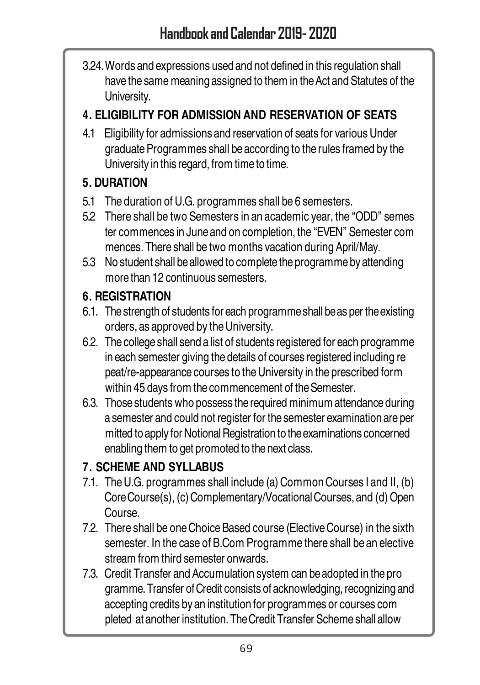3.24.Words and expressions used and not defined in this regulation shall have the same meaning assigned to them in the Act and Statutes of the University.

#### **4. ELIGIBILITY FOR ADMISSION AND RESERVATION OF SEATS**

4.1 Eligibility for admissions and reservation of seats for various Under graduate Programmes shall be according to the rules framed by the University in this regard, from time to time.

#### **5. DURATION**

- 5.1 The duration of U.G. programmes shall be 6 semesters.
- 5.2 There shall be two Semesters in an academic year, the "ODD" semes ter commences in June and on completion, the "EVEN" Semester com mences. There shall be two months vacation during April/May.
- 5.3 No student shall be allowed to complete the programme by attending more than 12 continuous semesters.

#### **6. REGISTRATION**

- 6.1. The strength of students for each programme shall be as per the existing orders, as approved by the University.
- 6.2. The college shall send a list of students registered for each programme in each semester giving the details of courses registered including re peat/re-appearance courses to the University in the prescribed form within 45 days from the commencement of the Semester.
- 6.3. Those students who possess the required minimum attendance during a semester and could not register for the semester examination are per mitted to apply for Notional Registration to the examinations concerned enabling them to get promoted to the next class.

#### **7. SCHEME AND SYLLABUS**

- 7.1. The U.G. programmes shall include (a) Common Courses I and II, (b) Core Course(s), (c) Complementary/Vocational Courses, and (d) Open Course.
- 7.2. There shall be one Choice Based course (Elective Course) in the sixth semester. In the case of B.Com Programme there shall be an elective stream from third semester onwards.
- 7.3. Credit Transfer and Accumulation system can be adopted in the pro gramme. Transfer of Credit consists of acknowledging, recognizing and accepting credits by an institution for programmes or courses com pleted at another institution. The Credit Transfer Scheme shall allow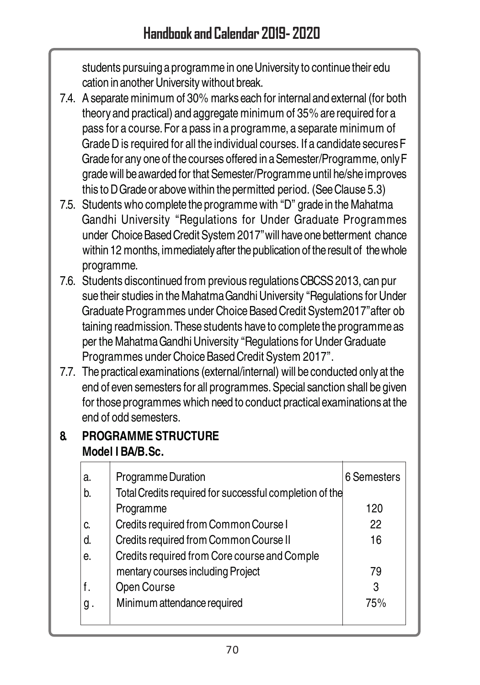students pursuing a programme in one University to continue their edu cation in another University without break.

- 7.4. A separate minimum of 30% marks each for internal and external (for both theory and practical) and aggregate minimum of 35% are required for a pass for a course. For a pass in a programme, a separate minimum of Grade D is required for all the individual courses. If a candidate secures F Grade for any one of the courses offered in a Semester/Programme, only F grade will be awarded for that Semester/Programme until he/she improves this to D Grade or above within the permitted period. (See Clause 5.3)
- 7.5. Students who complete the programme with "D" grade in the Mahatma Gandhi University "Regulations for Under Graduate Programmes under Choice Based Credit System 2017"will have one betterment chance within 12 months, immediately after the publication of the result of the whole programme.
- 7.6. Students discontinued from previous regulations CBCSS 2013, can pur sue their studies in the Mahatma Gandhi University "Regulations for Under Graduate Programmes under Choice Based Credit System2017"after ob taining readmission. These students have to complete the programme as per the Mahatma Gandhi University "Regulations for Under Graduate Programmes under Choice Based Credit System 2017".
- 7.7. The practical examinations (external/internal) will be conducted only at the end of even semesters for all programmes. Special sanction shall be given for those programmes which need to conduct practical examinations at the end of odd semesters.

## **8. PROGRAMME STRUCTURE Model I BA/B.Sc.**

| a. | Programme Duration                                      | 6 Semesters |
|----|---------------------------------------------------------|-------------|
| b. | Total Credits required for successful completion of the |             |
|    | Programme                                               | 120         |
| C. | Credits required from Common Course I                   | 22          |
| d. | Credits required from Common Course II                  | 16          |
| е. | Credits required from Core course and Comple            |             |
|    | mentary courses including Project                       | 79          |
| f. | Open Course                                             | 3           |
| g. | Minimum attendance required                             | 75%         |
|    |                                                         |             |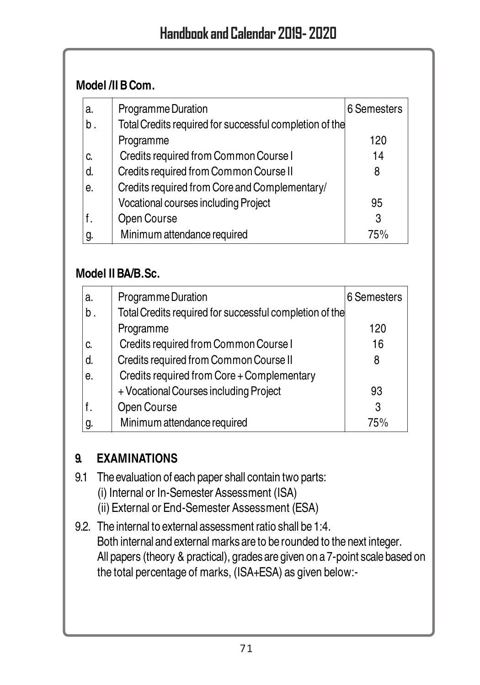#### **Model /II B Com.**

| a. | Programme Duration                                      | 6 Semesters |
|----|---------------------------------------------------------|-------------|
| b. | Total Credits required for successful completion of the |             |
|    | Programme                                               | 120         |
| C. | Credits required from Common Course I                   | 14          |
| d. | Credits required from Common Course II                  | 8           |
| е. | Credits required from Core and Complementary/           |             |
|    | Vocational courses including Project                    | 95          |
|    | Open Course                                             | 3           |
| g. | Minimum attendance required                             | 75%         |

#### **Model II BA/B.Sc.**

| a. | Programme Duration                                      | 6 Semesters |
|----|---------------------------------------------------------|-------------|
| b. | Total Credits required for successful completion of the |             |
|    | Programme                                               | 120         |
| C. | Credits required from Common Course I                   | 16          |
| d. | Credits required from Common Course II                  | 8           |
| е. | Credits required from Core + Complementary              |             |
|    | + Vocational Courses including Project                  | 93          |
|    | Open Course                                             | 3           |
| g. | Minimum attendance required                             | 75%         |

## **9. EXAMINATIONS**

- 9.1 The evaluation of each paper shall contain two parts:
	- (i) Internal or In-Semester Assessment (ISA)
	- (ii) External or End-Semester Assessment (ESA)
- 9.2. The internal to external assessment ratio shall be 1:4. Both internal and external marks are to be rounded to the next integer. All papers (theory & practical), grades are given on a 7-point scale based on the total percentage of marks, (ISA+ESA) as given below:-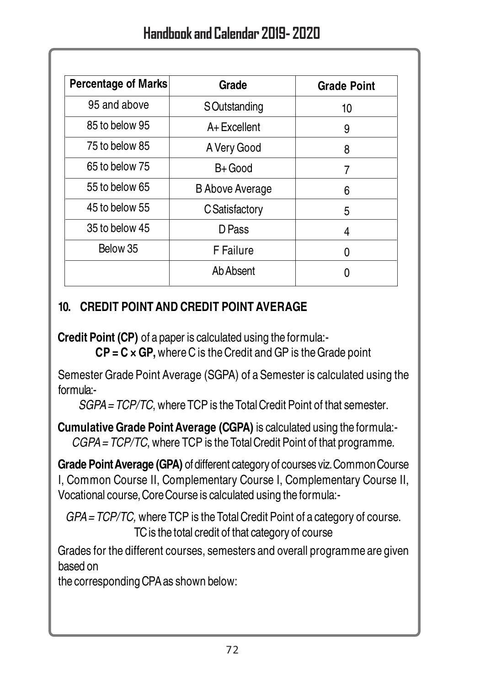| Percentage of Marks | Grade                  | <b>Grade Point</b> |
|---------------------|------------------------|--------------------|
| 95 and above        | <b>S</b> Outstanding   | 10                 |
| 85 to below 95      | A+Excellent            | 9                  |
| 75 to below 85      | A Very Good            | 8                  |
| 65 to below 75      | B+ Good                | 7                  |
| 55 to below 65      | <b>B</b> Above Average | 6                  |
| 45 to below 55      | C Satisfactory         | 5                  |
| 35 to below 45      | D Pass                 | 4                  |
| Below 35            | F Failure              | ŋ                  |
|                     | Ab Absent              |                    |
|                     |                        |                    |

#### **10. CREDIT POINT AND CREDIT POINT AVERAGE**

**Credit Point (CP)** of a paper is calculated using the formula:-

**CP = C × GP,** where C is the Credit and GP is the Grade point

Semester Grade Point Average (SGPA) of a Semester is calculated using the formula:-

SGPA = TCP/TC, where TCP is the Total Credit Point of that semester.

**Cumulative Grade Point Average (CGPA)** is calculated using the formula:- CGPA = TCP/TC, where TCP is the Total Credit Point of that programme.

**Grade Point Average (GPA)** of different category of courses viz. Common Course I, Common Course II, Complementary Course I, Complementary Course II, Vocational course, Core Course is calculated using the formula:-

GPA = TCP/TC, where TCP is the Total Credit Point of a category of course. TC is the total credit of that category of course

Grades for the different courses, semesters and overall programme are given based on

the corresponding CPA as shown below: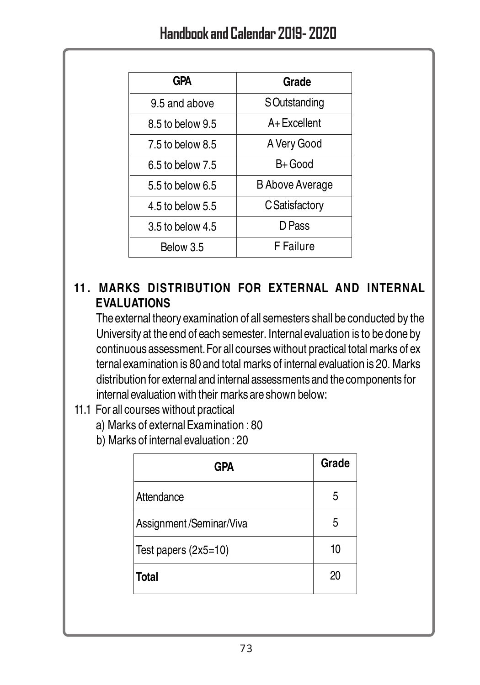| <b>GPA</b>       | Grade                  |
|------------------|------------------------|
| 9.5 and above    | SOutstanding           |
| 8.5 to below 9.5 | A+Excellent            |
| 7.5 to below 8.5 | A Very Good            |
| 6.5 to below 7.5 | B+ Good                |
| 5.5 to below 6.5 | <b>B Above Average</b> |
| 4.5 to below 5.5 | C Satisfactory         |
| 3.5 to below 4.5 | D Pass                 |
| Below 3.5        | F Failure              |
|                  |                        |

### **11. MARKS DISTRIBUTION FOR EXTERNAL AND INTERNAL EVALUATIONS**

The external theory examination of all semesters shall be conducted by the University at the end of each semester. Internal evaluation is to be done by continuous assessment. For all courses without practical total marks of ex ternal examination is 80 and total marks of internal evaluation is 20. Marks distribution for external and internal assessments and the components for internal evaluation with their marks are shown below:

- 11.1 For all courses without practical
	- a) Marks of external Examination : 80
	- b) Marks of internal evaluation : 20

| GPA                     | Grade |
|-------------------------|-------|
| Attendance              | 5     |
| Assignment/Seminar/Viva | 5     |
| Test papers (2x5=10)    | 10    |
| <b>Total</b>            | 20    |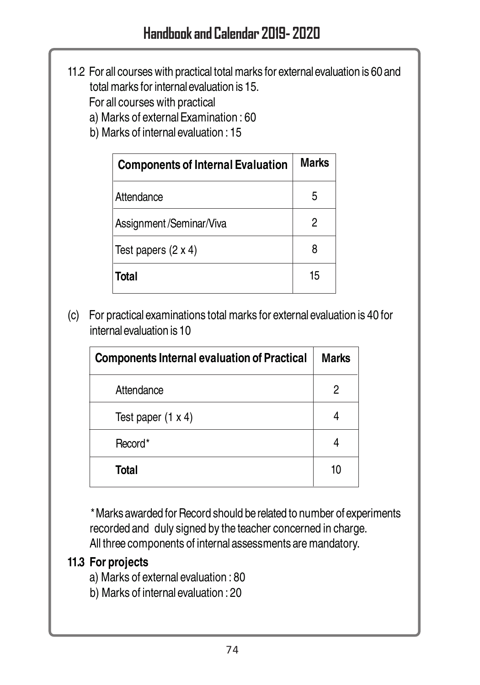11.2 For all courses with practical total marks for external evaluation is 60 and total marks for internal evaluation is 15.

For all courses with practical

- a) Marks of external Examination : 60
- b) Marks of internal evaluation : 15

| <b>Components of Internal Evaluation</b> | Marks |
|------------------------------------------|-------|
| Attendance                               | 5     |
| Assignment/Seminar/Viva                  | 2     |
| Test papers (2 x 4)                      |       |
| Total                                    | 15    |

(c) For practical examinations total marks for external evaluation is 40 for internal evaluation is 10

| <b>Components Internal evaluation of Practical</b> | <b>Marks</b> |
|----------------------------------------------------|--------------|
| Attendance                                         | 2            |
| Test paper $(1 x 4)$                               |              |
| Record*                                            |              |
| Total                                              | 10           |

\*Marks awarded for Record should be related to number of experiments recorded and duly signed by the teacher concerned in charge. All three components of internal assessments are mandatory.

#### **11.3 For projects**

a) Marks of external evaluation : 80

b) Marks of internal evaluation : 20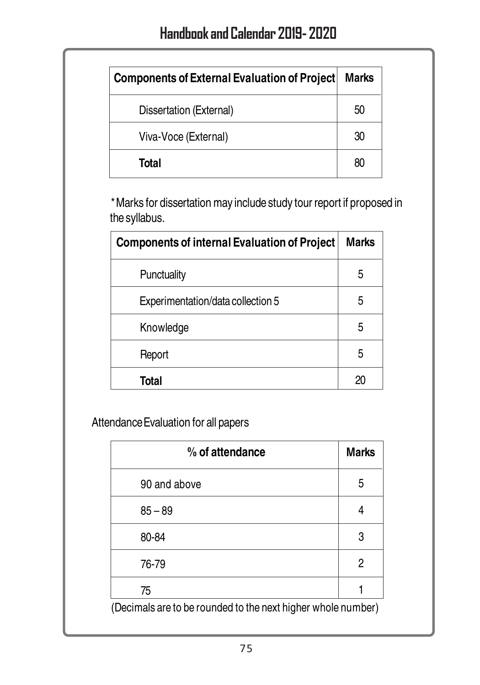| Components of External Evaluation of Project | Marks |
|----------------------------------------------|-------|
| Dissertation (External)                      | 50    |
| Viva-Voce (External)                         | 30    |
| Total                                        | 80    |

\*Marks for dissertation may include study tour report if proposed in the syllabus.

| <b>Components of internal Evaluation of Project</b> | Marks |
|-----------------------------------------------------|-------|
| Punctuality                                         | 5     |
| Experimentation/data collection 5                   | 5     |
| Knowledge                                           | 5     |
| Report                                              | 5     |
| Total                                               | 20    |

Attendance Evaluation for all papers

| % of attendance                                              | <b>Marks</b> |  |
|--------------------------------------------------------------|--------------|--|
| 90 and above                                                 | 5            |  |
| $85 - 89$                                                    | 4            |  |
| 80-84                                                        | 3            |  |
| 76-79                                                        | 2            |  |
| 75                                                           |              |  |
| (Decimals are to be rounded to the next higher whole number) |              |  |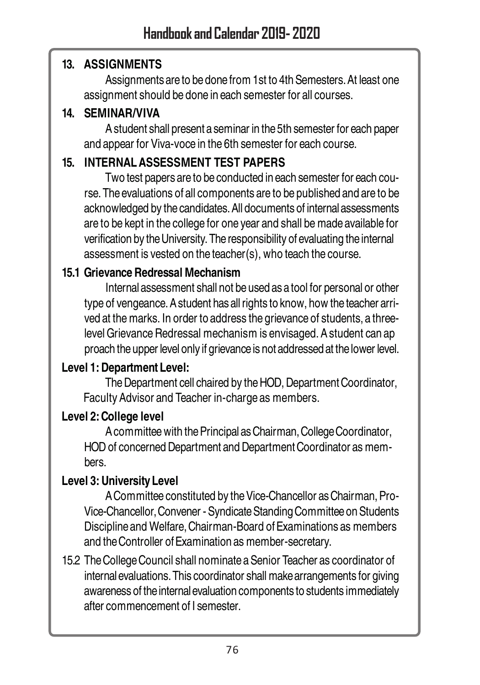#### **13. ASSIGNMENTS**

Assignments are to be done from 1st to 4th Semesters. At least one assignment should be done in each semester for all courses.

### **14. SEMINAR/VIVA**

A student shall present a seminar in the 5th semester for each paper and appear for Viva-voce in the 6th semester for each course.

### **15. INTERNAL ASSESSMENT TEST PAPERS**

Two test papers are to be conducted in each semester for each course. The evaluations of all components are to be published and are to be acknowledged by the candidates. All documents of internal assessments are to be kept in the college for one year and shall be made available for verification by the University. The responsibility of evaluating the internal assessment is vested on the teacher(s), who teach the course.

### **15.1 Grievance Redressal Mechanism**

Internal assessment shall not be used as a tool for personal or other type of vengeance. A student has all rights to know, how the teacher arrived at the marks. In order to address the grievance of students, a threelevel Grievance Redressal mechanism is envisaged. A student can ap proach the upper level only if grievance is not addressed at the lower level.

### **Level 1: Department Level:**

The Department cell chaired by the HOD, Department Coordinator, Faculty Advisor and Teacher in-charge as members.

#### **Level 2: College level**

A committee with the Principal as Chairman, College Coordinator, HOD of concerned Department and Department Coordinator as members.

### **Level 3: University Level**

A Committee constituted by the Vice-Chancellor as Chairman, Pro-Vice-Chancellor, Convener - Syndicate Standing Committee on Students Discipline and Welfare, Chairman-Board of Examinations as members and the Controller of Examination as member-secretary.

15.2 The College Council shall nominate a Senior Teacher as coordinator of internal evaluations. This coordinator shall make arrangements for giving awareness of the internal evaluation components to students immediately after commencement of I semester.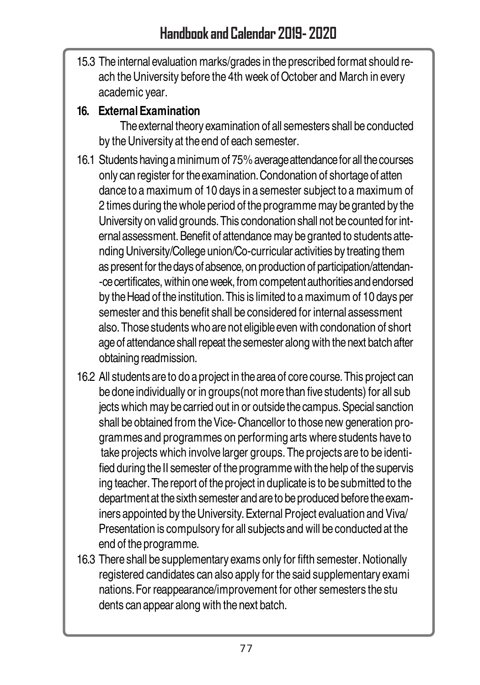15.3 The internal evaluation marks/grades in the prescribed format should reach the University before the 4th week of October and March in every academic year.

### **16. External Examination**

The external theory examination of all semesters shall be conducted by the University at the end of each semester.

- 16.1 Students having a minimum of 75% average attendance for all the courses only can register for the examination. Condonation of shortage of atten dance to a maximum of 10 days in a semester subject to a maximum of 2 times during the whole period of the programme may be granted by the University on valid grounds. This condonation shall not be counted for internal assessment. Benefit of attendance may be granted to students attending University/College union/Co-curricular activities by treating them as present for the days of absence, on production of participation/attendan- -ce certificates, within one week, from competent authorities and endorsed by the Head of the institution. This is limited to a maximum of 10 days per semester and this benefit shall be considered for internal assessment also. Those students who are not eligible even with condonation of short age of attendance shall repeat the semester along with the next batch after obtaining readmission.
- 16.2 All students are to do a project in the area of core course. This project can be done individually or in groups(not more than five students) for all sub jects which may be carried out in or outside the campus. Special sanction shall be obtained from the Vice- Chancellor to those new generation programmes and programmes on performing arts where students have to take projects which involve larger groups. The projects are to be identified during the II semester of the programme with the help of the supervis ing teacher. The report of the project in duplicate is to be submitted to the department at the sixth semester and are to be produced before the examiners appointed by the University. External Project evaluation and Viva/ Presentation is compulsory for all subjects and will be conducted at the end of the programme.
- 16.3 There shall be supplementary exams only for fifth semester. Notionally registered candidates can also apply for the said supplementary exami nations. For reappearance/improvement for other semesters the stu dents can appear along with the next batch.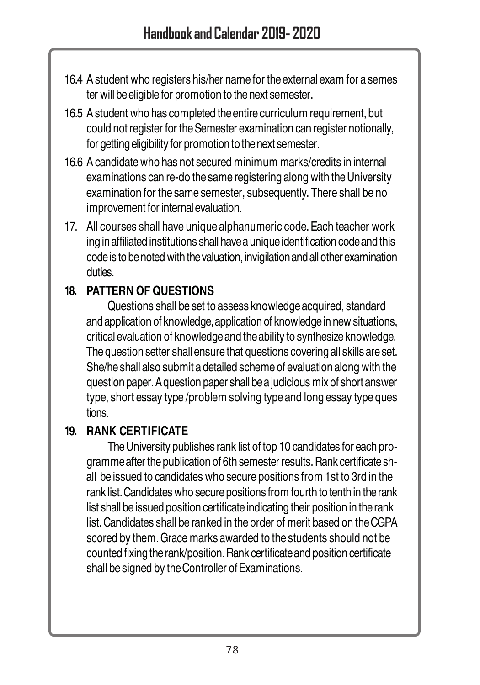- 16.4 A student who registers his/her name for the external exam for a semes ter will be eligible for promotion to the next semester.
- 16.5 A student who has completed the entire curriculum requirement, but could not register for the Semester examination can register notionally, for getting eligibility for promotion to the next semester.
- 16.6 A candidate who has not secured minimum marks/credits in internal examinations can re-do the same registering along with the University examination for the same semester, subsequently. There shall be no improvement for internal evaluation.
- 17. All courses shall have unique alphanumeric code. Each teacher work ing in affiliated institutions shall have a unique identification code and this code is to be noted with the valuation, invigilation and all other examination duties.

### **18. PATTERN OF QUESTIONS**

Questions shall be set to assess knowledge acquired, standard and application of knowledge, application of knowledge in new situations, critical evaluation of knowledge and the ability to synthesize knowledge. The question setter shall ensure that questions covering all skills are set. She/he shall also submit a detailed scheme of evaluation along with the question paper. A question paper shall be a judicious mix of short answer type, short essay type /problem solving type and long essay type ques tions.

### **19. RANK CERTIFICATE**

The University publishes rank list of top 10 candidates for each programme after the publication of 6th semester results. Rank certificate shall be issued to candidates who secure positions from 1st to 3rd in the rank list. Candidates who secure positions from fourth to tenth in the rank list shall be issued position certificate indicating their position in the rank list. Candidates shall be ranked in the order of merit based on the CGPA scored by them. Grace marks awarded to the students should not be counted fixing the rank/position. Rank certificate and position certificate shall be signed by the Controller of Examinations.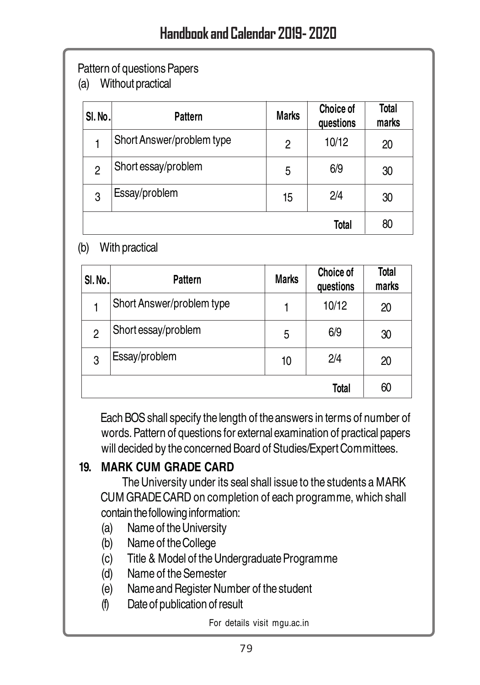### Pattern of questions Papers

(a) Without practical

| SI. No. | Pattern                   | <b>Marks</b> | Choice of<br>questions | Total<br>marks |
|---------|---------------------------|--------------|------------------------|----------------|
|         | Short Answer/problem type | 2            | 10/12                  | 20             |
| 2       | Short essay/problem       | 5            | 6/9                    | 30             |
| 3       | Essay/problem             | 15           | 2/4                    | 30             |
|         |                           |              | Total                  | 80             |

#### (b) With practical

| SI.No. | Pattern                   | <b>Marks</b> | <b>Choice of</b><br>questions | Total<br>marks |
|--------|---------------------------|--------------|-------------------------------|----------------|
|        | Short Answer/problem type | 1            | 10/12                         | 20             |
| 2      | Short essay/problem       | 5            | 6/9                           | 30             |
| 3      | Essay/problem             | 10           | 2/4                           | 20             |
| Total  |                           |              | 60                            |                |

Each BOS shall specify the length of the answers in terms of number of words. Pattern of questions for external examination of practical papers will decided by the concerned Board of Studies/Expert Committees.

### **19. MARK CUM GRADE CARD**

The University under its seal shall issue to the students a MARK CUM GRADE CARD on completion of each programme, which shall contain the following information:

- (a) Name of the University
- (b) Name of the College
- (c) Title & Model of the Undergraduate Programme
- (d) Name of the Semester
- (e) Name and Register Number of the student
- (f) Date of publication of result

For details visit mgu.ac.in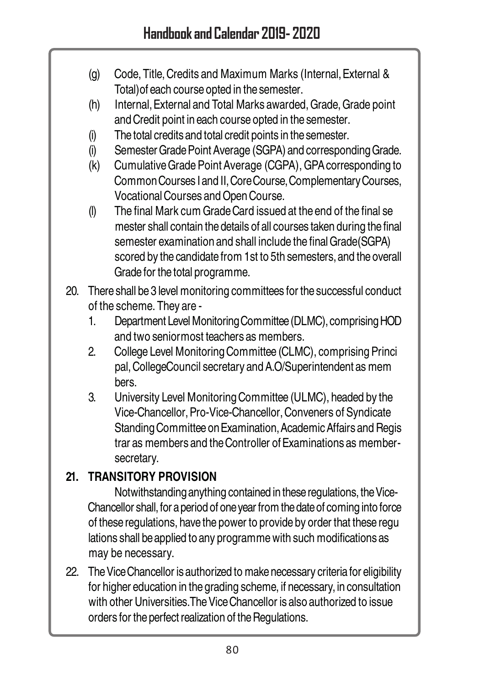- (g) Code, Title, Credits and Maximum Marks (Internal, External & Total)of each course opted in the semester.
- (h) Internal, External and Total Marks awarded, Grade, Grade point and Credit point in each course opted in the semester.
- (i) The total credits and total credit points in the semester.
- (i) Semester Grade Point Average (SGPA) and corresponding Grade.
- (k) Cumulative Grade Point Average (CGPA), GPA corresponding to Common Courses I and II, Core Course, Complementary Courses, Vocational Courses and Open Course.
- (l) The final Mark cum Grade Card issued at the end of the final se mester shall contain the details of all courses taken during the final semester examination and shall include the final Grade(SGPA) scored by the candidate from 1st to 5th semesters, and the overall Grade for the total programme.
- 20. There shall be 3 level monitoring committees for the successful conduct of the scheme. They are -
	- 1. Department Level Monitoring Committee (DLMC), comprising HOD and two seniormost teachers as members.
	- 2. College Level Monitoring Committee (CLMC), comprising Princi pal, CollegeCouncil secretary and A.O/Superintendent as mem bers.
	- 3. University Level Monitoring Committee (ULMC), headed by the Vice-Chancellor, Pro-Vice-Chancellor, Conveners of Syndicate Standing Committee on Examination, Academic Affairs and Regis trar as members and the Controller of Examinations as membersecretary.

## **21. TRANSITORY PROVISION**

Notwithstanding anything contained in these regulations, the Vice-Chancellor shall, for a period of one year from the date of coming into force of these regulations, have the power to provide by order that these regu lations shall be applied to any programme with such modifications as may be necessary.

22. The Vice Chancellor is authorized to make necessary criteria for eligibility for higher education in the grading scheme, if necessary, in consultation with other Universities.The Vice Chancellor is also authorized to issue orders for the perfect realization of the Regulations.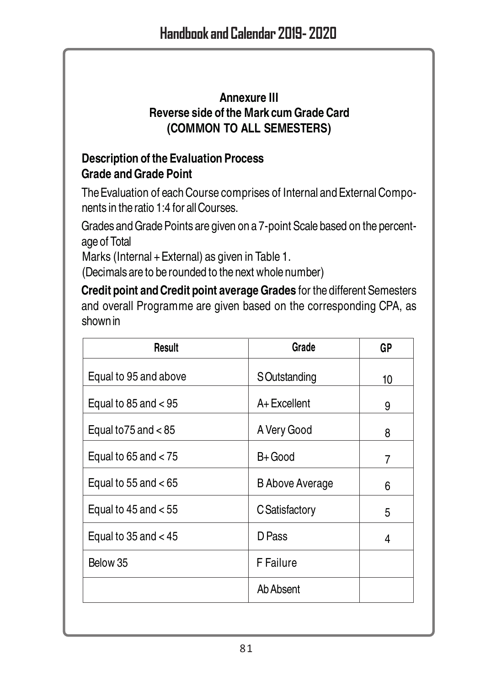#### **Annexure III Reverse side of the Mark cum Grade Card (COMMON TO ALL SEMESTERS)**

### **Description of the Evaluation Process Grade and Grade Point**

The Evaluation of each Course comprises of Internal and External Components in the ratio 1:4 for all Courses.

Grades and Grade Points are given on a 7-point Scale based on the percentage of Total

Marks (Internal + External) as given in Table 1.

(Decimals are to be rounded to the next whole number)

**Credit point and Credit point average Grades** for the different Semesters and overall Programme are given based on the corresponding CPA, as shown in

| Result                   | Grade           | GP |
|--------------------------|-----------------|----|
| Equal to 95 and above    | SOutstanding    | 10 |
| Equal to 85 and $< 95$   | A+Excellent     | 9  |
| Equal to $75$ and $< 85$ | A Very Good     | 8  |
| Equal to $65$ and $< 75$ | B+ Good         | 7  |
| Equal to 55 and $< 65$   | B Above Average | 6  |
| Equal to $45$ and $< 55$ | C Satisfactory  | 5  |
| Equal to $35$ and $<$ 45 | D Pass          | 4  |
| Below 35                 | F Failure       |    |
|                          | Ab Absent       |    |
|                          |                 |    |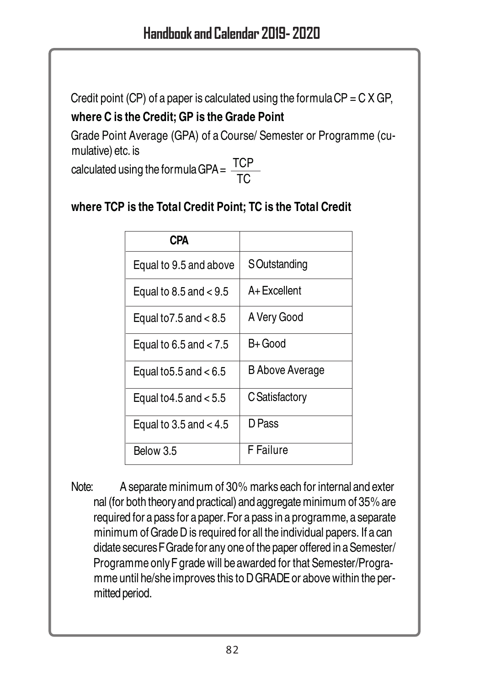Credit point (CP) of a paper is calculated using the formula  $CP = C X GP$ ,

## **where C is the Credit; GP is the Grade Point**

Grade Point Average (GPA) of a Course/ Semester or Programme (cumulative) etc. is

calculated using the formula GPA =  $\frac{101}{TC}$ TCP

## **where TCP is the Total Credit Point; TC is the Total Credit**

| <b>CPA</b>                 |                 |
|----------------------------|-----------------|
| Equal to 9.5 and above     | S Outstanding   |
| Equal to $8.5$ and $< 9.5$ | A+Excellent     |
| Equal to $7.5$ and $< 8.5$ | A Very Good     |
| Equal to 6.5 and $< 7.5$   | B+ Good         |
| Equal to $5.5$ and $< 6.5$ | B Above Average |
| Equal to 4.5 and $< 5.5$   | C Satisfactory  |
| Equal to 3.5 and $< 4.5$   | D Pass          |
| Below 3.5                  | F Failure       |

Note: A separate minimum of 30% marks each for internal and exter nal (for both theory and practical) and aggregate minimum of 35% are required for a pass for a paper. For a pass in a programme, a separate minimum of Grade D is required for all the individual papers. If a can didate secures F Grade for any one of the paper offered in a Semester/ Programme only F grade will be awarded for that Semester/Programme until he/she improves this to D GRADE or above within the permitted period.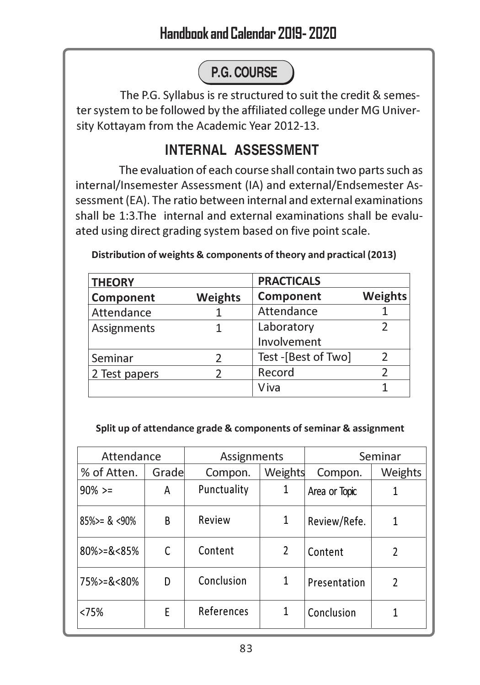# **P.G. COURSE**

The P.G. Syllabus is re structured to suit the credit & semester system to be followed by the affiliated college under MG University Kottayam from the Academic Year 2012-13.

## **INTERNAL ASSESSMENT**

The evaluation of each course shall contain two parts such as internal/Insemester Assessment (IA) and external/Endsemester Assessment (EA). The ratio between internal and external examinations shall be 1:3.The internal and external examinations shall be evaluated using direct grading system based on five point scale.

| <b>THEORY</b> |                | <b>PRACTICALS</b>   |                |
|---------------|----------------|---------------------|----------------|
| Component     | <b>Weights</b> | Component           | <b>Weights</b> |
| Attendance    |                | Attendance          |                |
| Assignments   |                | Laboratory          |                |
|               |                | Involvement         |                |
| Seminar       |                | Test -[Best of Two] | C              |
| 2 Test papers |                | Record              |                |
|               |                | Viva                |                |

Distribution of weights & components of theory and practical (2013)

#### Split up of attendance grade & components of seminar & assignment

| Attendance              |       |             | Assignments    |               | Seminar |  |
|-------------------------|-------|-------------|----------------|---------------|---------|--|
| % of Atten.             | Grade | Compon.     | Weights        | Compon.       | Weights |  |
| $90\% >=$               | A     | Punctuality | 1              | Area or Topic |         |  |
| $85\%$ > $\approx$ <90% | B     | Review      | 1              | Review/Refe.  | 1       |  |
| $80\%$ = & < 85%        | C     | Content     | $\mathfrak{p}$ | Content       | 2       |  |
| 75%>=&<80%              | D     | Conclusion  | 1              | Presentation  | 2       |  |
| <75%                    | E     | References  | 1              | Conclusion    | 1       |  |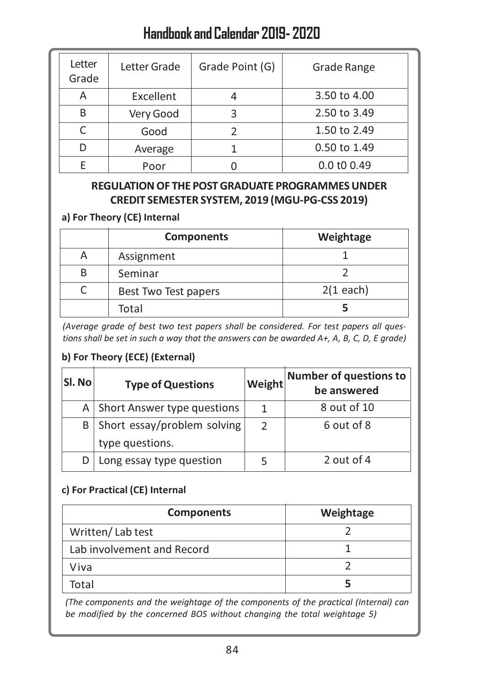## Handbook and Calendar 2019- 2020

| Letter<br>Grade | Letter Grade | Grade Point (G) | Grade Range  |
|-----------------|--------------|-----------------|--------------|
| А               | Excellent    |                 | 3.50 to 4.00 |
| R               | Very Good    |                 | 2.50 to 3.49 |
|                 | Good         |                 | 1.50 to 2.49 |
|                 | Average      |                 | 0.50 to 1.49 |
|                 | Poor         |                 | 0.0 t0 0.49  |

#### REGULATION OF THE POST GRADUATE PROGRAMMES UNDER CREDIT SEMESTER SYSTEM, 2019 (MGU-PG-CSS 2019)

#### a) For Theory (CE) Internal

|   | <b>Components</b>    | Weightage   |
|---|----------------------|-------------|
| Α | Assignment           |             |
| B | Seminar              |             |
|   | Best Two Test papers | $2(1$ each) |
|   | Total                |             |

(Average grade of best two test papers shall be considered. For test papers all questions shall be set in such a way that the answers can be awarded A+, A, B, C, D, E grade)

#### b) For Theory (ECE) (External)

| SI. No | <b>Type of Questions</b>    | Weight        | <b>Number of questions to</b><br>be answered |
|--------|-----------------------------|---------------|----------------------------------------------|
| A      | Short Answer type questions | 1             | 8 out of 10                                  |
| B      | Short essay/problem solving | $\mathcal{P}$ | 6 out of 8                                   |
|        | type questions.             |               |                                              |
|        | Long essay type question    |               | 2 out of 4                                   |

#### c) For Practical (CE) Internal

| <b>Components</b>          | Weightage |
|----------------------------|-----------|
| Written/Lab test           |           |
| Lab involvement and Record |           |
| Viva                       |           |
| Total                      |           |

(The components and the weightage of the components of the practical (Internal) can be modified by the concerned BOS without changing the total weightage 5)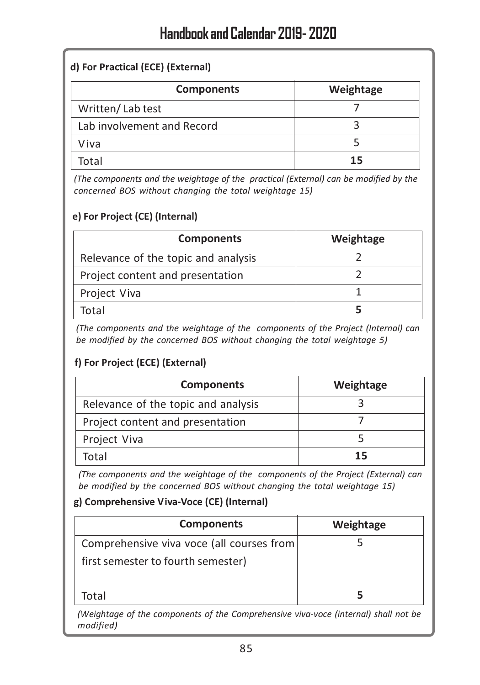#### d) For Practical (ECE) (External)

| <b>Components</b>          | Weightage |
|----------------------------|-----------|
| Written/Lab test           |           |
| Lab involvement and Record |           |
| Viva                       |           |
| Total                      | 15        |

(The components and the weightage of the practical (External) can be modified by the concerned BOS without changing the total weightage 15)

#### e) For Project (CE) (Internal)

| <b>Components</b>                   | Weightage |
|-------------------------------------|-----------|
| Relevance of the topic and analysis |           |
| Project content and presentation    |           |
| Project Viva                        |           |
| Total                               |           |

(The components and the weightage of the components of the Project (Internal) can be modified by the concerned BOS without changing the total weightage 5)

#### f) For Project (ECE) (External)

| <b>Components</b>                   | Weightage |
|-------------------------------------|-----------|
| Relevance of the topic and analysis |           |
| Project content and presentation    |           |
| Project Viva                        |           |
| Total                               | 15        |

(The components and the weightage of the components of the Project (External) can be modified by the concerned BOS without changing the total weightage 15)

#### g) Comprehensive Viva-Voce (CE) (Internal)

| <b>Components</b>                                                               | Weightage |
|---------------------------------------------------------------------------------|-----------|
| Comprehensive viva voce (all courses from<br>first semester to fourth semester) |           |
| Total                                                                           |           |

(Weightage of the components of the Comprehensive viva-voce (internal) shall not be modified)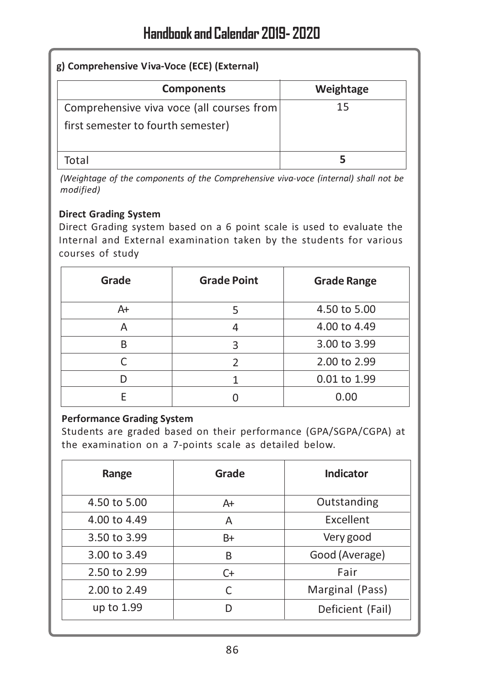| g) Comprehensive Viva-Voce (ECE) (External)                                     |           |  |
|---------------------------------------------------------------------------------|-----------|--|
| <b>Components</b>                                                               | Weightage |  |
| Comprehensive viva voce (all courses from<br>first semester to fourth semester) | 15        |  |
| Total                                                                           |           |  |

(Weightage of the components of the Comprehensive viva-voce (internal) shall not be modified)

#### Direct Grading System

Direct Grading system based on a 6 point scale is used to evaluate the Internal and External examination taken by the students for various courses of study

| Grade | <b>Grade Point</b> | <b>Grade Range</b> |
|-------|--------------------|--------------------|
| A+    |                    | 4.50 to 5.00       |
|       |                    | 4.00 to 4.49       |
| R     | з                  | 3.00 to 3.99       |
|       | っ                  | 2.00 to 2.99       |
|       |                    | 0.01 to 1.99       |
|       |                    | 0.00               |

#### Performance Grading System

Students are graded based on their performance (GPA/SGPA/CGPA) at the examination on a 7-points scale as detailed below.

| Range        | Grade | Indicator        |
|--------------|-------|------------------|
| 4.50 to 5.00 | A+    | Outstanding      |
| 4.00 to 4.49 | A     | <b>Excellent</b> |
| 3.50 to 3.99 | B+    | Very good        |
| 3.00 to 3.49 | B     | Good (Average)   |
| 2.50 to 2.99 | C+    | Fair             |
| 2.00 to 2.49 | C     | Marginal (Pass)  |
| up to 1.99   | D     | Deficient (Fail) |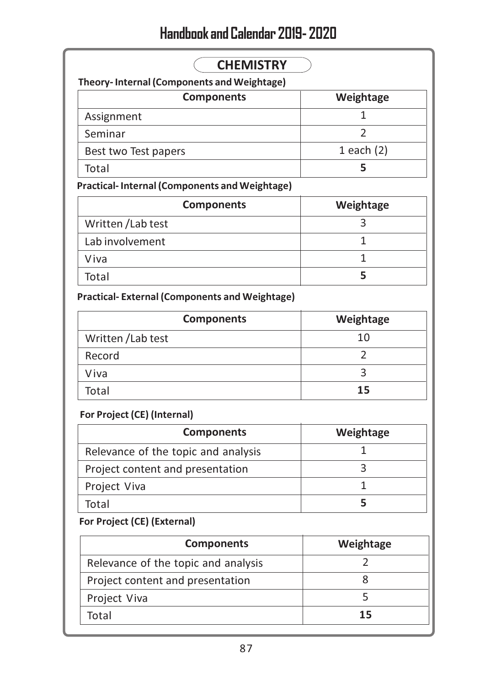# Handbook and Calendar 2019- 2020

| <b>CHEMISTRY</b>                                     |              |  |
|------------------------------------------------------|--------------|--|
| Theory-Internal (Components and Weightage)           |              |  |
| <b>Components</b>                                    | Weightage    |  |
| Assignment                                           |              |  |
| Seminar                                              |              |  |
| Best two Test papers                                 | 1 each $(2)$ |  |
| Total                                                |              |  |
| <b>Practical-Internal (Components and Weightage)</b> |              |  |

| <b>Components</b>  | Weightage |
|--------------------|-----------|
| Written / Lab test |           |
| Lab involvement    |           |
| Viva               |           |
| Total              |           |

Practical- External (Components and Weightage)

| <b>Components</b>  | Weightage |
|--------------------|-----------|
| Written / Lab test | 10        |
| Record             |           |
| Viva               |           |
| Total              | 15        |

#### For Project (CE) (Internal)

| <b>Components</b>                   | Weightage |
|-------------------------------------|-----------|
| Relevance of the topic and analysis |           |
| Project content and presentation    |           |
| Project Viva                        |           |
| Total                               |           |

#### For Project (CE) (External)

| <b>Components</b>                   | Weightage |
|-------------------------------------|-----------|
| Relevance of the topic and analysis |           |
| Project content and presentation    |           |
| Project Viva                        |           |
| Total                               | 15        |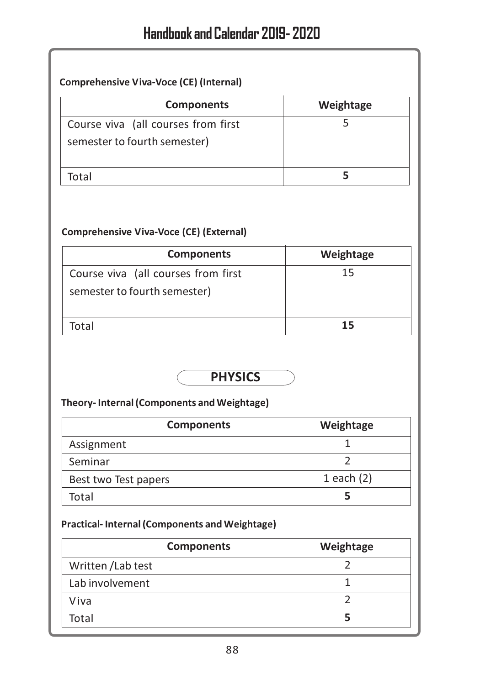#### Comprehensive Viva-Voce (CE) (Internal)

| <b>Components</b>                                                   | Weightage |
|---------------------------------------------------------------------|-----------|
| Course viva (all courses from first<br>semester to fourth semester) |           |
| ัด†ลไ                                                               |           |

#### Comprehensive Viva-Voce (CE) (External)

| <b>Components</b>                                                   | Weightage |
|---------------------------------------------------------------------|-----------|
| Course viva (all courses from first<br>semester to fourth semester) | 15        |
| lotal                                                               | 15        |

### **PHYSICS**

#### Theory- Internal (Components and Weightage)

| <b>Components</b>    | Weightage    |
|----------------------|--------------|
| Assignment           |              |
| Seminar              |              |
| Best two Test papers | 1 each $(2)$ |
| Total                |              |

#### Practical- Internal (Components and Weightage)

| <b>Components</b>  | Weightage |
|--------------------|-----------|
| Written / Lab test |           |
| Lab involvement    |           |
| Viva               |           |
| Total              |           |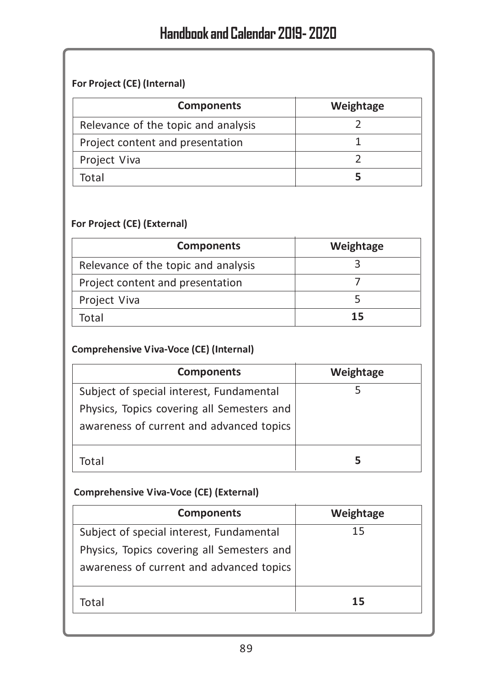#### For Project (CE) (Internal)

| <b>Components</b>                   | Weightage |
|-------------------------------------|-----------|
| Relevance of the topic and analysis |           |
| Project content and presentation    |           |
| Project Viva                        |           |
| Total                               |           |

#### For Project (CE) (External)

| <b>Components</b>                   | Weightage |
|-------------------------------------|-----------|
| Relevance of the topic and analysis |           |
| Project content and presentation    |           |
| Project Viva                        |           |
| Total                               | 15        |

#### Comprehensive Viva-Voce (CE) (Internal)

| <b>Components</b>                          | Weightage |
|--------------------------------------------|-----------|
| Subject of special interest, Fundamental   |           |
| Physics, Topics covering all Semesters and |           |
| awareness of current and advanced topics   |           |
|                                            |           |
| Total                                      |           |

#### Comprehensive Viva-Voce (CE) (External)

| <b>Components</b>                          | Weightage |
|--------------------------------------------|-----------|
| Subject of special interest, Fundamental   | 15        |
| Physics, Topics covering all Semesters and |           |
| awareness of current and advanced topics   |           |
| Total                                      | 15        |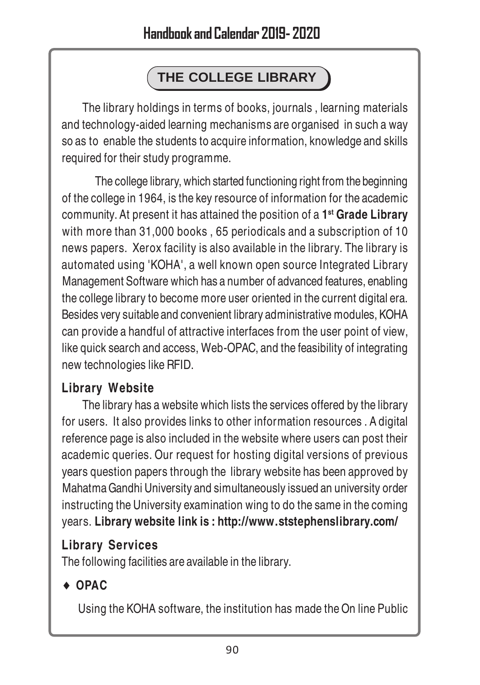# **THE COLLEGE LIBRARY**

The library holdings in terms of books, journals , learning materials and technology-aided learning mechanisms are organised in such a way so as to enable the students to acquire information, knowledge and skills required for their study programme.

 The college library, which started functioning right from the beginning of the college in 1964, is the key resource of information for the academic community. At present it has attained the position of a **1 st Grade Library** with more than 31,000 books , 65 periodicals and a subscription of 10 news papers. Xerox facility is also available in the library. The library is automated using 'KOHA', a well known open source Integrated Library Management Software which has a number of advanced features, enabling the college library to become more user oriented in the current digital era. Besides very suitable and convenient library administrative modules, KOHA can provide a handful of attractive interfaces from the user point of view, like quick search and access, Web-OPAC, and the feasibility of integrating new technologies like RFID.

## **Library Website**

The library has a website which lists the services offered by the library for users. It also provides links to other information resources . A digital reference page is also included in the website where users can post their academic queries. Our request for hosting digital versions of previous years question papers through the library website has been approved by Mahatma Gandhi University and simultaneously issued an university order instructing the University examination wing to do the same in the coming years. **Library website link is : http://www.ststephenslibrary.com/**

## **Library Services**

The following facilities are available in the library.

## ♦ **OPAC**

Using the KOHA software, the institution has made the On line Public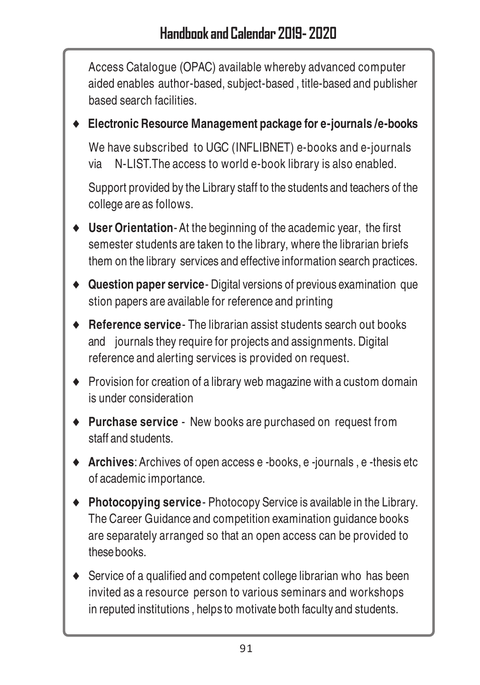Access Catalogue (OPAC) available whereby advanced computer aided enables author-based, subject-based , title-based and publisher based search facilities.

♦ **Electronic Resource Management package for e-journals /e-books**

We have subscribed to UGC (INFLIBNET) e-books and e-journals via N-LIST.The access to world e-book library is also enabled.

Support provided by the Library staff to the students and teachers of the college are as follows.

- ♦ **User Orientation** At the beginning of the academic year, the first semester students are taken to the library, where the librarian briefs them on the library services and effective information search practices.
- ♦ **Question paper service** Digital versions of previous examination que stion papers are available for reference and printing
- ♦ **Reference service** The librarian assist students search out books and journals they require for projects and assignments. Digital reference and alerting services is provided on request.
- ♦ Provision for creation of a library web magazine with a custom domain is under consideration
- ♦ **Purchase service** New books are purchased on request from staff and students.
- ♦ **Archives**: Archives of open access e -books, e -journals , e -thesis etc of academic importance.
- ♦ **Photocopying service** Photocopy Service is available in the Library. The Career Guidance and competition examination guidance books are separately arranged so that an open access can be provided to thesebooks.
- ♦ Service of a qualified and competent college librarian who has been invited as a resource person to various seminars and workshops in reputed institutions , helps to motivate both faculty and students.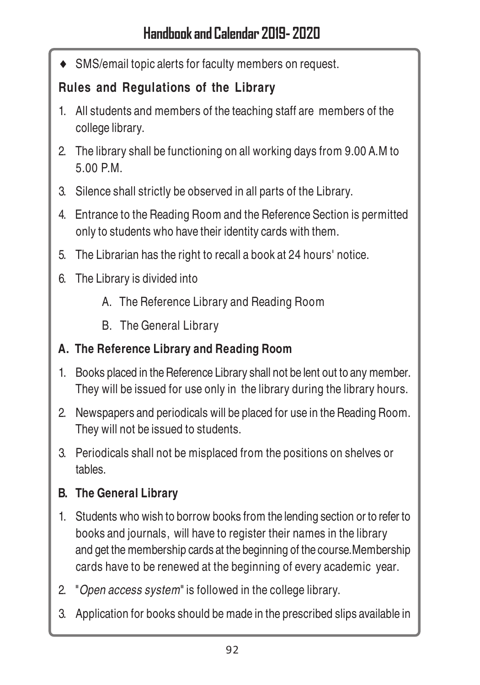SMS/email topic alerts for faculty members on request.

## **Rules and Regulations of the Library**

- 1. All students and members of the teaching staff are members of the college library.
- 2. The library shall be functioning on all working days from 9.00 A.M to 5.00 P.M.
- 3. Silence shall strictly be observed in all parts of the Library.
- 4. Entrance to the Reading Room and the Reference Section is permitted only to students who have their identity cards with them.
- 5. The Librarian has the right to recall a book at 24 hours' notice.
- 6. The Library is divided into
	- A. The Reference Library and Reading Room
	- B. The General Library

## **A. The Reference Library and Reading Room**

- 1. Books placed in the Reference Library shall not be lent out to any member. They will be issued for use only in the library during the library hours.
- 2. Newspapers and periodicals will be placed for use in the Reading Room. They will not be issued to students.
- 3. Periodicals shall not be misplaced from the positions on shelves or tables.

## **B. The General Library**

- 1. Students who wish to borrow books from the lending section or to refer to books and journals, will have to register their names in the library and get the membership cards at the beginning of the course.Membership cards have to be renewed at the beginning of every academic year.
- 2. "Open access system" is followed in the college library.
- 3. Application for books should be made in the prescribed slips available in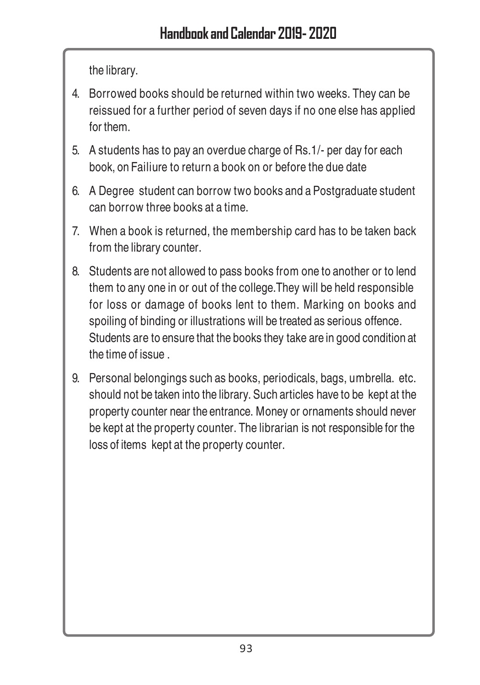the library.

- 4. Borrowed books should be returned within two weeks. They can be reissued for a further period of seven days if no one else has applied for them.
- 5. A students has to pay an overdue charge of Rs.1/- per day for each book, on Failiure to return a book on or before the due date
- 6. A Degree student can borrow two books and a Postgraduate student can borrow three books at a time.
- 7. When a book is returned, the membership card has to be taken back from the library counter.
- 8. Students are not allowed to pass books from one to another or to lend them to any one in or out of the college.They will be held responsible for loss or damage of books lent to them. Marking on books and spoiling of binding or illustrations will be treated as serious offence. Students are to ensure that the books they take are in good condition at the time of issue .
- 9. Personal belongings such as books, periodicals, bags, umbrella. etc. should not be taken into the library. Such articles have to be kept at the property counter near the entrance. Money or ornaments should never be kept at the property counter. The librarian is not responsible for the loss of items kept at the property counter.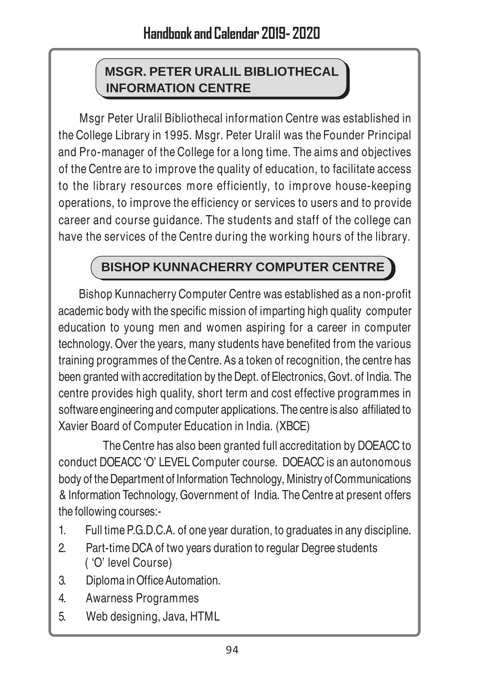## **MSGR. PETER URALIL BIBLIOTHECAL INFORMATION CENTRE**

Msgr Peter Uralil Bibliothecal information Centre was established in the College Library in 1995. Msgr. Peter Uralil was the Founder Principal and Pro-manager of the College for a long time. The aims and objectives of the Centre are to improve the quality of education, to facilitate access to the library resources more efficiently, to improve house-keeping operations, to improve the efficiency or services to users and to provide career and course guidance. The students and staff of the college can have the services of the Centre during the working hours of the library.

## **BISHOP KUNNACHERRY COMPUTER CENTRE**

Bishop Kunnacherry Computer Centre was established as a non-profit academic body with the specific mission of imparting high quality computer education to young men and women aspiring for a career in computer technology. Over the years, many students have benefited from the various training programmes of the Centre. As a token of recognition, the centre has been granted with accreditation by the Dept. of Electronics, Govt. of India. The centre provides high quality, short term and cost effective programmes in software engineering and computer applications. The centre is also affiliated to Xavier Board of Computer Education in India. (XBCE)

The Centre has also been granted full accreditation by DOEACC to conduct DOEACC 'O' LEVEL Computer course. DOEACC is an autonomous body of the Department of Information Technology, Ministry of Communications & Information Technology, Government of India. The Centre at present offers the following courses:-

- 1. Full time P.G.D.C.A. of one year duration, to graduates in any discipline.
- 2. Part-time DCA of two years duration to regular Degree students ( 'O' level Course)
- 3. Diploma in Office Automation.
- 4. Awarness Programmes
- 5. Web designing, Java, HTML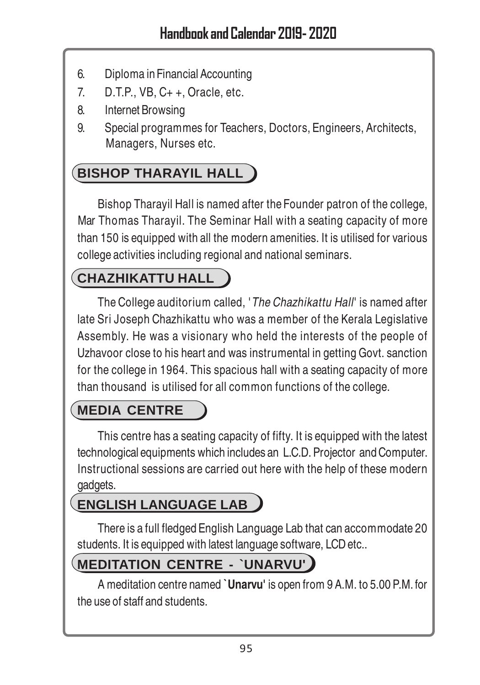- 6. Diploma in Financial Accounting
- 7. D.T.P., VB, C+ +, Oracle, etc.
- 8. Internet Browsing
- 9. Special programmes for Teachers, Doctors, Engineers, Architects, Managers, Nurses etc.

# **BISHOP THARAYIL HALL**

Bishop Tharayil Hall is named after the Founder patron of the college, Mar Thomas Tharayil. The Seminar Hall with a seating capacity of more than 150 is equipped with all the modern amenities. It is utilised for various college activities including regional and national seminars.

## **CHAZHIKATTU HALL**

The College auditorium called, 'The Chazhikattu Hall' is named after late Sri Joseph Chazhikattu who was a member of the Kerala Legislative Assembly. He was a visionary who held the interests of the people of Uzhavoor close to his heart and was instrumental in getting Govt. sanction for the college in 1964. This spacious hall with a seating capacity of more than thousand is utilised for all common functions of the college.

## **MEDIA CENTRE**

This centre has a seating capacity of fifty. It is equipped with the latest technological equipments which includes an L.C.D. Projector and Computer. Instructional sessions are carried out here with the help of these modern gadgets.

## **ENGLISH LANGUAGE LAB**

There is a full fledged English Language Lab that can accommodate 20 students. It is equipped with latest language software, LCD etc..

## **MEDITATION CENTRE - `UNARVU'**

A meditation centre named **`Unarvu'** is open from 9 A.M. to 5.00 P.M. for the use of staff and students.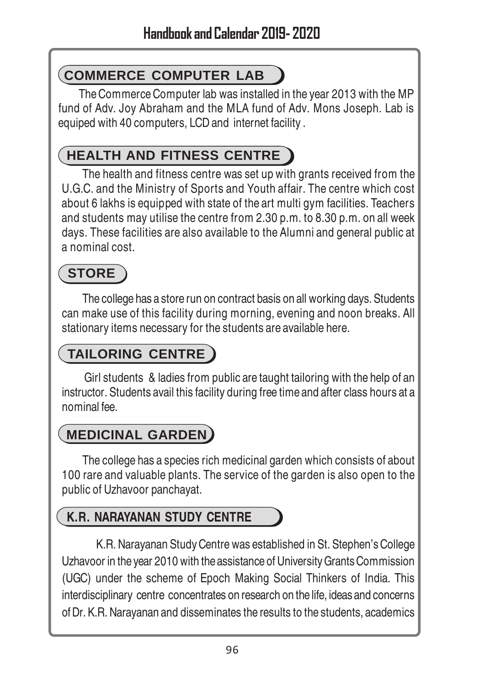# **COMMERCE COMPUTER LAB**

The Commerce Computer lab was installed in the year 2013 with the MP fund of Adv. Joy Abraham and the MLA fund of Adv. Mons Joseph. Lab is equiped with 40 computers, LCD and internet facility .

## **HEALTH AND FITNESS CENTRE**

The health and fitness centre was set up with grants received from the U.G.C. and the Ministry of Sports and Youth affair. The centre which cost about 6 lakhs is equipped with state of the art multi gym facilities. Teachers and students may utilise the centre from 2.30 p.m. to 8.30 p.m. on all week days. These facilities are also available to the Alumni and general public at a nominal cost.

# **STORE**

The college has a store run on contract basis on all working days. Students can make use of this facility during morning, evening and noon breaks. All stationary items necessary for the students are available here.

# **TAILORING CENTRE**

 Girl students & ladies from public are taught tailoring with the help of an instructor. Students avail this facility during free time and after class hours at a nominal fee.

# **MEDICINAL GARDEN**

The college has a species rich medicinal garden which consists of about 100 rare and valuable plants. The service of the garden is also open to the public of Uzhavoor panchayat.

## **K.R. NARAYANAN STUDY CENTRE**

K.R. Narayanan Study Centre was established in St. Stephen's College Uzhavoor in the year 2010 with the assistance of University Grants Commission (UGC) under the scheme of Epoch Making Social Thinkers of India. This interdisciplinary centre concentrates on research on the life, ideas and concerns of Dr. K.R. Narayanan and disseminates the results to the students, academics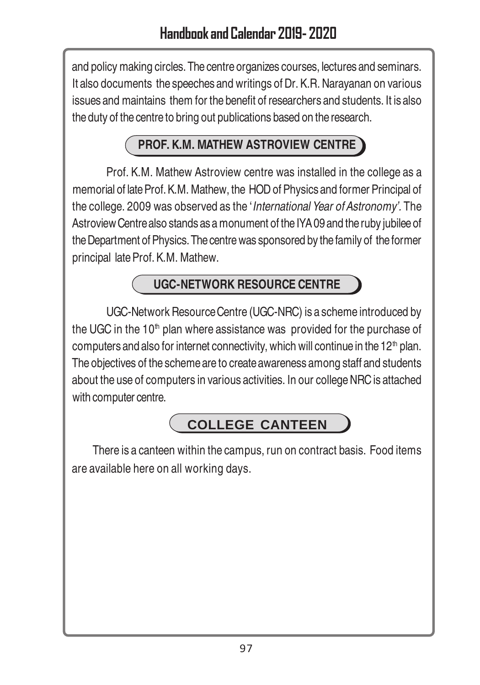and policy making circles. The centre organizes courses, lectures and seminars. It also documents the speeches and writings of Dr. K.R. Narayanan on various issues and maintains them for the benefit of researchers and students. It is also the duty of the centre to bring out publications based on the research.

## **PROF. K.M. MATHEW ASTROVIEW CENTRE**

Prof. K.M. Mathew Astroview centre was installed in the college as a memorial of late Prof. K.M. Mathew, the HOD of Physics and former Principal of the college. 2009 was observed as the 'International Year of Astronomy'. The Astroview Centre also stands as a monument of the IYA 09 and the ruby jubilee of the Department of Physics. The centre was sponsored by the family of the former principal late Prof. K.M. Mathew.

## **UGC-NETWORK RESOURCE CENTRE**

UGC-Network Resource Centre (UGC-NRC) is a scheme introduced by the UGC in the  $10<sup>th</sup>$  plan where assistance was provided for the purchase of computers and also for internet connectivity, which will continue in the 12<sup>th</sup> plan. The objectives of the scheme are to create awareness among staff and students about the use of computers in various activities. In our college NRC is attached with computer centre.

## **COLLEGE CANTEEN**

There is a canteen within the campus, run on contract basis. Food items are available here on all working days.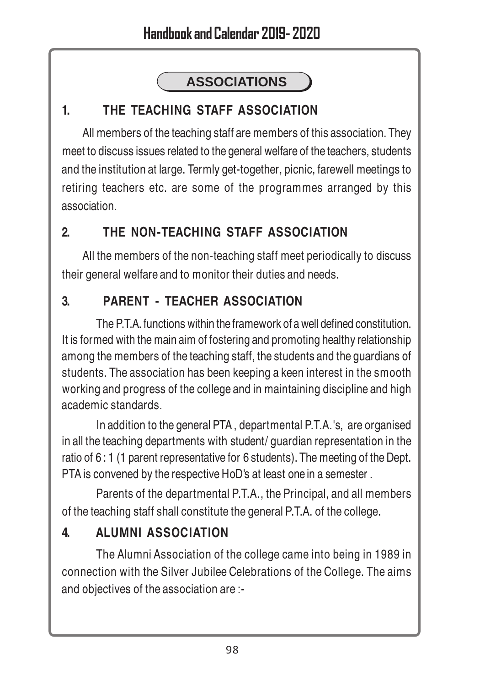# **ASSOCIATIONS**

## **1. THE TEACHING STAFF ASSOCIATION**

All members of the teaching staff are members of this association. They meet to discuss issues related to the general welfare of the teachers, students and the institution at large. Termly get-together, picnic, farewell meetings to retiring teachers etc. are some of the programmes arranged by this association.

## **2. THE NON-TEACHING STAFF ASSOCIATION**

All the members of the non-teaching staff meet periodically to discuss their general welfare and to monitor their duties and needs.

## **3. PARENT - TEACHER ASSOCIATION**

The P.T.A. functions within the framework of a well defined constitution. It is formed with the main aim of fostering and promoting healthy relationship among the members of the teaching staff, the students and the guardians of students. The association has been keeping a keen interest in the smooth working and progress of the college and in maintaining discipline and high academic standards.

In addition to the general PTA , departmental P.T.A.'s, are organised in all the teaching departments with student/ guardian representation in the ratio of 6 : 1 (1 parent representative for 6 students). The meeting of the Dept. PTA is convened by the respective HoD's at least one in a semester .

Parents of the departmental P.T.A., the Principal, and all members of the teaching staff shall constitute the general P.T.A. of the college.

## **4. ALUMNI ASSOCIATION**

The Alumni Association of the college came into being in 1989 in connection with the Silver Jubilee Celebrations of the College. The aims and objectives of the association are :-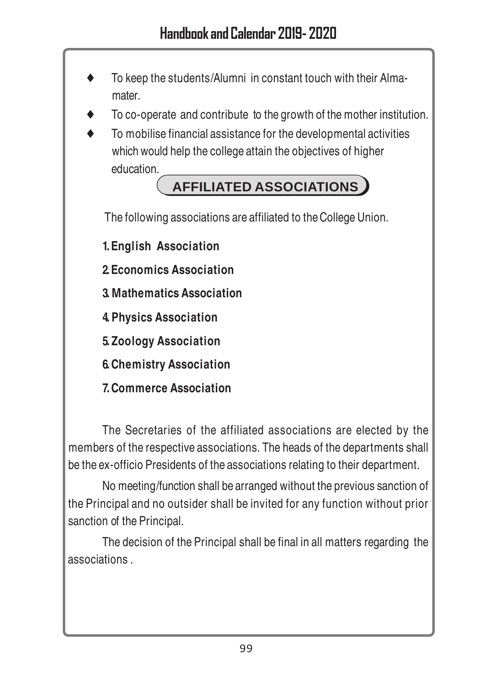- To keep the students/Alumni in constant touch with their Almamater.
- To co-operate and contribute to the growth of the mother institution.
- To mobilise financial assistance for the developmental activities which would help the college attain the objectives of higher education.

# **AFFILIATED ASSOCIATIONS**

The following associations are affiliated to the College Union.

**1.English Association**

- **2.Economics Association**
- **3.Mathematics Association**
- **4.Physics Association**
- **5.Zoology Association**
- **6.Chemistry Association**
- **7.Commerce Association**

The Secretaries of the affiliated associations are elected by the members of the respective associations. The heads of the departments shall be the ex-officio Presidents of the associations relating to their department.

No meeting/function shall be arranged without the previous sanction of the Principal and no outsider shall be invited for any function without prior sanction of the Principal.

The decision of the Principal shall be final in all matters regarding the associations .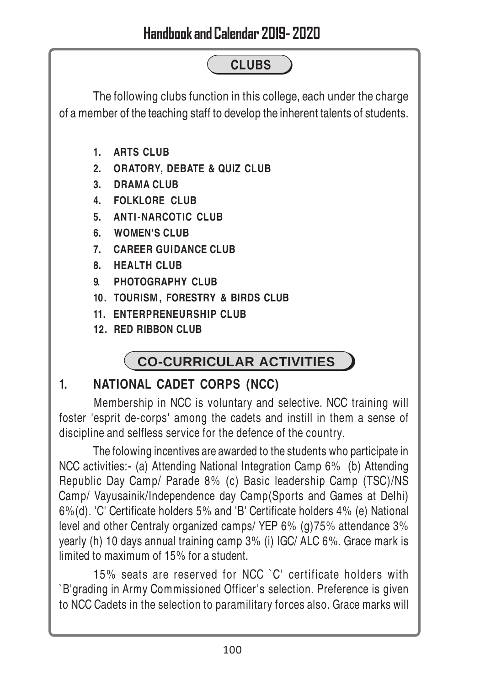# **CLUBS**

The following clubs function in this college, each under the charge of a member of the teaching staff to develop the inherent talents of students.

- **1. ARTS CLUB**
- **2. ORATORY, DEBATE & QUIZ CLUB**
- **3. DRAMA CLUB**
- **4. FOLKLORE CLUB**
- **5. ANTI-NARCOTIC CLUB**
- **6. WOMEN'S CLUB**
- **7. CAREER GUIDANCE CLUB**
- **8. HEALTH CLUB**
- **9. PHOTOGRAPHY CLUB**
- **10. TOURISM, FORESTRY & BIRDS CLUB**
- **11. ENTERPRENEURSHIP CLUB**
- **12. RED RIBBON CLUB**

# **CO-CURRICULAR ACTIVITIES**

## **1. NATIONAL CADET CORPS (NCC)**

Membership in NCC is voluntary and selective. NCC training will foster 'esprit de-corps' among the cadets and instill in them a sense of discipline and selfless service for the defence of the country.

The folowing incentives are awarded to the students who participate in NCC activities:- (a) Attending National Integration Camp 6% (b) Attending Republic Day Camp/ Parade 8% (c) Basic leadership Camp (TSC)/NS Camp/ Vayusainik/Independence day Camp(Sports and Games at Delhi) 6%(d). 'C' Certificate holders 5% and 'B' Certificate holders 4% (e) National level and other Centraly organized camps/ YEP 6% (g)75% attendance 3% yearly (h) 10 days annual training camp 3% (i) IGC/ ALC 6%. Grace mark is limited to maximum of 15% for a student.

15% seats are reserved for NCC `C' certificate holders with `B'grading in Army Commissioned Officer's selection. Preference is given to NCC Cadets in the selection to paramilitary forces also. Grace marks will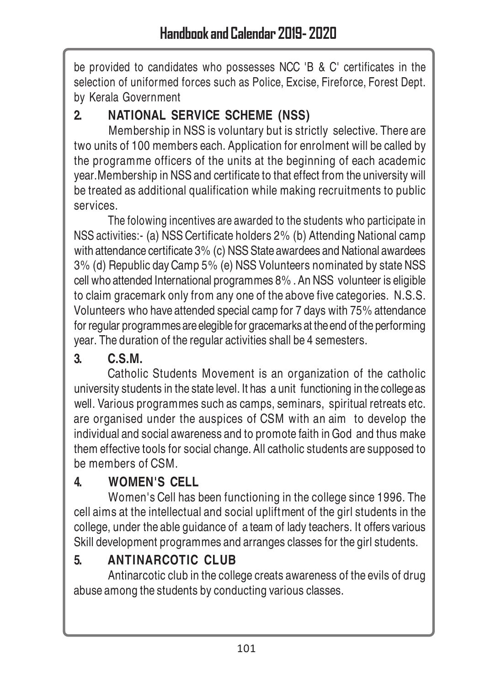be provided to candidates who possesses NCC 'B & C' certificates in the selection of uniformed forces such as Police, Excise, Fireforce, Forest Dept. by Kerala Government

## **2. NATIONAL SERVICE SCHEME (NSS)**

Membership in NSS is voluntary but is strictly selective. There are two units of 100 members each. Application for enrolment will be called by the programme officers of the units at the beginning of each academic year.Membership in NSS and certificate to that effect from the university will be treated as additional qualification while making recruitments to public services.

The folowing incentives are awarded to the students who participate in NSS activities:- (a) NSS Certificate holders 2% (b) Attending National camp with attendance certificate 3% (c) NSS State awardees and National awardees 3% (d) Republic day Camp 5% (e) NSS Volunteers nominated by state NSS cell who attended International programmes 8% . An NSS volunteer is eligible to claim gracemark only from any one of the above five categories. N.S.S. Volunteers who have attended special camp for 7 days with 75% attendance for regular programmes are elegible for gracemarks at the end of the performing year. The duration of the regular activities shall be 4 semesters.

## **3. C.S.M.**

Catholic Students Movement is an organization of the catholic university students in the state level. It has a unit functioning in the college as well. Various programmes such as camps, seminars, spiritual retreats etc. are organised under the auspices of CSM with an aim to develop the individual and social awareness and to promote faith in God and thus make them effective tools for social change. All catholic students are supposed to be members of CSM.

## **4. WOMEN'S CELL**

Women's Cell has been functioning in the college since 1996. The cell aims at the intellectual and social upliftment of the girl students in the college, under the able guidance of a team of lady teachers. It offers various Skill development programmes and arranges classes for the girl students.

## **5. ANTINARCOTIC CLUB**

Antinarcotic club in the college creats awareness of the evils of drug abuse among the students by conducting various classes.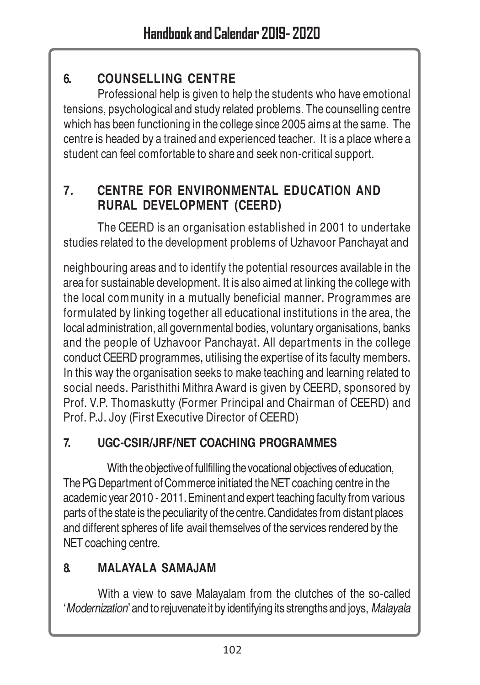## **6. COUNSELLING CENTRE**

Professional help is given to help the students who have emotional tensions, psychological and study related problems. The counselling centre which has been functioning in the college since 2005 aims at the same. The centre is headed by a trained and experienced teacher. It is a place where a student can feel comfortable to share and seek non-critical support.

## **7***.* **CENTRE FOR ENVIRONMENTAL EDUCATION AND RURAL DEVELOPMENT (CEERD)**

The CEERD is an organisation established in 2001 to undertake studies related to the development problems of Uzhavoor Panchayat and

neighbouring areas and to identify the potential resources available in the area for sustainable development. It is also aimed at linking the college with the local community in a mutually beneficial manner. Programmes are formulated by linking together all educational institutions in the area, the local administration, all governmental bodies, voluntary organisations, banks and the people of Uzhavoor Panchayat. All departments in the college conduct CEERD programmes, utilising the expertise of its faculty members. In this way the organisation seeks to make teaching and learning related to social needs. Paristhithi Mithra Award is given by CEERD, sponsored by Prof. V.P. Thomaskutty (Former Principal and Chairman of CEERD) and Prof. P.J. Joy (First Executive Director of CEERD)

### **7. UGC-CSIR/JRF/NET COACHING PROGRAMMES**

With the objective of fullfilling the vocational objectives of education, The PG Department of Commerce initiated the NET coaching centre in the academic year 2010 - 2011. Eminent and expert teaching faculty from various parts of the state is the peculiarity of the centre. Candidates from distant places and different spheres of life avail themselves of the services rendered by the NET coaching centre.

## **8. MALAYALA SAMAJAM**

With a view to save Malayalam from the clutches of the so-called 'Modernization' and to rejuvenate it by identifying its strengths and joys, Malayala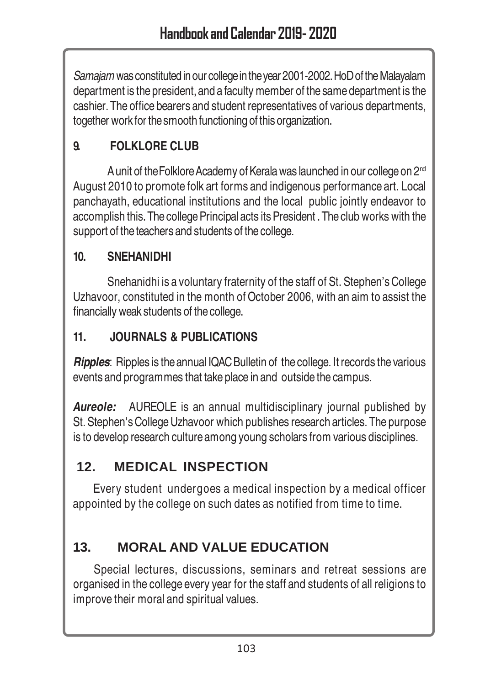Samajam was constituted in our college in the year 2001-2002. HoD of the Malayalam department is the president, and a faculty member of the same department is the cashier. The office bearers and student representatives of various departments, together work for the smooth functioning of this organization.

## **9. FOLKLORE CLUB**

A unit of the Folklore Academy of Kerala was launched in our college on 2<sup>nd</sup> August 2010 to promote folk art forms and indigenous performance art. Local panchayath, educational institutions and the local public jointly endeavor to accomplish this. The college Principal acts its President . The club works with the support of the teachers and students of the college.

### **10. SNEHANIDHI**

Snehanidhi is a voluntary fraternity of the staff of St. Stephen's College Uzhavoor, constituted in the month of October 2006, with an aim to assist the financially weak students of the college.

#### **11. JOURNALS & PUBLICATIONS**

*Ripples*: Ripples is the annual IQAC Bulletin of the college. It records the various events and programmes that take place in and outside the campus.

**Aureole:** AUREOLE is an annual multidisciplinary journal published by St. Stephen's College Uzhavoor which publishes research articles. The purpose is to develop research culture among young scholars from various disciplines.

## **12. MEDICAL INSPECTION**

Every student undergoes a medical inspection by a medical officer appointed by the college on such dates as notified from time to time.

## **13. MORAL AND VALUE EDUCATION**

Special lectures, discussions, seminars and retreat sessions are organised in the college every year for the staff and students of all religions to improve their moral and spiritual values.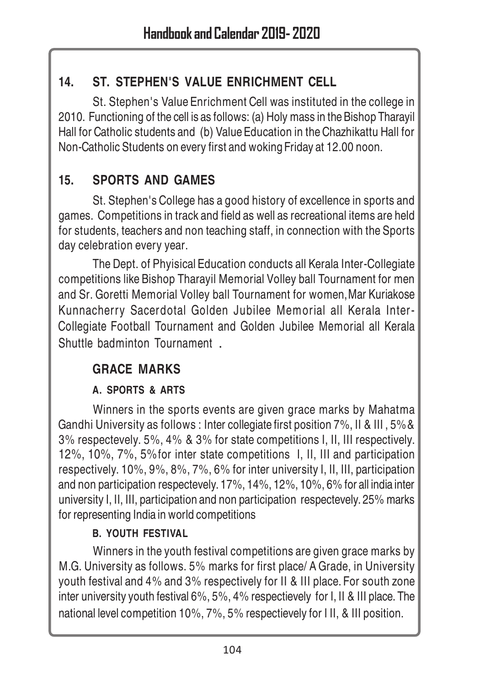## **14. ST. STEPHEN'S VALUE ENRICHMENT CELL**

St. Stephen's Value Enrichment Cell was instituted in the college in 2010. Functioning of the cell is as follows: (a) Holy mass in the Bishop Tharayil Hall for Catholic students and (b) Value Education in the Chazhikattu Hall for Non-Catholic Students on every first and woking Friday at 12.00 noon.

## **15. SPORTS AND GAMES**

St. Stephen's College has a good history of excellence in sports and games. Competitions in track and field as well as recreational items are held for students, teachers and non teaching staff, in connection with the Sports day celebration every year.

The Dept. of Phyisical Education conducts all Kerala Inter-Collegiate competitions like Bishop Tharayil Memorial Volley ball Tournament for men and Sr. Goretti Memorial Volley ball Tournament for women,Mar Kuriakose Kunnacherry Sacerdotal Golden Jubilee Memorial all Kerala Inter-Collegiate Football Tournament and Golden Jubilee Memorial all Kerala Shuttle badminton Tournament .

## **GRACE MARKS**

### **A. SPORTS & ARTS**

Winners in the sports events are given grace marks by Mahatma Gandhi University as follows : Inter collegiate first position 7%, II & III , 5%& 3% respectevely. 5%, 4% & 3% for state competitions I, II, III respectively. 12%, 10%, 7%, 5%for inter state competitions I, II, III and participation respectively. 10%, 9%, 8%, 7%, 6% for inter university I, II, III, participation and non participation respectevely. 17%, 14%, 12%, 10%, 6% for all india inter university I, II, III, participation and non participation respectevely. 25% marks for representing India in world competitions

### **B. YOUTH FESTIVAL**

Winners in the youth festival competitions are given grace marks by M.G. University as follows. 5% marks for first place/ A Grade, in University youth festival and 4% and 3% respectively for II & III place. For south zone inter university youth festival 6%, 5%, 4% respectievely for I, II & III place. The national level competition 10%, 7%, 5% respectievely for I II, & III position.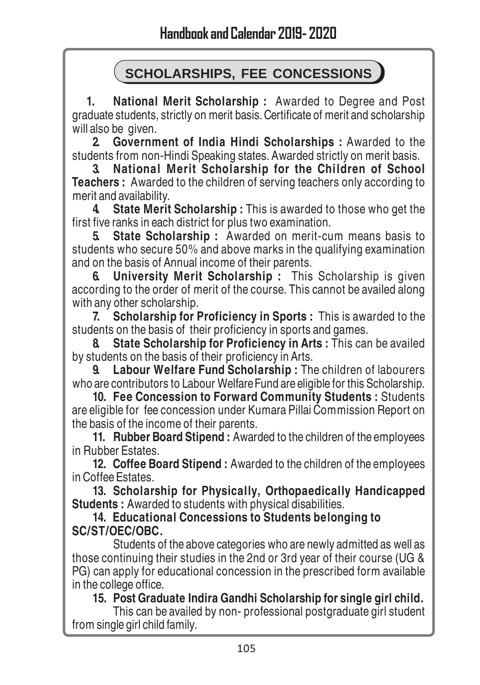## **SCHOLARSHIPS, FEE CONCESSIONS**

 **1. National Merit Scholarship :** Awarded to Degree and Post graduate students, strictly on merit basis. Certificate of merit and scholarship will also be given.

**2. Government of India Hindi Scholarships :** Awarded to the students from non-Hindi Speaking states. Awarded strictly on merit basis.

**3. National Merit Scholarship for the Children of School Teachers :** Awarded to the children of serving teachers only according to merit and availability.

**4. State Merit Scholarship :** This is awarded to those who get the first five ranks in each district for plus two examination.

**5. State Scholarship :** Awarded on merit-cum means basis to students who secure 50% and above marks in the qualifying examination and on the basis of Annual income of their parents.

**6. University Merit Scholarship :** This Scholarship is given according to the order of merit of the course. This cannot be availed along with any other scholarship.

**7. Scholarship for Proficiency in Sports :** This is awarded to the students on the basis of their proficiency in sports and games.

**8. State Scholarship for Proficiency in Arts :** This can be availed by students on the basis of their proficiency in Arts.

**9. Labour Welfare Fund Scholarship :** The children of labourers who are contributors to Labour Welfare Fund are eligible for this Scholarship.

**10. Fee Concession to Forward Community Students :** Students are eligible for fee concession under Kumara Pillai Commission Report on the basis of the income of their parents.

**11. Rubber Board Stipend :** Awarded to the children of the employees in Rubber Estates.

**12. Coffee Board Stipend :** Awarded to the children of the employees in Coffee Estates.

**13. Scholarship for Physically, Orthopaedically Handicapped Students :** Awarded to students with physical disabilities.

**14. Educational Concessions to Students belonging to SC/ST/OEC/OBC.**

Students of the above categories who are newly admitted as well as those continuing their studies in the 2nd or 3rd year of their course (UG & PG) can apply for educational concession in the prescribed form available in the college office.

**15. Post Graduate Indira Gandhi Scholarship for single girl child.**

This can be availed by non- professional postgraduate girl student from single girl child family.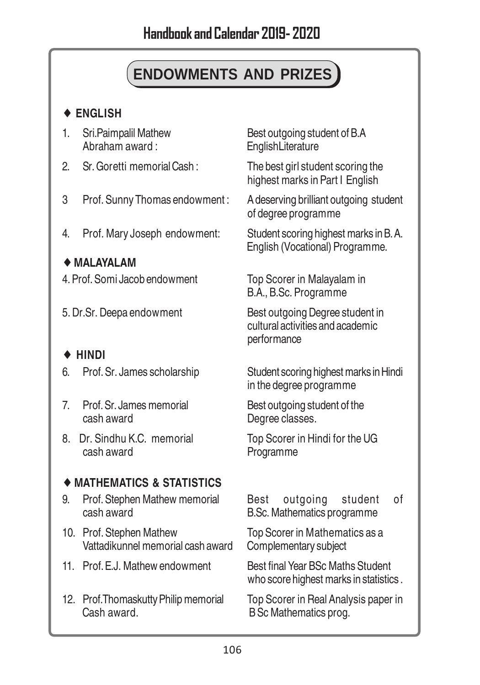# **ENDOWMENTS AND PRIZES**

#### ♦ **ENGLISH**

- 
- 2. Sr. Goretti memorial Cash : The best girl student scoring the
- 3 Prof. Sunny Thomas endowment : A deserving brilliant outgoing student
- 4. Prof. Mary Joseph endowment: Student scoring highest marks in B. A.

#### ♦ **MALAYALAM**

- 4. Prof. Somi Jacob endowment Top Scorer in Malayalam in
- 

#### ♦ **HINDI**

- 
- 7. Prof. Sr. James memorial Best outgoing student of the cash award **Degree classes**.
- 8. Dr. Sindhu K.C. memorial Top Scorer in Hindi for the UG cash award **Programme**

#### ♦ **MATHEMATICS & STATISTICS**

- 9. Prof. Stephen Mathew memorial Best outgoing student of cash award B.Sc. Mathematics programme
- 10. Prof. Stephen Mathew Top Scorer in Mathematics as a<br>Vattadikunnel memorial cash award Complementary subject Vattadikunnel memorial cash award
- 11. Prof. F. J. Mathew endowment Best final Year BSc Maths Student
- 12. Prof.Thomaskutty Philip memorial Top Scorer in Real Analysis paper in<br>Cash award. BSc Mathematics prog.

1. Sri.Paimpalil Mathew Best outgoing student of B.A<br>Abraham award : EnglishLiterature **EnglishLiterature** 

highest marks in Part I English

of degree programme

English (Vocational) Programme.

B.A., B.Sc. Programme

5. Dr.Sr. Deepa endowment Best outgoing Degree student in cultural activities and academic performance

6. Prof. Sr. James scholarship Student scoring highest marks in Hindi in the degree programme

who score highest marks in statistics .

B Sc Mathematics prog.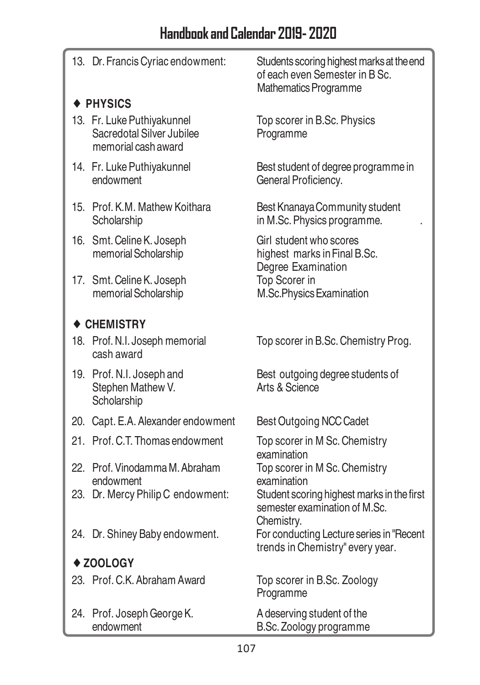13. Dr. Francis Cyriac endowment: Students scoring highest marks at the end of each even Semester in B Sc. Mathematics Programme ♦ **PHYSICS** 13. Fr. Luke Puthiyakunnel Top scorer in B.Sc. Physics Sacredotal Silver Jubilee Programme memorial cash award 14. Fr. Luke Puthiyakunnel Best student of degree programme in<br>endowment General Proficiency General Proficiency. 15. Prof. K.M. Mathew Koithara Best Knanaya Community student Scholarship in M.Sc. Physics programme. 16. Smt. Celine K. Joseph Girl student who scores memorial Scholarship highest marks in Final B.Sc. Degree Examination 17. Smt. Celine K. Joseph Top Scorer in memorial Scholarship M.Sc.Physics Examination ♦ **CHEMISTRY** 18. Prof. N.I. Joseph memorial Top scorer in B.Sc. Chemistry Prog. cash award 19. Prof. N.I. Joseph and Best outgoing degree students of Stephen Mathew V. Arts & Science **Scholarship** 20. Capt. E.A. Alexander endowment Best Outgoing NCC Cadet 21. Prof. C.T. Thomas endowment Top scorer in M Sc. Chemistry examination 22. Prof. Vinodamma M. Abraham Top scorer in M Sc. Chemistry endowment examination 23. Dr. Mercy Philip C endowment: Student scoring highest marks in the first semester examination of M.Sc. Chemistry. 24. Dr. Shiney Baby endowment. For conducting Lecture series in "Recent" trends in Chemistry" every year. ♦ **ZOOLOGY** 23. Prof. C.K. Abraham Award Top scorer in B.Sc. Zoology Programme 24. Prof. Joseph George K. A deserving student of the endowment B.Sc. Zoology programme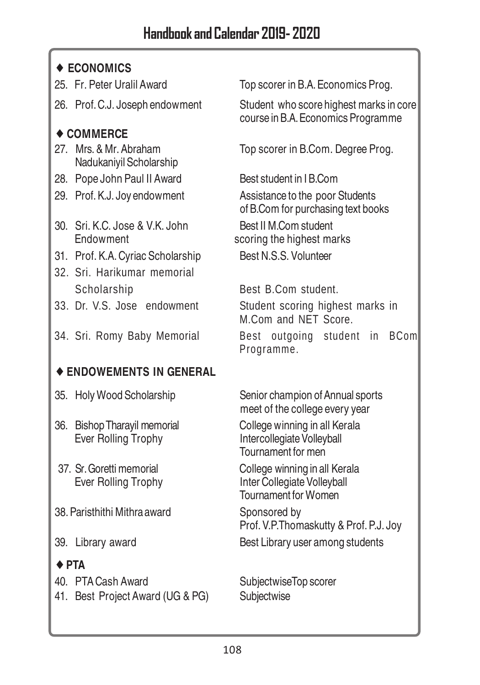### ♦ **ECONOMICS**

- 
- 

### ♦ **COMMERCE**

- Nadukaniyil Scholarship
- 28. Pope John Paul II Award Best student in IB.Com
- 
- 30. Sri. K.C. Jose & V.K. John Best II M.Com student Endowment scoring the highest marks
- 31. Prof. K.A. Cyriac Scholarship Best N.S.S. Volunteer
- 32. Sri. Harikumar memorial Scholarship Best B.Com student.
- 
- 

### ♦ **ENDOWEMENTS IN GENERAL**

- 
- 36. Bishop Tharayil memorial College winning in all Kerala Ever Rolling Trophy Intercollegiate Volleyball
- 
- 38. Paristhithi Mithra award Sponsored by
- 

### ♦ **PTA**

40. PTA Cash Award SubjectwiseTop scorer

41. Best Project Award (UG & PG) Subjectwise

25. Fr. Peter Uralil Award Top scorer in B.A. Economics Prog.

26. Prof. C.J. Joseph endowment Student who score highest marks in core course in B.A. Economics Programme

27. Mrs. & Mr. Abraham Top scorer in B.Com. Degree Prog.

29. Prof. K.J. Joy endowment Assistance to the poor Students of B.Com for purchasing text books

33. Dr. V.S. Jose endowment Student scoring highest marks in M.Com and NET Score. 34. Sri. Romy Baby Memorial Best outgoing student in BCom Programme.

35. Holy Wood Scholarship Senior champion of Annual sports meet of the college every year

Tournament for men

37. Sr. Goretti memorial College winning in all Kerala Ever Rolling Trophy Inter Collegiate Volleyball Tournament for Women

Prof. V.P.Thomaskutty & Prof. P.J. Joy

39. Library award Best Library user among students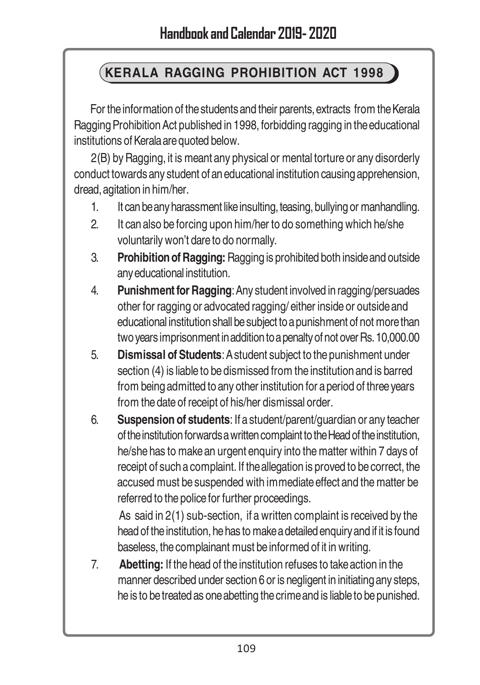#### **KERALA RAGGING PROHIBITION ACT 1998**

For the information of the students and their parents, extracts from the Kerala Ragging Prohibition Act published in 1998, forbidding ragging in the educational institutions of Kerala are quoted below.

2(B) by Ragging, it is meant any physical or mental torture or any disorderly conduct towards any student of an educational institution causing apprehension, dread, agitation in him/her.

- 1. It can be any harassment like insulting, teasing, bullying or manhandling.
- 2. It can also be forcing upon him/her to do something which he/she voluntarily won't dare to do normally.
- 3. **Prohibition of Ragging:** Ragging is prohibited both inside and outside any educational institution.
- 4. **Punishment for Ragging**: Any student involved in ragging/persuades other for ragging or advocated ragging/ either inside or outside and educational institution shall be subject to a punishment of not more than two years imprisonment in addition to a penalty of not over Rs. 10,000.00
- 5. **Dismissal of Students**: A student subject to the punishment under section (4) is liable to be dismissed from the institution and is barred from being admitted to any other institution for a period of three years from the date of receipt of his/her dismissal order.
- 6. **Suspension of students**: If a student/parent/guardian or any teacher of the institution forwards a written complaint to the Head of the institution, he/she has to make an urgent enquiry into the matter within 7 days of receipt of such a complaint. If the allegation is proved to be correct, the accused must be suspended with immediate effect and the matter be referred to the police for further proceedings.

As said in 2(1) sub-section, if a written complaint is received by the head of the institution, he has to make a detailed enquiry and if it is found baseless, the complainant must be informed of it in writing.

7. **Abetting:** If the head of the institution refuses to take action in the manner described under section 6 or is negligent in initiating any steps, he is to be treated as one abetting the crime and is liable to be punished.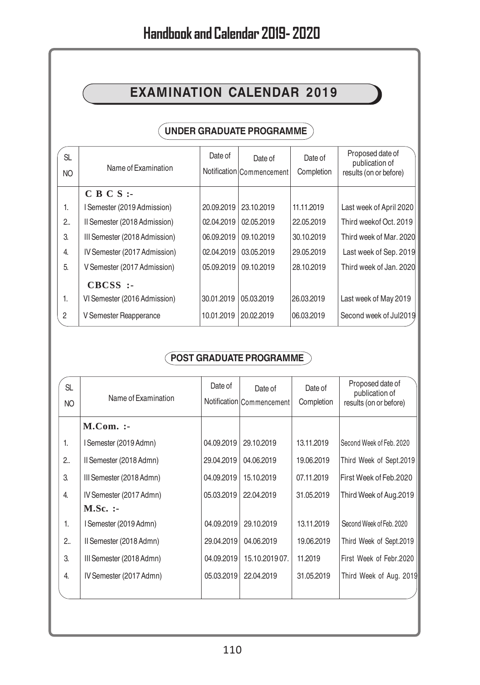#### **EXAMINATION CALENDAR 2019**

#### **UNDER GRADUATE PROGRAMME**

| <b>SL</b><br><b>NO</b> | Name of Examination           | Date of    | Date of<br>Notification Commencement | Date of<br>Completion | Proposed date of<br>publication of<br>results (on or before) |
|------------------------|-------------------------------|------------|--------------------------------------|-----------------------|--------------------------------------------------------------|
|                        | $C B C S$ :                   |            |                                      |                       |                                                              |
| 1.                     | I Semester (2019 Admission)   | 20,09.2019 | 23.10.2019                           | 11.11.2019            | Last week of April 2020                                      |
| 2.                     | Il Semester (2018 Admission)  | 02.04.2019 | 02.05.2019                           | 22.05.2019            | Third weekof Oct. 2019                                       |
| 3.                     | III Semester (2018 Admission) | 06.09.2019 | 09.10.2019                           | 30.10.2019            | Third week of Mar. 2020                                      |
| $\overline{4}$         | IV Semester (2017 Admission)  | 02.04.2019 | 03.05.2019                           | 29.05.2019            | Last week of Sep. 2019                                       |
| 5.                     | V Semester (2017 Admission)   | 05.09.2019 | 09.10.2019                           | 28.10.2019            | Third week of Jan. 2020                                      |
|                        | $CBCSS$ :-                    |            |                                      |                       |                                                              |
| 1.                     | VI Semester (2016 Admission)  | 30.01.2019 | 05.03.2019                           | 26.03.2019            | Last week of May 2019                                        |
| $\overline{2}$         | V Semester Reapperance        | 10.01.2019 | 20.02.2019                           | 06.03.2019            | Second week of Jul2019                                       |

#### **POST GRADUATE PROGRAMME**

| <b>SL</b><br>NO | Name of Examination      | Date of    | Date of<br>Notification Commencement | Date of<br>Completion | Proposed date of<br>publication of<br>results (on or before) |
|-----------------|--------------------------|------------|--------------------------------------|-----------------------|--------------------------------------------------------------|
|                 | $M. Com.$ :-             |            |                                      |                       |                                                              |
| 1.              | I Semester (2019 Admn)   | 04.09.2019 | 29.10.2019                           | 13.11.2019            | Second Week of Feb. 2020                                     |
| 2               | Il Semester (2018 Admn)  | 29.04.2019 | 04.06.2019                           | 19.06.2019            | Third Week of Sept.2019                                      |
| 3.              | III Semester (2018 Admn) | 04.09.2019 | 15.10.2019                           | 07.11.2019            | First Week of Feb.2020                                       |
| 4.              | IV Semester (2017 Admn)  | 05.03.2019 | 22.04.2019                           | 31.05.2019            | Third Week of Aug.2019                                       |
|                 | $M.Sc.$ :                |            |                                      |                       |                                                              |
| 1.              | I Semester (2019 Admn)   | 04.09.2019 | 29.10.2019                           | 13.11.2019            | Second Week of Feb. 2020                                     |
| 2.5             | Il Semester (2018 Admn)  | 29.04.2019 | 04.06.2019                           | 19.06.2019            | Third Week of Sept.2019                                      |
| 3.              | III Semester (2018 Admn) | 04.09.2019 | 15.10.201907.                        | 11.2019               | First Week of Febr.2020                                      |
| 4.              | IV Semester (2017 Admn)  | 05.03.2019 | 22.04.2019                           | 31.05.2019            | Third Week of Aug. 2019                                      |
|                 |                          |            |                                      |                       |                                                              |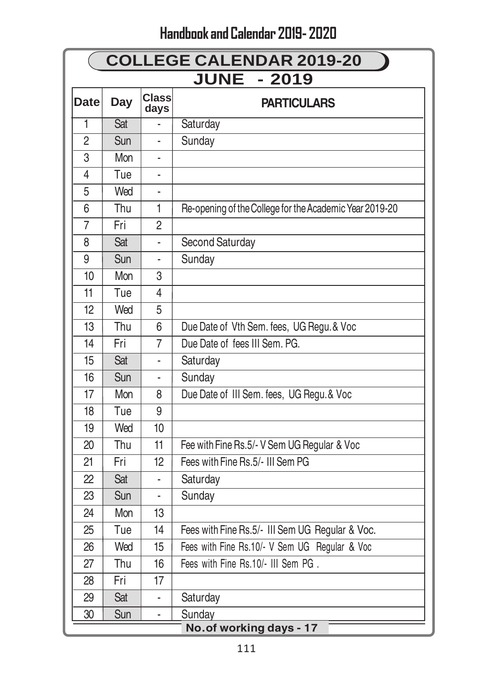|                | <b>COLLEGE CALENDAR 2019-20</b> |                      |                                                         |  |  |
|----------------|---------------------------------|----------------------|---------------------------------------------------------|--|--|
|                | <b>JUNE</b><br>$-2019$          |                      |                                                         |  |  |
| <b>Date</b>    | Day                             | <b>Class</b><br>days | <b>PARTICULARS</b>                                      |  |  |
| 1              | Sat                             |                      | Saturday                                                |  |  |
| $\overline{2}$ | Sun                             |                      | Sunday                                                  |  |  |
| 3              | Mon                             |                      |                                                         |  |  |
| $\overline{4}$ | Tue                             |                      |                                                         |  |  |
| 5              | Wed                             |                      |                                                         |  |  |
| 6              | Thu                             | 1                    | Re-opening of the College for the Academic Year 2019-20 |  |  |
| $\overline{7}$ | Fri                             | $\overline{2}$       |                                                         |  |  |
| 8              | Sat                             |                      | Second Saturday                                         |  |  |
| 9              | Sun                             |                      | Sunday                                                  |  |  |
| 10             | Mon                             | 3                    |                                                         |  |  |
| 11             | Tue                             | 4                    |                                                         |  |  |
| 12             | Wed                             | 5                    |                                                         |  |  |
| 13             | Thu                             | 6                    | Due Date of Vth Sem. fees, UG Regu. & Voc               |  |  |
| 14             | Fri                             | 7                    | Due Date of fees III Sem. PG.                           |  |  |
| 15             | Sat                             |                      | Saturday                                                |  |  |
| 16             | Sun                             |                      | Sunday                                                  |  |  |
| 17             | Mon                             | 8                    | Due Date of III Sem. fees, UG Regu. & Voc               |  |  |
| 18             | Tue                             | 9                    |                                                         |  |  |
| 19             | Wed                             | 10                   |                                                         |  |  |
| 20             | Thu                             | 11                   | Fee with Fine Rs.5/- V Sem UG Regular & Voc             |  |  |
| 21             | Fri                             | 12                   | Fees with Fine Rs.5/- III Sem PG                        |  |  |
| 22             | Sat                             |                      | Saturday                                                |  |  |
| 23             | Sun                             |                      | Sunday                                                  |  |  |
| 24             | Mon                             | 13                   |                                                         |  |  |
| 25             | Tue                             | 14                   | Fees with Fine Rs.5/- III Sem UG Regular & Voc.         |  |  |
| 26             | Wed                             | 15                   | Fees with Fine Rs.10/- V Sem UG Regular & Voc           |  |  |
| 27             | Thu                             | 16                   | Fees with Fine Rs.10/- III Sem PG.                      |  |  |
| 28             | Fri                             | 17                   |                                                         |  |  |
| 29             | Sat                             |                      | Saturday                                                |  |  |
| 30             | Sun                             | ä,                   | Sunday                                                  |  |  |
|                |                                 |                      | No.of working days - 17                                 |  |  |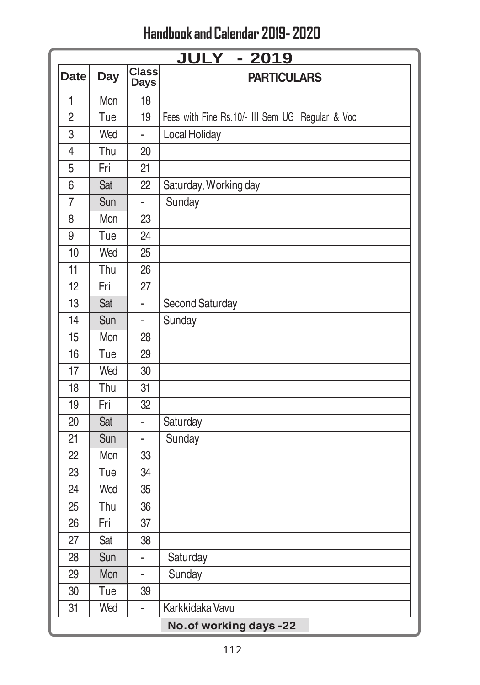|                | <b>JULY - 2019</b>      |                             |                                                 |  |  |
|----------------|-------------------------|-----------------------------|-------------------------------------------------|--|--|
| <b>Date</b>    | Day                     | <b>Class</b><br><b>Days</b> | <b>PARTICULARS</b>                              |  |  |
| 1              | Mon                     | 18                          |                                                 |  |  |
| $\overline{2}$ | Tue                     | 19                          | Fees with Fine Rs.10/- III Sem UG Regular & Voc |  |  |
| 3              | Wed                     | ä,                          | Local Holiday                                   |  |  |
| 4              | Thu                     | 20                          |                                                 |  |  |
| 5              | Fri                     | 21                          |                                                 |  |  |
| 6              | Sat                     | 22                          | Saturday, Working day                           |  |  |
| $\overline{7}$ | Sun                     | L,                          | Sunday                                          |  |  |
| 8              | Mon                     | 23                          |                                                 |  |  |
| 9              | Tue                     | 24                          |                                                 |  |  |
| 10             | Wed                     | 25                          |                                                 |  |  |
| 11             | Thu                     | 26                          |                                                 |  |  |
| 12             | Fri                     | 27                          |                                                 |  |  |
| 13             | Sat                     | L.                          | Second Saturday                                 |  |  |
| 14             | Sun                     |                             | Sunday                                          |  |  |
| 15             | Mon                     | 28                          |                                                 |  |  |
| 16             | Tue                     | 29                          |                                                 |  |  |
| 17             | Wed                     | 30                          |                                                 |  |  |
| 18             | Thu                     | 31                          |                                                 |  |  |
| 19             | Fri                     | 32                          |                                                 |  |  |
| 20             | Sat                     |                             | Saturday                                        |  |  |
| 21             | Sun                     |                             | Sunday                                          |  |  |
| 22             | Mon                     | 33                          |                                                 |  |  |
| 23             | Tue                     | 34                          |                                                 |  |  |
| 24             | Wed                     | 35                          |                                                 |  |  |
| 25             | Thu                     | 36                          |                                                 |  |  |
| 26             | Fri                     | 37                          |                                                 |  |  |
| 27             | Sat                     | 38                          |                                                 |  |  |
| 28             | Sun                     | ä,                          | Saturday                                        |  |  |
| 29             | Mon                     | ä,                          | Sunday                                          |  |  |
| 30             | Tue                     | 39                          |                                                 |  |  |
| 31             | Wed                     | ä,                          | Karkkidaka Vavu                                 |  |  |
|                | No. of working days -22 |                             |                                                 |  |  |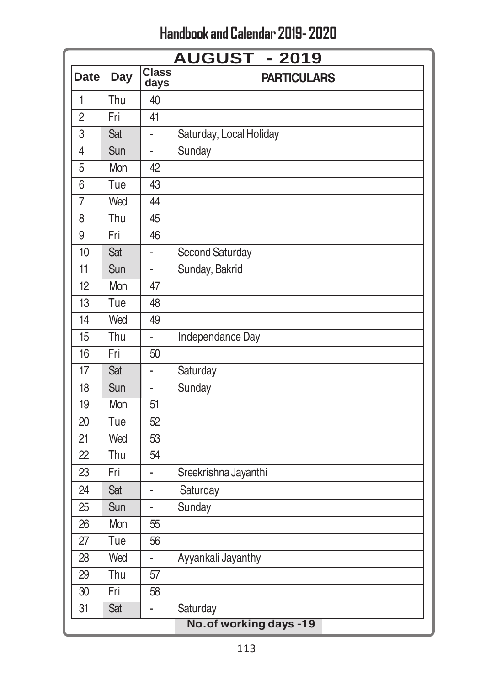|                | <b>AUGUST - 2019</b> |                      |                         |  |  |
|----------------|----------------------|----------------------|-------------------------|--|--|
| <b>Date</b>    | <b>Day</b>           | <b>Class</b><br>days | <b>PARTICULARS</b>      |  |  |
| $\mathbf{1}$   | Thu                  | 40                   |                         |  |  |
| $\overline{2}$ | Fri                  | 41                   |                         |  |  |
| 3              | Sat                  |                      | Saturday, Local Holiday |  |  |
| $\overline{4}$ | Sun                  | ä,                   | Sunday                  |  |  |
| 5              | Mon                  | 42                   |                         |  |  |
| 6              | Tue                  | 43                   |                         |  |  |
| $\overline{7}$ | Wed                  | 44                   |                         |  |  |
| 8              | Thu                  | 45                   |                         |  |  |
| 9              | Fri                  | 46                   |                         |  |  |
| 10             | Sat                  | L,                   | Second Saturday         |  |  |
| 11             | Sun                  | $\blacksquare$       | Sunday, Bakrid          |  |  |
| 12             | Mon                  | 47                   |                         |  |  |
| 13             | Tue                  | 48                   |                         |  |  |
| 14             | Wed                  | 49                   |                         |  |  |
| 15             | Thu                  |                      | Independance Day        |  |  |
| 16             | Fri                  | 50                   |                         |  |  |
| 17             | Sat                  | L,                   | Saturday                |  |  |
| 18             | Sun                  | ä,                   | Sunday                  |  |  |
| 19             | Mon                  | 51                   |                         |  |  |
| 20             | Tue                  | 52                   |                         |  |  |
| 21             | Wed                  | 53                   |                         |  |  |
| 22             | Thu                  | 54                   |                         |  |  |
| 23             | Fri                  | i,                   | Sreekrishna Jayanthi    |  |  |
| 24             | Sat                  | L,                   | Saturday                |  |  |
| 25             | Sun                  | L,                   | Sunday                  |  |  |
| 26             | Mon                  | 55                   |                         |  |  |
| 27             | Tue                  | 56                   |                         |  |  |
| 28             | Wed                  | ä,                   | Ayyankali Jayanthy      |  |  |
| 29             | Thu                  | 57                   |                         |  |  |
| 30             | Fri                  | 58                   |                         |  |  |
| 31             | Sat                  | L                    | Saturday                |  |  |
|                |                      |                      | No.of working days -19  |  |  |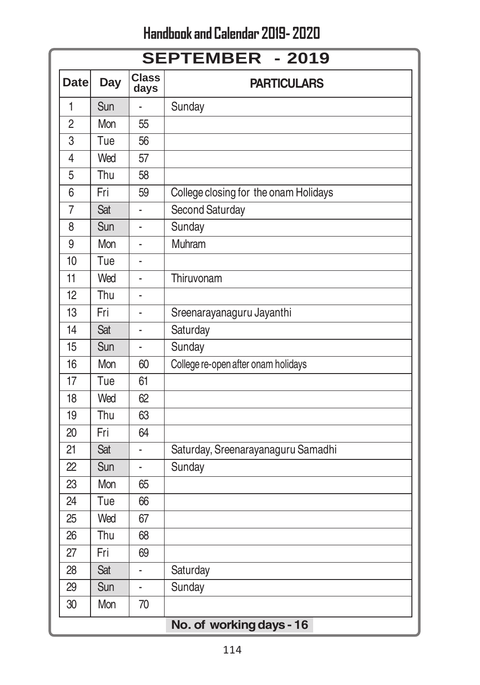|                | <b>SEPTEMBER - 2019</b> |                      |                                       |  |  |
|----------------|-------------------------|----------------------|---------------------------------------|--|--|
| <b>Date</b>    | <b>Day</b>              | <b>Class</b><br>days | <b>PARTICULARS</b>                    |  |  |
| 1              | Sun                     |                      | Sunday                                |  |  |
| $\overline{2}$ | Mon                     | 55                   |                                       |  |  |
| $\overline{3}$ | Tue                     | 56                   |                                       |  |  |
| $\overline{4}$ | Wed                     | 57                   |                                       |  |  |
| 5              | Thu                     | 58                   |                                       |  |  |
| 6              | Fri                     | 59                   | College closing for the onam Holidays |  |  |
| $\overline{7}$ | Sat                     |                      | Second Saturday                       |  |  |
| 8              | Sun                     |                      | Sunday                                |  |  |
| 9              | Mon                     |                      | Muhram                                |  |  |
| 10             | Tue                     |                      |                                       |  |  |
| 11             | Wed                     | ä,                   | Thiruvonam                            |  |  |
| 12             | Thu                     |                      |                                       |  |  |
| 13             | Fri                     |                      | Sreenarayanaguru Jayanthi             |  |  |
| 14             | Sat                     |                      | Saturday                              |  |  |
| 15             | Sun                     | ä,                   | Sunday                                |  |  |
| 16             | Mon                     | 60                   | College re-open after onam holidays   |  |  |
| 17             | Tue                     | 61                   |                                       |  |  |
| 18             | Wed                     | 62                   |                                       |  |  |
| 19             | Thu                     | 63                   |                                       |  |  |
| 20             | Fri                     | 64                   |                                       |  |  |
| 21             | Sat                     |                      | Saturday, Sreenarayanaguru Samadhi    |  |  |
| 22             | Sun                     | L.                   | Sunday                                |  |  |
| 23             | Mon                     | 65                   |                                       |  |  |
| 24             | Tue                     | 66                   |                                       |  |  |
| 25             | Wed                     | 67                   |                                       |  |  |
| 26             | Thu                     | 68                   |                                       |  |  |
| 27             | Fri                     | 69                   |                                       |  |  |
| 28             | Sat                     |                      | Saturday                              |  |  |
| 29             | Sun                     |                      | Sunday                                |  |  |
| 30             | Mon                     | 70                   |                                       |  |  |
|                |                         |                      | No. of working days - 16              |  |  |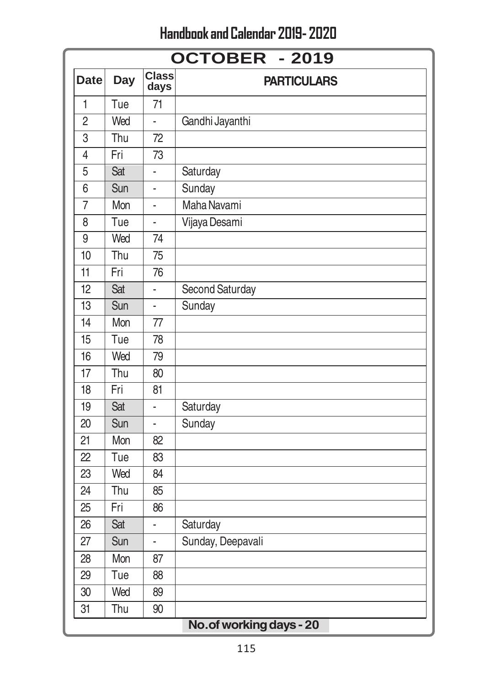|                 | <b>OCTOBER - 2019</b> |                      |                          |  |  |  |
|-----------------|-----------------------|----------------------|--------------------------|--|--|--|
| <b>Date</b>     | <b>Day</b>            | <b>Class</b><br>days | <b>PARTICULARS</b>       |  |  |  |
| 1               | Tue                   | 71                   |                          |  |  |  |
| $\overline{2}$  | Wed                   | ä,                   | Gandhi Jayanthi          |  |  |  |
| 3               | Thu                   | 72                   |                          |  |  |  |
| $\overline{4}$  | Fri                   | 73                   |                          |  |  |  |
| 5               | Sat                   |                      | Saturday                 |  |  |  |
| 6               | Sun                   |                      | Sunday                   |  |  |  |
| $\overline{7}$  | Mon                   | ä,                   | Maha Navami              |  |  |  |
| 8               | Tue                   | ÷,                   | Vijaya Desami            |  |  |  |
| $\overline{9}$  | Wed                   | 74                   |                          |  |  |  |
| 10              | Thu                   | 75                   |                          |  |  |  |
| $\overline{11}$ | Fri                   | 76                   |                          |  |  |  |
| $\overline{12}$ | Sat                   |                      | Second Saturday          |  |  |  |
| 13              | Sun                   |                      | Sunday                   |  |  |  |
| 14              | Mon                   | 77                   |                          |  |  |  |
| 15              | Tue                   | 78                   |                          |  |  |  |
| 16              | Wed                   | 79                   |                          |  |  |  |
| 17              | Thu                   | 80                   |                          |  |  |  |
| 18              | Fri                   | 81                   |                          |  |  |  |
| 19              | Sat                   |                      | Saturday                 |  |  |  |
| 20              | Sun                   | ×,                   | Sunday                   |  |  |  |
| 21              | Mon                   | 82                   |                          |  |  |  |
| 22              | Tue                   | 83                   |                          |  |  |  |
| 23              | Wed                   | 84                   |                          |  |  |  |
| 24              | Thu                   | 85                   |                          |  |  |  |
| 25              | Fri                   | 86                   |                          |  |  |  |
| 26              | Sat                   |                      | Saturday                 |  |  |  |
| 27              | Sun                   | ä,                   | Sunday, Deepavali        |  |  |  |
| 28              | Mon                   | 87                   |                          |  |  |  |
| 29              | Tue                   | 88                   |                          |  |  |  |
| 30              | Wed                   | 89                   |                          |  |  |  |
| 31              | Thu                   | 90                   |                          |  |  |  |
|                 |                       |                      | No. of working days - 20 |  |  |  |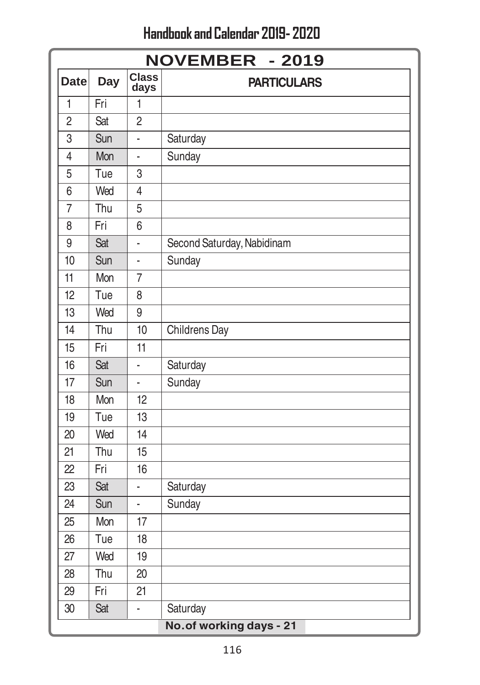Handbook and Calendar 2019- 2020

|                | <b>NOVEMBER - 2019</b> |                      |                            |  |  |
|----------------|------------------------|----------------------|----------------------------|--|--|
| <b>Date</b>    | Day                    | <b>Class</b><br>days | <b>PARTICULARS</b>         |  |  |
| $\overline{1}$ | Fri                    | 1                    |                            |  |  |
| $\overline{2}$ | Sat                    | $\overline{2}$       |                            |  |  |
| 3              | Sun                    | L                    | Saturday                   |  |  |
| $\overline{4}$ | Mon                    | L                    | Sunday                     |  |  |
| 5              | Tue                    | 3                    |                            |  |  |
| 6              | Wed                    | $\overline{4}$       |                            |  |  |
| $\overline{7}$ | Thu                    | 5                    |                            |  |  |
| 8              | Fri                    | 6                    |                            |  |  |
| 9              | Sat                    |                      | Second Saturday, Nabidinam |  |  |
| 10             | Sun                    | ä,                   | Sunday                     |  |  |
| 11             | Mon                    | $\overline{7}$       |                            |  |  |
| 12             | Tue                    | 8                    |                            |  |  |
| 13             | Wed                    | 9                    |                            |  |  |
| 14             | Thu                    | 10                   | Childrens Day              |  |  |
| 15             | Fri                    | 11                   |                            |  |  |
| 16             | Sat                    | L                    | Saturday                   |  |  |
| 17             | Sun                    | $\overline{a}$       | Sunday                     |  |  |
| 18             | Mon                    | 12                   |                            |  |  |
| 19             | Tue                    | 13                   |                            |  |  |
| 20             | Wed                    | 14                   |                            |  |  |
| 21             | Thu                    | 15                   |                            |  |  |
| 22             | Fri                    | 16                   |                            |  |  |
| 23             | Sat                    | $\overline{a}$       | Saturday                   |  |  |
| 24             | Sun                    | L,                   | Sunday                     |  |  |
| 25             | Mon                    | 17                   |                            |  |  |
| 26             | Tue                    | 18                   |                            |  |  |
| 27             | Wed                    | 19                   |                            |  |  |
| 28             | Thu                    | 20                   |                            |  |  |
| 29             | Fri                    | 21                   |                            |  |  |
| 30             | Sat                    | L                    | Saturday                   |  |  |
|                |                        |                      | No.of working days - 21    |  |  |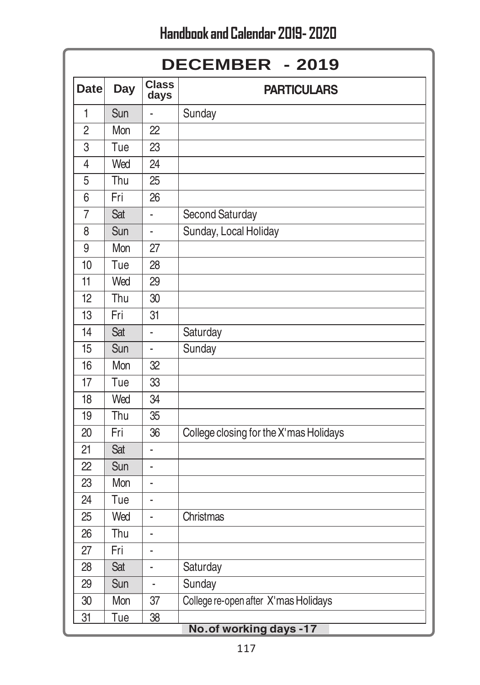|                         | DECEMBER - 2019 |                      |                                        |  |  |
|-------------------------|-----------------|----------------------|----------------------------------------|--|--|
| <b>Date</b>             | <b>Day</b>      | <b>Class</b><br>days | <b>PARTICULARS</b>                     |  |  |
| 1                       | Sun             | ä,                   | Sunday                                 |  |  |
| $\overline{2}$          | Mon             | 22                   |                                        |  |  |
| $\overline{3}$          | Tue             | $\overline{23}$      |                                        |  |  |
| $\overline{4}$          | Wed             | $\overline{24}$      |                                        |  |  |
| 5                       | Thu             | $\overline{25}$      |                                        |  |  |
| 6                       | Fri             | 26                   |                                        |  |  |
| $\overline{7}$          | Sat             | L,                   | Second Saturday                        |  |  |
| 8                       | Sun             | L,                   | Sunday, Local Holiday                  |  |  |
| 9                       | Mon             | 27                   |                                        |  |  |
| 10                      | Tue             | 28                   |                                        |  |  |
| 11                      | Wed             | 29                   |                                        |  |  |
| 12                      | Thu             | 30                   |                                        |  |  |
| 13                      | Fri             | 31                   |                                        |  |  |
| 14                      | Sat             | ä,                   | Saturday                               |  |  |
| 15                      | Sun             | L,                   | Sunday                                 |  |  |
| 16                      | Mon             | 32                   |                                        |  |  |
| 17                      | Tue             | 33                   |                                        |  |  |
| 18                      | Wed             | $\overline{34}$      |                                        |  |  |
| 19                      | Thu             | $\overline{35}$      |                                        |  |  |
| 20                      | Fri             | 36                   | College closing for the X'mas Holidays |  |  |
| 21                      | Sat             |                      |                                        |  |  |
| 22                      | Sun             | ä,                   |                                        |  |  |
| 23                      | Mon             | ä,                   |                                        |  |  |
| 24                      | Tue             | ÷                    |                                        |  |  |
| 25                      | Wed             | L,                   | Christmas                              |  |  |
| 26                      | Thu             | ä,                   |                                        |  |  |
| 27                      | Fri             | l,                   |                                        |  |  |
| 28                      | Sat             | ä,                   | Saturday                               |  |  |
| 29                      | Sun             | $\blacksquare$       | Sunday                                 |  |  |
| 30                      | Mon             | 37                   | College re-open after X'mas Holidays   |  |  |
| 31                      | Tue             | $\frac{38}{5}$       |                                        |  |  |
| No. of working days -17 |                 |                      |                                        |  |  |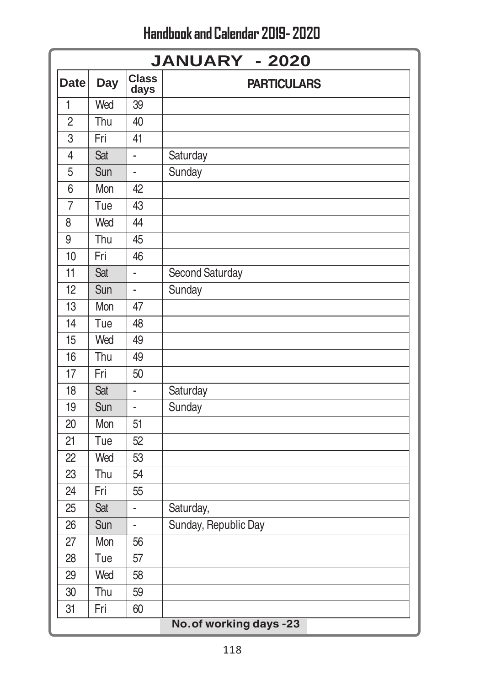Handbook and Calendar 2019- 2020

|                 | <b>JANUARY - 2020</b> |                      |                         |  |  |
|-----------------|-----------------------|----------------------|-------------------------|--|--|
| <b>Date</b>     | <b>Day</b>            | <b>Class</b><br>days | <b>PARTICULARS</b>      |  |  |
| $\mathbf{1}$    | Wed                   | 39                   |                         |  |  |
| $\overline{2}$  | Thu                   | 40                   |                         |  |  |
| 3               | Fri                   | 41                   |                         |  |  |
| 4               | Sat                   | L                    | Saturday                |  |  |
| 5               | Sun                   | L,                   | Sunday                  |  |  |
| 6               | Mon                   | 42                   |                         |  |  |
| $\overline{7}$  | Tue                   | 43                   |                         |  |  |
| 8               | Wed                   | 44                   |                         |  |  |
| 9               | Thu                   | 45                   |                         |  |  |
| 10              | Fri                   | 46                   |                         |  |  |
| $\overline{11}$ | Sat                   | L                    | <b>Second Saturday</b>  |  |  |
| 12              | Sun                   |                      | Sunday                  |  |  |
| 13              | Mon                   | 47                   |                         |  |  |
| 14              | Tue                   | 48                   |                         |  |  |
| 15              | Wed                   | 49                   |                         |  |  |
| 16              | Thu                   | 49                   |                         |  |  |
| 17              | Fri                   | 50                   |                         |  |  |
| 18              | Sat                   |                      | Saturday                |  |  |
| 19              | Sun                   |                      | Sunday                  |  |  |
| 20              | Mon                   | 51                   |                         |  |  |
| 21              | Tue                   | 52                   |                         |  |  |
| 22              | Wed                   | 53                   |                         |  |  |
| 23              | Thu                   | $\overline{54}$      |                         |  |  |
| 24              | Fri                   | $\overline{55}$      |                         |  |  |
| 25              | Sat                   |                      | Saturday,               |  |  |
| 26              | Sun                   | í.                   | Sunday, Republic Day    |  |  |
| 27              | Mon                   | 56                   |                         |  |  |
| 28              | Tue                   | 57                   |                         |  |  |
| 29              | Wed                   | 58                   |                         |  |  |
| 30              | Thu                   | 59                   |                         |  |  |
| 31              | Fri                   | 60                   |                         |  |  |
|                 |                       |                      | No. of working days -23 |  |  |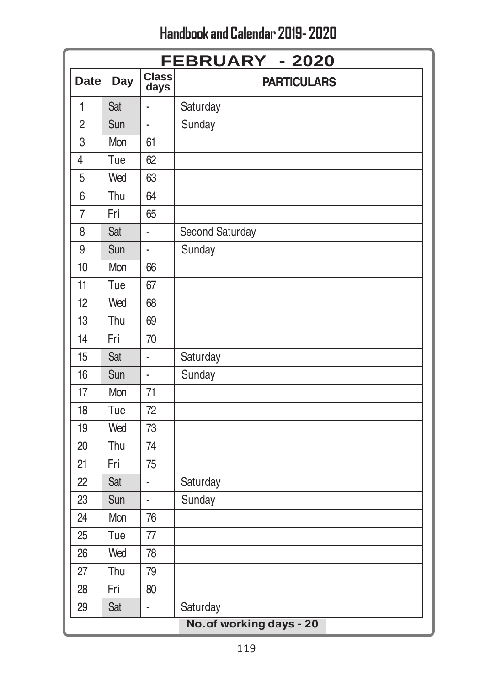|                | <b>FEBRUARY - 2020</b> |                      |                         |  |  |
|----------------|------------------------|----------------------|-------------------------|--|--|
| <b>Date</b>    | <b>Day</b>             | <b>Class</b><br>days | <b>PARTICULARS</b>      |  |  |
| 1              | Sat                    | ä,                   | Saturday                |  |  |
| $\overline{2}$ | Sun                    | ä,                   | Sunday                  |  |  |
| 3              | Mon                    | 61                   |                         |  |  |
| $\overline{4}$ | Tue                    | 62                   |                         |  |  |
| 5              | Wed                    | 63                   |                         |  |  |
| 6              | Thu                    | 64                   |                         |  |  |
| $\overline{7}$ | Fri                    | 65                   |                         |  |  |
| 8              | Sat                    | ÷,                   | Second Saturday         |  |  |
| 9              | Sun                    | L.                   | Sunday                  |  |  |
| 10             | Mon                    | 66                   |                         |  |  |
| 11             | Tue                    | 67                   |                         |  |  |
| 12             | Wed                    | 68                   |                         |  |  |
| 13             | Thu                    | 69                   |                         |  |  |
| 14             | Fri                    | 70                   |                         |  |  |
| 15             | Sat                    | ä,                   | Saturday                |  |  |
| 16             | Sun                    | L.                   | Sunday                  |  |  |
| 17             | Mon                    | 71                   |                         |  |  |
| 18             | Tue                    | 72                   |                         |  |  |
| 19             | Wed                    | 73                   |                         |  |  |
| 20             | Thu                    | 74                   |                         |  |  |
| 21             | Fri                    | 75                   |                         |  |  |
| 22             | Sat                    | ÷,                   | Saturday                |  |  |
| 23             | Sun                    | L.                   | Sunday                  |  |  |
| 24             | Mon                    | 76                   |                         |  |  |
| 25             | Tue                    | 77                   |                         |  |  |
| 26             | Wed                    | 78                   |                         |  |  |
| 27             | Thu                    | 79                   |                         |  |  |
| 28             | Fri                    | 80                   |                         |  |  |
| 29             | Sat                    | ä,                   | Saturday                |  |  |
|                |                        |                      | No.of working days - 20 |  |  |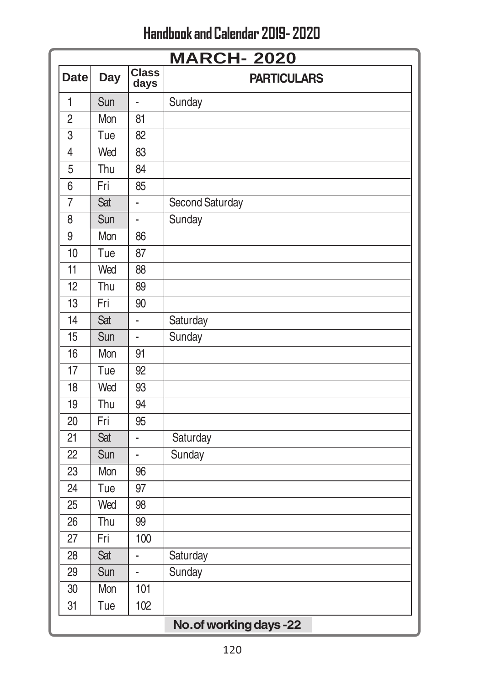|                 | <b>MARCH-2020</b> |                      |                         |  |  |
|-----------------|-------------------|----------------------|-------------------------|--|--|
| <b>Date</b>     | <b>Day</b>        | <b>Class</b><br>days | <b>PARTICULARS</b>      |  |  |
| $\mathbf{1}$    | Sun               | L                    | Sunday                  |  |  |
| $\overline{2}$  | Mon               | 81                   |                         |  |  |
| $\overline{3}$  | Tue               | 82                   |                         |  |  |
| $\overline{4}$  | Wed               | 83                   |                         |  |  |
| 5               | Thu               | 84                   |                         |  |  |
| 6               | Fri               | 85                   |                         |  |  |
| 7               | Sat               | ä,                   | Second Saturday         |  |  |
| 8               | Sun               | ä,                   | Sunday                  |  |  |
| $\overline{9}$  | Mon               | 86                   |                         |  |  |
| 10              | Tue               | 87                   |                         |  |  |
| $\overline{11}$ | Wed               | 88                   |                         |  |  |
| 12              | Thu               | 89                   |                         |  |  |
| 13              | Fri               | 90                   |                         |  |  |
| 14              | Sat               | L                    | Saturday                |  |  |
| 15              | Sun               | ÷                    | Sunday                  |  |  |
| 16              | Mon               | 91                   |                         |  |  |
| 17              | Tue               | 92                   |                         |  |  |
| 18              | Wed               | 93                   |                         |  |  |
| $\overline{19}$ | Thu               | 94                   |                         |  |  |
| 20              | Fri               | 95                   |                         |  |  |
| 21              | Sat               | L                    | Saturday                |  |  |
| 22              | Sun               | ä,                   | Sunday                  |  |  |
| 23              | Mon               | 96                   |                         |  |  |
| 24              | Tue               | 97                   |                         |  |  |
| 25              | Wed               | 98                   |                         |  |  |
| 26              | Thu               | 99                   |                         |  |  |
| 27              | Fri               | 100                  |                         |  |  |
| 28              | Sat               |                      | Saturday                |  |  |
| 29              | Sun               | ä,                   | Sunday                  |  |  |
| 30              | Mon               | 101                  |                         |  |  |
| 31              | Tue               | 102                  |                         |  |  |
|                 |                   |                      | No. of working days -22 |  |  |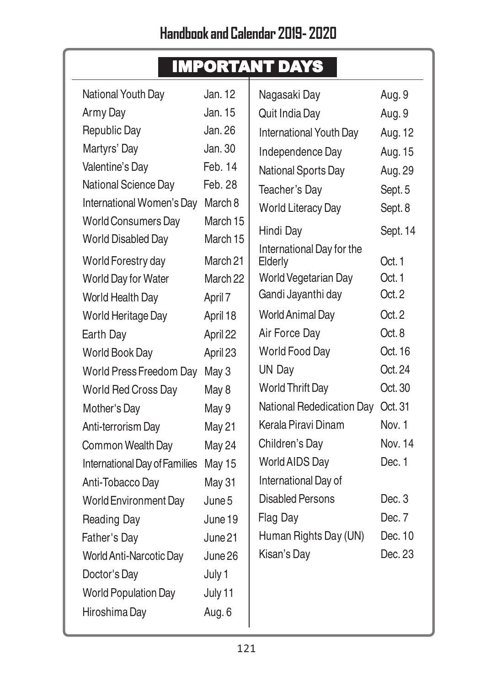|                               |               | <b>IMPORTANT DAYS</b>     |          |
|-------------------------------|---------------|---------------------------|----------|
| National Youth Day            | Jan. 12       | Nagasaki Day              | Aug. 9   |
| Army Day                      | Jan. 15       | Quit India Day            | Aug. 9   |
| Republic Day                  | Jan. 26       | International Youth Day   | Aug. 12  |
| Martyrs' Day                  | Jan. 30       | Independence Day          | Aug. 15  |
| Valentine's Day               | Feb. 14       | National Sports Day       | Aug. 29  |
| National Science Day          | Feb. 28       | Teacher's Day             | Sept. 5  |
| International Women's Day     | March 8       | <b>World Literacy Day</b> | Sept. 8  |
| <b>World Consumers Day</b>    | March 15      | Hindi Day                 | Sept. 14 |
| World Disabled Day            | March 15      | International Day for the |          |
| World Forestry day            | March 21      | Elderly                   | Oct. 1   |
| World Day for Water           | March 22      | World Vegetarian Day      | Oct. 1   |
| World Health Day              | April 7       | Gandi Jayanthi day        | Oct.2    |
| World Heritage Day            | April 18      | <b>World Animal Day</b>   | Oct.2    |
| Earth Day                     | April 22      | Air Force Day             | Oct. 8   |
| World Book Day                | April 23      | World Food Day            | Oct. 16  |
| World Press Freedom Day       | May 3         | UN Day                    | Oct. 24  |
| World Red Cross Day           | May 8         | <b>World Thrift Day</b>   | Oct.30   |
| Mother's Day                  | May 9         | National Rededication Day | Oct. 31  |
| Anti-terrorism Day            | May 21        | Kerala Piravi Dinam       | Nov. 1   |
| Common Wealth Day             | May 24        | Children's Day            | Nov. 14  |
| International Day of Families | <b>May 15</b> | World AIDS Day            | Dec. 1   |
| Anti-Tobacco Day              | May 31        | International Day of      |          |
| <b>World Environment Day</b>  | June 5        | Disabled Persons          | Dec. 3   |
| Reading Day                   | June 19       | Flag Day                  | Dec. 7   |
| Father's Day                  | June 21       | Human Rights Day (UN)     | Dec. 10  |
| World Anti-Narcotic Day       | June 26       | Kisan's Day               | Dec. 23  |
| Doctor's Day                  | July 1        |                           |          |
| <b>World Population Day</b>   | July 11       |                           |          |
| Hiroshima Day                 | Aug. 6        |                           |          |
|                               |               |                           |          |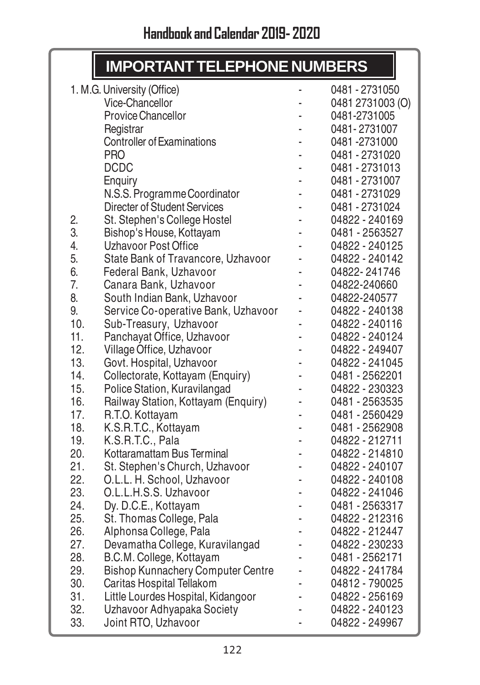# **IMPORTANT TELEPHONE NUMBERS**

I

|     | 1. M.G. University (Office)              | -  | 0481 - 2731050   |
|-----|------------------------------------------|----|------------------|
|     | Vice-Chancellor                          |    | 0481 2731003 (O) |
|     | Provice Chancellor                       |    | 0481-2731005     |
|     | Registrar                                |    | 0481-2731007     |
|     | <b>Controller of Examinations</b>        | ä, | 0481-2731000     |
|     | <b>PRO</b>                               |    | 0481 - 2731020   |
|     | <b>DCDC</b>                              |    | 0481 - 2731013   |
|     | Enquiry                                  |    | 0481 - 2731007   |
|     | N.S.S. Programme Coordinator             |    | 0481 - 2731029   |
|     | Directer of Student Services             |    | 0481 - 2731024   |
| 2.  | St. Stephen's College Hostel             | ä, | 04822 - 240169   |
| 3.  | Bishop's House, Kottayam                 |    | 0481 - 2563527   |
| 4.  | Uzhavoor Post Office                     |    | 04822 - 240125   |
| 5.  | State Bank of Travancore, Uzhavoor       |    | 04822 - 240142   |
| 6.  | Federal Bank, Uzhavoor                   |    | 04822-241746     |
| 7.  | Canara Bank, Uzhavoor                    | ä, | 04822-240660     |
| 8.  | South Indian Bank, Uzhavoor              |    | 04822-240577     |
| 9.  | Service Co-operative Bank, Uzhavoor      | -  | 04822 - 240138   |
| 10. | Sub-Treasury, Uzhavoor                   |    | 04822 - 240116   |
| 11. | Panchayat Office, Uzhavoor               |    | 04822 - 240124   |
| 12. | Village Office, Uzhavoor                 |    | 04822 - 249407   |
| 13. | Govt. Hospital, Uzhavoor                 | ä, | 04822 - 241045   |
| 14. | Collectorate, Kottayam (Enquiry)         |    | 0481 - 2562201   |
| 15. | Police Station, Kuravilangad             |    | 04822 - 230323   |
| 16. | Railway Station, Kottayam (Enquiry)      |    | 0481 - 2563535   |
| 17. | R.T.O. Kottayam                          |    | 0481 - 2560429   |
| 18. | K.S.R.T.C., Kottayam                     | ä, | 0481 - 2562908   |
| 19. | K.S.R.T.C., Pala                         | ä, | 04822 - 212711   |
| 20. | Kottaramattam Bus Terminal               |    | 04822 - 214810   |
| 21. | St. Stephen's Church, Uzhavoor           |    | 04822 - 240107   |
| 22. | O.L.L. H. School, Uzhavoor               | L, | 04822 - 240108   |
| 23. | O.L.L.H.S.S. Uzhavoor                    | ä, | 04822 - 241046   |
| 24. | Dy. D.C.E., Kottayam                     | i. | 0481 - 2563317   |
| 25. | St. Thomas College, Pala                 |    | 04822 - 212316   |
| 26. | Alphonsa College, Pala                   | -  | 04822 - 212447   |
| 27. | Devamatha College, Kuravilangad          |    | 04822 - 230233   |
| 28. | B.C.M. College, Kottayam                 |    | 0481 - 2562171   |
| 29. | <b>Bishop Kunnachery Computer Centre</b> |    | 04822 - 241784   |
| 30. | Caritas Hospital Tellakom                |    | 04812 - 790025   |
| 31. | Little Lourdes Hospital, Kidangoor       |    | 04822 - 256169   |
| 32. | Uzhavoor Adhyapaka Society               | ä, | 04822 - 240123   |
| 33. | Joint RTO, Uzhavoor                      |    | 04822 - 249967   |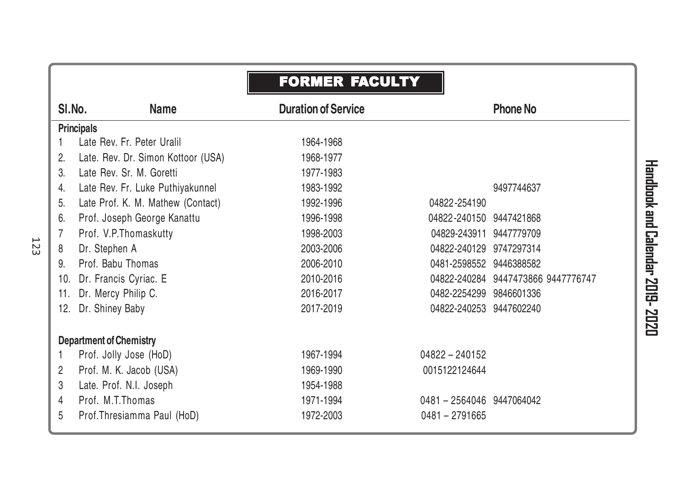|                       |                                    | <b>FORMER FACULTY</b>      |                           |                                    |
|-----------------------|------------------------------------|----------------------------|---------------------------|------------------------------------|
|                       | SI.No.<br><b>Name</b>              | <b>Duration of Service</b> |                           | <b>Phone No</b>                    |
|                       | <b>Principals</b>                  |                            |                           |                                    |
|                       | Late Rev. Fr. Peter Uralil         | 1964-1968                  |                           |                                    |
| 2.                    | Late. Rev. Dr. Simon Kottoor (USA) | 1968-1977                  |                           |                                    |
| $\mathcal{S}_{\cdot}$ | Late Rev. Sr. M. Goretti           | 1977-1983                  |                           |                                    |
| 4.                    | Late Rev. Fr. Luke Puthiyakunnel   | 1983-1992                  |                           | 9497744637                         |
| 5.                    | Late Prof. K. M. Mathew (Contact)  | 1992-1996                  | 04822-254190              |                                    |
| 6.                    | Prof. Joseph George Kanattu        | 1996-1998                  | 04822-240150 9447421868   |                                    |
| 7                     | Prof. V.P. Thomaskutty             | 1998-2003                  | 04829-243911              | 9447779709                         |
| 8                     | Dr. Stephen A                      | 2003-2006                  | 04822-240129              | 9747297314                         |
| 9.                    | Prof. Babu Thomas                  | 2006-2010                  | 0481-2598552 9446388582   |                                    |
| 10.                   | Dr. Francis Cyriac. E              | 2010-2016                  |                           | 04822-240284 9447473866 9447776747 |
| 11.                   | Dr. Mercy Philip C.                | 2016-2017                  | 0482-2254299              | 9846601336                         |
| 12.                   | Dr. Shiney Baby                    | 2017-2019                  | 04822-240253 9447602240   |                                    |
|                       | <b>Department of Chemistry</b>     |                            |                           |                                    |
|                       | Prof. Jolly Jose (HoD)             | 1967-1994                  | $04822 - 240152$          |                                    |
| 2                     | Prof. M. K. Jacob (USA)            | 1969-1990                  | 0015122124644             |                                    |
| 3                     | Late. Prof. N.I. Joseph            | 1954-1988                  |                           |                                    |
| 4                     | Prof. M.T.Thomas                   | 1971-1994                  | 0481 - 2564046 9447064042 |                                    |
| 5                     | Prof.Thresiamma Paul (HoD)         | 1972-2003                  | 0481-2791665              |                                    |

123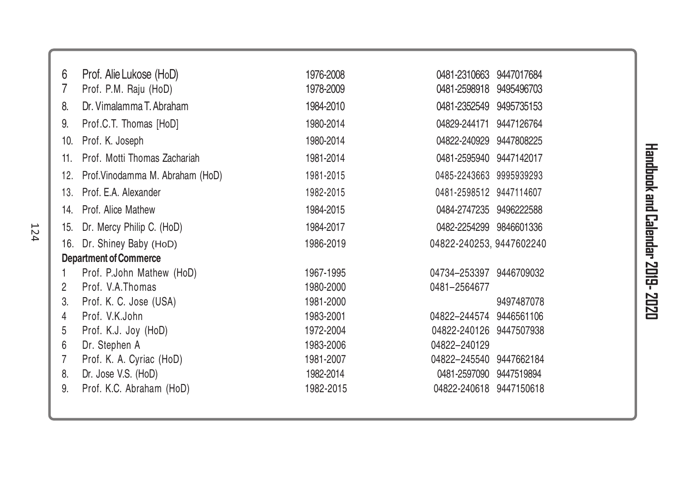| 6   | Prof. Alie Lukose (HoD)         | 1976-2008 | 0481-2310663             | 9447017684 |
|-----|---------------------------------|-----------|--------------------------|------------|
| 7   | Prof. P.M. Raju (HoD)           | 1978-2009 | 0481-2598918             | 9495496703 |
| 8.  | Dr. Vimalamma T. Abraham        | 1984-2010 | 0481-2352549             | 9495735153 |
| 9.  | Prof.C.T. Thomas [HoD]          | 1980-2014 | 04829-244171             | 9447126764 |
| 10. | Prof. K. Joseph                 | 1980-2014 | 04822-240929             | 9447808225 |
| 11. | Prof. Motti Thomas Zachariah    | 1981-2014 | 0481-2595940             | 9447142017 |
| 12. | Prof.Vinodamma M. Abraham (HoD) | 1981-2015 | 0485-2243663 9995939293  |            |
| 13. | Prof. E.A. Alexander            | 1982-2015 | 0481-2598512 9447114607  |            |
| 14. | Prof. Alice Mathew              | 1984-2015 | 0484-2747235             | 9496222588 |
| 15. | Dr. Mercy Philip C. (HoD)       | 1984-2017 | 0482-2254299             | 9846601336 |
| 16. | Dr. Shiney Baby (HoD)           | 1986-2019 | 04822-240253, 9447602240 |            |
|     | <b>Department of Commerce</b>   |           |                          |            |
|     | Prof. P.John Mathew (HoD)       | 1967-1995 | 04734-253397             | 9446709032 |
| 2   | Prof. V.A.Thomas                | 1980-2000 | 0481-2564677             |            |
| 3.  | Prof. K. C. Jose (USA)          | 1981-2000 |                          | 9497487078 |
| 4   | Prof. V.K.John                  | 1983-2001 | 04822-244574             | 9446561106 |
| 5   | Prof. K.J. Joy (HoD)            | 1972-2004 | 04822-240126             | 9447507938 |
| 6   | Dr. Stephen A                   | 1983-2006 | 04822-240129             |            |
| 7   | Prof. K. A. Cyriac (HoD)        | 1981-2007 | 04822-245540             | 9447662184 |
| 8.  | Dr. Jose V.S. (HoD)             | 1982-2014 | 0481-2597090             | 9447519894 |
| 9.  | Prof. K.C. Abraham (HoD)        | 1982-2015 | 04822-240618 9447150618  |            |
|     |                                 |           |                          |            |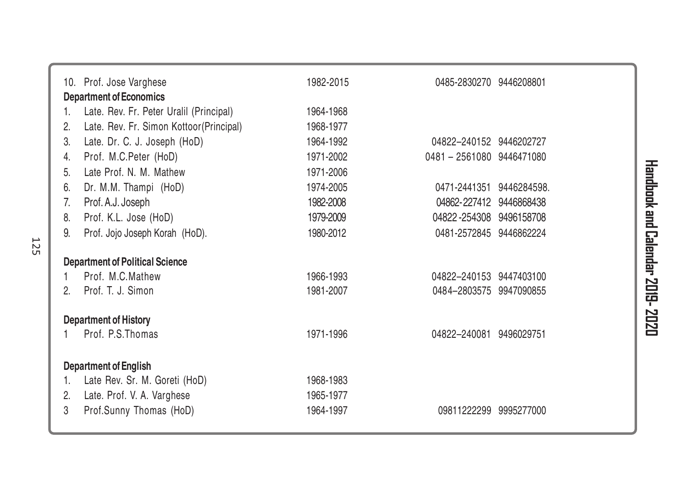|         | 10. Prof. Jose Varghese                                    | 1982-2015              | 0485-2830270 9446208801   |             |  |
|---------|------------------------------------------------------------|------------------------|---------------------------|-------------|--|
|         | <b>Department of Economics</b>                             |                        |                           |             |  |
| 1.      | Late. Rev. Fr. Peter Uralil (Principal)                    | 1964-1968              |                           |             |  |
| 2.      | Late. Rev. Fr. Simon Kottoor(Principal)                    | 1968-1977              |                           |             |  |
| 3.      | Late. Dr. C. J. Joseph (HoD)                               | 1964-1992              | 04822-240152 9446202727   |             |  |
| 4.      | Prof. M.C.Peter (HoD)                                      | 1971-2002              | 0481 - 2561080 9446471080 |             |  |
| 5.      | Late Prof. N. M. Mathew                                    | 1971-2006              |                           |             |  |
| 6.      | Dr. M.M. Thampi (HoD)                                      | 1974-2005              | 0471-2441351              | 9446284598. |  |
| 7.      | Prof. A.J. Joseph                                          | 1982-2008              | 04862-227412              | 9446868438  |  |
| 8.      | Prof. K.L. Jose (HoD)                                      | 1979-2009              | 04822-254308              | 9496158708  |  |
| 9.      | Prof. Jojo Joseph Korah (HoD).                             | 1980-2012              | 0481-2572845 9446862224   |             |  |
|         |                                                            |                        |                           |             |  |
|         |                                                            |                        |                           |             |  |
|         | <b>Department of Political Science</b><br>Prof. M.C.Mathew | 1966-1993              | 04822-240153 9447403100   |             |  |
| 2.      | Prof. T. J. Simon                                          | 1981-2007              | 0484-2803575 9947090855   |             |  |
|         |                                                            |                        |                           |             |  |
|         | <b>Department of History</b><br>Prof. P.S. Thomas          | 1971-1996              | 04822-240081 9496029751   |             |  |
|         |                                                            |                        |                           |             |  |
|         | <b>Department of English</b>                               |                        |                           |             |  |
| 1.      | Late Rev. Sr. M. Goreti (HoD)                              | 1968-1983              |                           |             |  |
| 2.<br>3 | Late. Prof. V. A. Varghese<br>Prof.Sunny Thomas (HoD)      | 1965-1977<br>1964-1997 | 09811222299 9995277000    |             |  |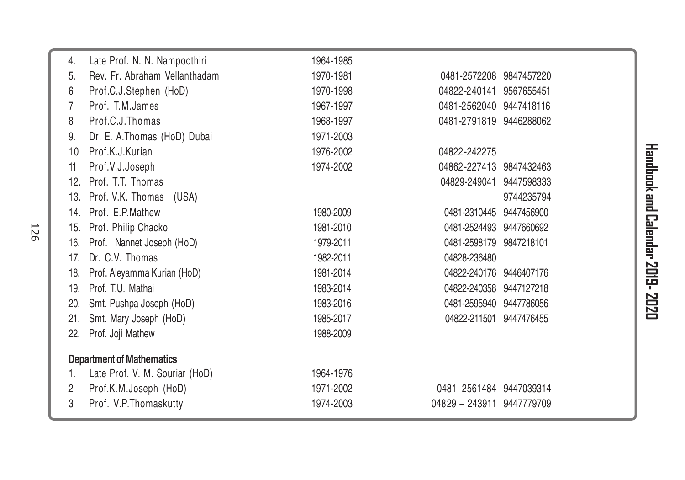| 4.  | Late Prof. N. N. Nampoothiri     | 1964-1985 |                         |            |
|-----|----------------------------------|-----------|-------------------------|------------|
| 5.  | Rev. Fr. Abraham Vellanthadam    | 1970-1981 | 0481-2572208            | 9847457220 |
| 6   | Prof.C.J.Stephen (HoD)           | 1970-1998 | 04822-240141            | 9567655451 |
| 7   | Prof. T.M.James                  | 1967-1997 | 0481-2562040            | 9447418116 |
| 8   | Prof.C.J.Thomas                  | 1968-1997 | 0481-2791819            | 9446288062 |
| 9.  | Dr. E. A.Thomas (HoD) Dubai      | 1971-2003 |                         |            |
| 10  | Prof.K.J.Kurian                  | 1976-2002 | 04822-242275            |            |
| 11  | Prof.V.J.Joseph                  | 1974-2002 | 04862-227413            | 9847432463 |
| 12. | Prof. T.T. Thomas                |           | 04829-249041            | 9447598333 |
|     | 13. Prof. V.K. Thomas<br>(USA)   |           |                         | 9744235794 |
|     | 14. Prof. E.P.Mathew             | 1980-2009 | 0481-2310445            | 9447456900 |
| 15. | Prof. Philip Chacko              | 1981-2010 | 0481-2524493            | 9447660692 |
| 16. | Prof. Nannet Joseph (HoD)        | 1979-2011 | 0481-2598179            | 9847218101 |
| 17. | Dr. C.V. Thomas                  | 1982-2011 | 04828-236480            |            |
| 18. | Prof. Aleyamma Kurian (HoD)      | 1981-2014 | 04822-240176 9446407176 |            |
| 19. | Prof. T.U. Mathai                | 1983-2014 | 04822-240358            | 9447127218 |
| 20. | Smt. Pushpa Joseph (HoD)         | 1983-2016 | 0481-2595940            | 9447786056 |
| 21. | Smt. Mary Joseph (HoD)           | 1985-2017 | 04822-211501            | 9447476455 |
| 22. | Prof. Joji Mathew                | 1988-2009 |                         |            |
|     | <b>Department of Mathematics</b> |           |                         |            |
|     | Late Prof. V. M. Souriar (HoD)   | 1964-1976 |                         |            |
| 2   | Prof.K.M.Joseph (HoD)            | 1971-2002 | 0481-2561484 9447039314 |            |
| 3   | Prof. V.P.Thomaskutty            | 1974-2003 | 04829 - 243911          | 9447779709 |
|     |                                  |           |                         |            |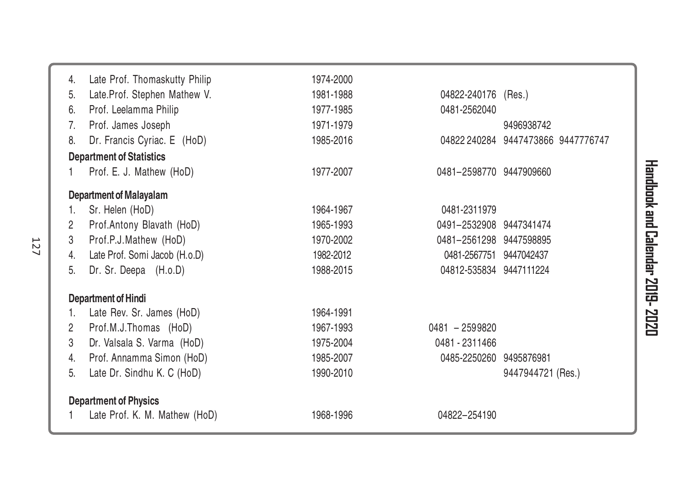| 4. | Late Prof. Thomaskutty Philip   | 1974-2000 |                         |                                    |
|----|---------------------------------|-----------|-------------------------|------------------------------------|
| 5. | Late.Prof. Stephen Mathew V.    | 1981-1988 | 04822-240176 (Res.)     |                                    |
| 6. | Prof. Leelamma Philip           | 1977-1985 | 0481-2562040            |                                    |
| 7. | Prof. James Joseph              | 1971-1979 |                         | 9496938742                         |
| 8. | Dr. Francis Cyriac. E (HoD)     | 1985-2016 |                         | 04822 240284 9447473866 9447776747 |
|    | <b>Department of Statistics</b> |           |                         |                                    |
|    | Prof. E. J. Mathew (HoD)        | 1977-2007 | 0481-2598770 9447909660 |                                    |
|    | <b>Department of Malayalam</b>  |           |                         |                                    |
| 1. | Sr. Helen (HoD)                 | 1964-1967 | 0481-2311979            |                                    |
| 2  | Prof.Antony Blavath (HoD)       | 1965-1993 | 0491-2532908 9447341474 |                                    |
| 3  | Prof.P.J.Mathew (HoD)           | 1970-2002 | 0481-2561298 9447598895 |                                    |
| 4. | Late Prof. Somi Jacob (H.o.D)   | 1982-2012 | 0481-2567751 9447042437 |                                    |
| 5. | Dr. Sr. Deepa (H.o.D)           | 1988-2015 | 04812-535834 9447111224 |                                    |
|    | <b>Department of Hindi</b>      |           |                         |                                    |
| 1. | Late Rev. Sr. James (HoD)       | 1964-1991 |                         |                                    |
| 2  | Prof.M.J.Thomas (HoD)           | 1967-1993 | $0481 - 2599820$        |                                    |
| 3  | Dr. Valsala S. Varma (HoD)      | 1975-2004 | 0481 - 2311466          |                                    |
| 4. | Prof. Annamma Simon (HoD)       | 1985-2007 | 0485-2250260 9495876981 |                                    |
| 5. | Late Dr. Sindhu K. C (HoD)      | 1990-2010 |                         | 9447944721 (Res.)                  |
|    | <b>Department of Physics</b>    |           |                         |                                    |
|    | Late Prof. K. M. Mathew (HoD)   | 1968-1996 | 04822-254190            |                                    |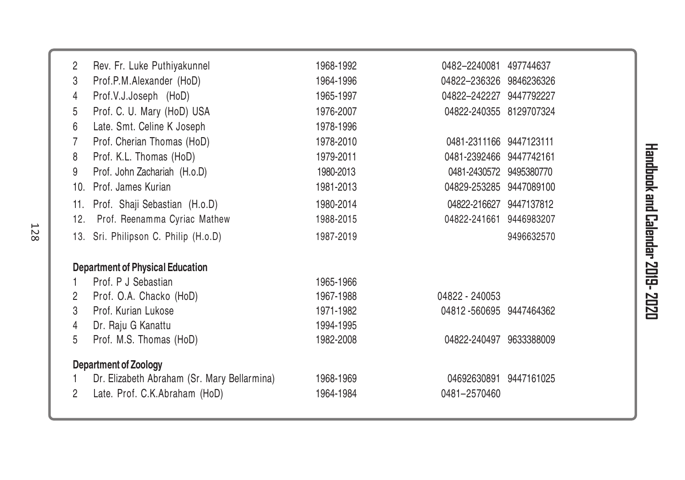| 2   | Rev. Fr. Luke Puthiyakunnel                 | 1968-1992 | 0482-2240081            | 497744637  |
|-----|---------------------------------------------|-----------|-------------------------|------------|
| 3   | Prof.P.M.Alexander (HoD)                    | 1964-1996 | 04822-236326 9846236326 |            |
| 4   | Prof.V.J.Joseph (HoD)                       | 1965-1997 | 04822-242227            | 9447792227 |
| 5   | Prof. C. U. Mary (HoD) USA                  | 1976-2007 | 04822-240355            | 8129707324 |
| 6   | Late. Smt. Celine K Joseph                  | 1978-1996 |                         |            |
| 7   | Prof. Cherian Thomas (HoD)                  | 1978-2010 | 0481-2311166 9447123111 |            |
| 8   | Prof. K.L. Thomas (HoD)                     | 1979-2011 | 0481-2392466 9447742161 |            |
| 9   | Prof. John Zachariah (H.o.D)                | 1980-2013 | 0481-2430572 9495380770 |            |
| 10. | Prof. James Kurian                          | 1981-2013 | 04829-253285            | 9447089100 |
| 11. | Prof. Shaji Sebastian (H.o.D)               | 1980-2014 | 04822-216627 9447137812 |            |
| 12. | Prof. Reenamma Cyriac Mathew                | 1988-2015 | 04822-241661            | 9446983207 |
| 13. | Sri. Philipson C. Philip (H.o.D)            | 1987-2019 |                         | 9496632570 |
|     | <b>Department of Physical Education</b>     |           |                         |            |
|     | Prof. P J Sebastian                         | 1965-1966 |                         |            |
| 2   | Prof. O.A. Chacko (HoD)                     | 1967-1988 | 04822 - 240053          |            |
| 3   | Prof. Kurian Lukose                         | 1971-1982 | 04812-560695 9447464362 |            |
| 4   | Dr. Raju G Kanattu                          | 1994-1995 |                         |            |
| 5   | Prof. M.S. Thomas (HoD)                     | 1982-2008 | 04822-240497            | 9633388009 |
|     | <b>Department of Zoology</b>                |           |                         |            |
| 1   | Dr. Elizabeth Abraham (Sr. Mary Bellarmina) | 1968-1969 | 04692630891             | 9447161025 |
| 2   | Late. Prof. C.K.Abraham (HoD)               | 1964-1984 | 0481-2570460            |            |
|     |                                             |           |                         |            |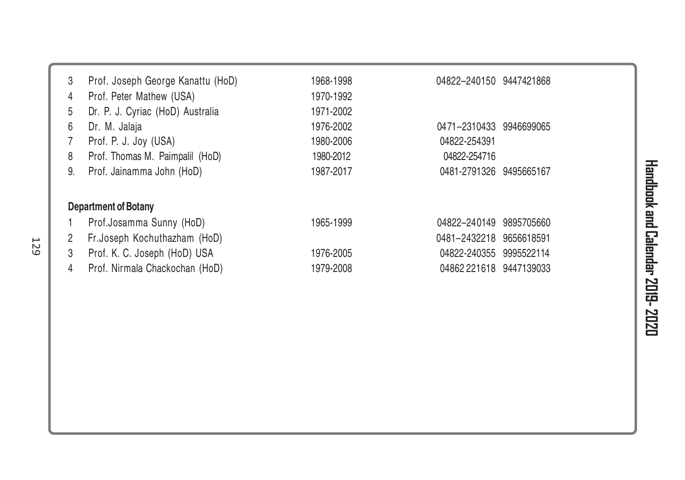| 3  | Prof. Joseph George Kanattu (HoD) | 1968-1998 | 04822-240150 9447421868 |            |
|----|-----------------------------------|-----------|-------------------------|------------|
| 4  | Prof. Peter Mathew (USA)          | 1970-1992 |                         |            |
| 5  | Dr. P. J. Cyriac (HoD) Australia  | 1971-2002 |                         |            |
| 6  | Dr. M. Jalaja                     | 1976-2002 | 0471-2310433 9946699065 |            |
|    | Prof. P. J. Joy (USA)             | 1980-2006 | 04822-254391            |            |
| 8  | Prof. Thomas M. Paimpalil (HoD)   | 1980-2012 | 04822-254716            |            |
| 9. | Prof. Jainamma John (HoD)         | 1987-2017 | 0481-2791326 9495665167 |            |
|    |                                   |           |                         |            |
|    | <b>Department of Botany</b>       |           |                         |            |
|    | Prof.Josamma Sunny (HoD)          | 1965-1999 | 04822-240149 9895705660 |            |
| 2  | Fr.Joseph Kochuthazham (HoD)      |           | 0481-2432218            | 9656618591 |
| 3  | Prof. K. C. Joseph (HoD) USA      | 1976-2005 | 04822-240355 9995522114 |            |
| 4  | Prof. Nirmala Chackochan (HoD)    | 1979-2008 | 04862 221618 9447139033 |            |
|    |                                   |           |                         |            |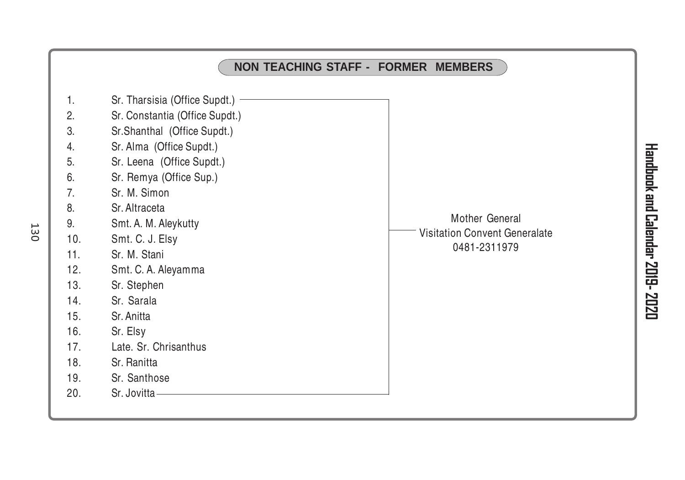|                                                                                                                                                                                                                                                                                                                                                                                                                                                                                                                                                                        | <b>NON TEACHING STAFF - FORMER MEMBERS</b>                      |
|------------------------------------------------------------------------------------------------------------------------------------------------------------------------------------------------------------------------------------------------------------------------------------------------------------------------------------------------------------------------------------------------------------------------------------------------------------------------------------------------------------------------------------------------------------------------|-----------------------------------------------------------------|
| 1.<br>Sr. Tharsisia (Office Supdt.)<br>2.<br>Sr. Constantia (Office Supdt.)<br>3.<br>Sr.Shanthal (Office Supdt.)<br>4.<br>Sr. Alma (Office Supdt.)<br>5.<br>Sr. Leena (Office Supdt.)<br>Sr. Remya (Office Sup.)<br>6.<br>Sr. M. Simon<br>7.<br>8.<br>Sr. Altraceta<br>9.<br>Smt. A. M. Aleykutty<br>Smt. C. J. Elsy<br>10.<br>Sr. M. Stani<br>11.<br>12.<br>Smt. C. A. Aleyamma<br>13.<br>Sr. Stephen<br>Sr. Sarala<br>14.<br>15.<br>Sr. Anitta<br>16.<br>Sr. Elsy<br>17.<br>Late. Sr. Chrisanthus<br>18.<br>Sr. Ranitta<br>Sr. Santhose<br>19.<br>Sr. Jovitta<br>20. | Mother General<br>Visitation Convent Generalate<br>0481-2311979 |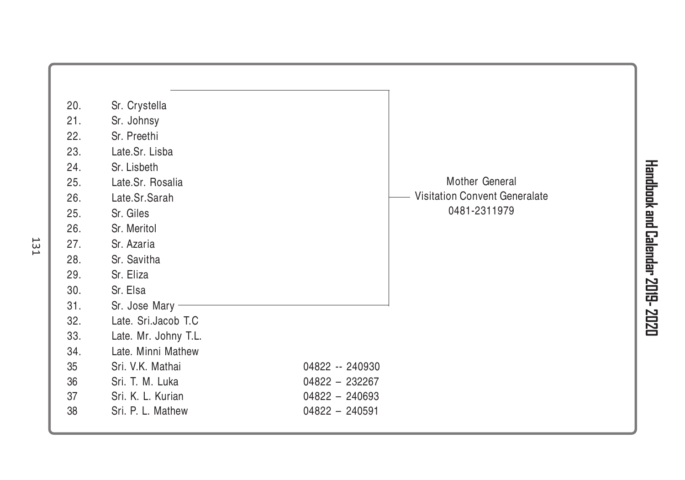| 20. | Sr. Crystella        |                  |                                      |  |
|-----|----------------------|------------------|--------------------------------------|--|
| 21. | Sr. Johnsy           |                  |                                      |  |
| 22. | Sr. Preethi          |                  |                                      |  |
| 23. | Late.Sr. Lisba       |                  |                                      |  |
| 24. | Sr. Lisbeth          |                  |                                      |  |
| 25. | Late.Sr. Rosalia     |                  | Mother General                       |  |
| 26. | Late.Sr.Sarah        |                  | <b>Visitation Convent Generalate</b> |  |
| 25. | Sr. Giles            |                  | 0481-2311979                         |  |
| 26. | Sr. Meritol          |                  |                                      |  |
| 27. | Sr. Azaria           |                  |                                      |  |
| 28. | Sr. Savitha          |                  |                                      |  |
| 29. | Sr. Eliza            |                  |                                      |  |
| 30. | Sr. Elsa             |                  |                                      |  |
| 31. | Sr. Jose Mary -      |                  |                                      |  |
| 32. | Late. Sri.Jacob T.C  |                  |                                      |  |
| 33. | Late. Mr. Johny T.L. |                  |                                      |  |
| 34. | Late. Minni Mathew   |                  |                                      |  |
| 35  | Sri. V.K. Mathai     | 04822 -- 240930  |                                      |  |
| 36  | Sri. T. M. Luka      | $04822 - 232267$ |                                      |  |
| 37  | Sri. K. L. Kurian    | 04822 - 240693   |                                      |  |
| 38  | Sri. P. L. Mathew    | $04822 - 240591$ |                                      |  |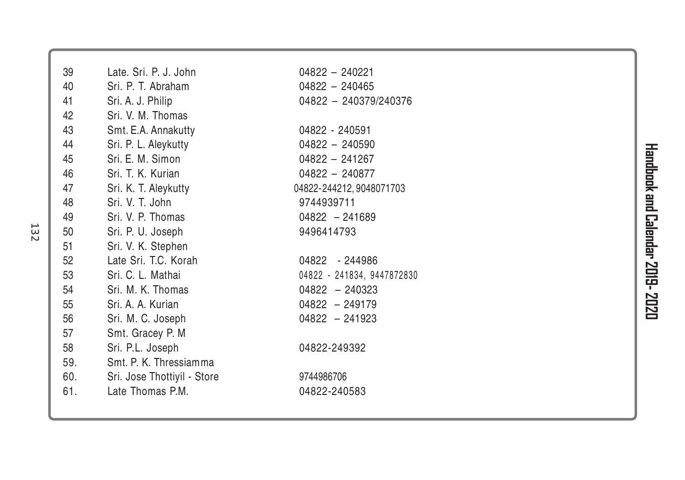| 39  | Late, Sri, P. J. John       | $04822 - 240221$           |
|-----|-----------------------------|----------------------------|
| 40  | Sri. P. T. Abraham          | $04822 - 240465$           |
| 41  | Sri. A. J. Philip           | 04822 - 240379/240376      |
| 42  | Sri. V. M. Thomas           |                            |
| 43  | Smt. E.A. Annakutty         | 04822 - 240591             |
| 44  | Sri. P. L. Aleykutty        | $04822 - 240590$           |
| 45  | Sri. E. M. Simon            | $04822 - 241267$           |
| 46  | Sri. T. K. Kurian           | $04822 - 240877$           |
| 47  | Sri. K. T. Aleykutty        | 04822-244212, 9048071703   |
| 48  | Sri. V. T. John             | 9744939711                 |
| 49  | Sri. V. P. Thomas           | $04822 - 241689$           |
| 50  | Sri. P. U. Joseph           | 9496414793                 |
| 51  | Sri. V. K. Stephen          |                            |
| 52  | Late Sri. T.C. Korah        | 04822 - 244986             |
| 53  | Sri. C. L. Mathai           | 04822 - 241834, 9447872830 |
| 54  | Sri. M. K. Thomas           | $04822 - 240323$           |
| 55  | Sri. A. A. Kurian           | $04822 - 249179$           |
| 56  | Sri. M. C. Joseph           | $04822 - 241923$           |
| 57  | Smt. Gracey P. M            |                            |
| 58  | Sri. P.L. Joseph            | 04822-249392               |
| 59. | Smt. P. K. Thressiamma      |                            |
| 60. | Sri. Jose Thottiyil - Store | 9744986706                 |
| 61. | Late Thomas P.M.            | 04822-240583               |
|     |                             |                            |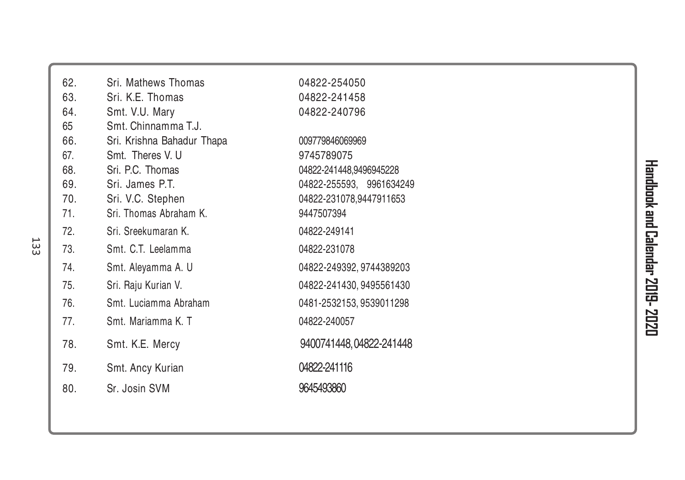| 62. | Sri. Mathews Thomas        | 04822-254050             |
|-----|----------------------------|--------------------------|
| 63. | Sri. K.E. Thomas           | 04822-241458             |
| 64. | Smt. V.U. Mary             | 04822-240796             |
| 65  | Smt. Chinnamma T.J.        |                          |
| 66. | Sri. Krishna Bahadur Thapa | 009779846069969          |
| 67. | Smt. Theres V. U           | 9745789075               |
| 68. | Sri, P.C. Thomas           | 04822-241448,9496945228  |
| 69. | Sri. James P.T.            | 04822-255593, 9961634249 |
| 70. | Sri. V.C. Stephen          | 04822-231078,9447911653  |
| 71. | Sri. Thomas Abraham K.     | 9447507394               |
| 72. | Sri. Sreekumaran K.        | 04822-249141             |
| 73. | Smt. C.T. Leelamma         | 04822-231078             |
| 74. | Smt. Aleyamma A. U         | 04822-249392, 9744389203 |
| 75. | Sri. Raju Kurian V.        | 04822-241430, 9495561430 |
| 76. | Smt. Luciamma Abraham      | 0481-2532153, 9539011298 |
| 77. | Smt. Mariamma K. T.        | 04822-240057             |
| 78. | Smt. K.E. Mercy            | 9400741448, 04822-241448 |
| 79. | Smt. Ancy Kurian           | 04822-241116             |
| 80. | Sr. Josin SVM              | 9645493860               |
|     |                            |                          |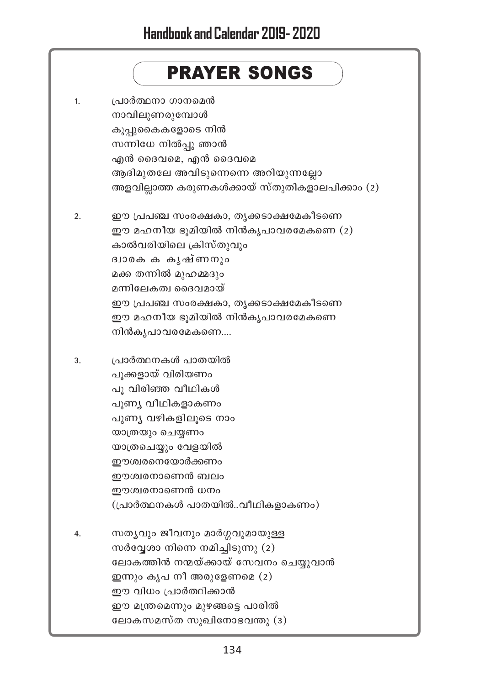# **PRAYER SONGS**

| 1. | പ്രാർത്ഥനാ ഗാനമെൻ<br>നാവിലുണരുമ്പോൾ<br>കൂപ്പുകൈകളോടെ നിൻ<br>സന്നിധേ നിൽപ്പു ഞാൻ<br>എൻ ദൈവമെ, എൻ ദൈവമെ<br>ആദിമുതലേ അവിടുന്നെന്നെ അറിയുന്നല്ലോ<br>അളവില്ലാത്ത കരുണകൾക്കായ് സ്തുതികളാലപിക്കാം (2)                                                                          |
|----|-------------------------------------------------------------------------------------------------------------------------------------------------------------------------------------------------------------------------------------------------------------------------|
| 2. | ഈ പ്രപഞ്ച സംരക്ഷകാ, തൃക്കടാക്ഷമേകീടണെ<br>ഈ മഹനീയ ഭൂമിയിൽ നിൻകൃപാവരമേകണെ (2)<br>കാൽവരിയിലെ ക്രിസ്തുവും<br>ദ്വാരക ക കൃഷ്ണനും<br>മക്ക തന്നിൽ മുഹമ്മദും<br>മന്നിലേകത്വ ദൈവമായ്<br>ഈ പ്രപഞ്ച സംരക്ഷകാ, തൃക്കടാക്ഷമേകീടണെ<br>ഈ മഹനീയ ഭൂമിയിൽ നിൻകൃപാവരമേകണെ<br>നിൻകൃപാവരമേകണെ |
| 3. | പ്രാർത്ഥനകൾ പാതയിൽ<br>പൂക്കളായ് വിരിയണം<br>പൂ വിരിഞ്ഞ വീഥികൾ<br>പൂണ്യ വീഥികളാകണം<br>പുണ്യ വഴികളിലൂടെ നാം<br>യാത്രയും ചെയ്യണം<br>യാത്രചെയ്യും വേളയിൽ<br>ഈശ്വരനെയോർക്കണം<br>ഈശ്വരനാണെൻ ബലം<br>ഈശ്വരനാണെൻ ധനം<br>(പ്രാർത്ഥനകൾ പാതയിൽവീഥികളാകണം)                            |
| 4. | സത്യവും ജീവനും മാർഗ്ഗവുമായുള്ള<br>സർവ്വേശാ നിന്നെ നമിച്ചിടുന്നു (2)<br>ലോകത്തിൻ നന്മയ്ക്കായ് സേവനം ചെയ്യുവാൻ<br>ഇന്നും കൃപ നീ അരുളേണമെ (2)<br>ഈ വിധം പ്രാർത്ഥിക്കാൻ<br>ഈ മന്ത്രമെന്നും മുഴങ്ങട്ടെ പാരിൽ<br>ലോകസമസ്ത സുഖിനോഭവന്തു (3)                                    |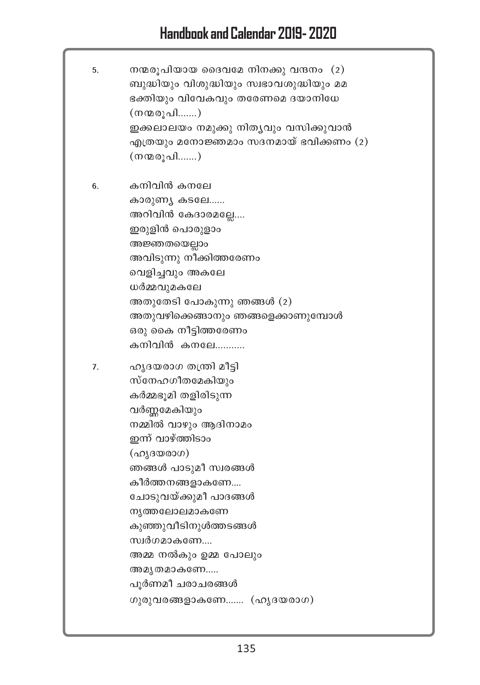| 5. | നന്മരൂപിയായ ദൈവമേ നിനക്കു വന്ദനം (2)<br>ബുദ്ധിയും വിശുദ്ധിയും സ്വഭാവശുദ്ധിയും മമ<br>ഭക്തിയും വിവേകവും തരേണമെ ദയാനിധേ<br>(നന്മരൂപി)<br>ഇക്കലാലയം നമുക്കു നിതൃവും വസിക്കുവാൻ<br>എത്രയും മനോജ്ഞമാം സദനമായ് ഭവിക്കണം (2)<br>(നന്മരൂപി)                                                                                                                             |
|----|----------------------------------------------------------------------------------------------------------------------------------------------------------------------------------------------------------------------------------------------------------------------------------------------------------------------------------------------------------------|
| 6. | കനിവിൻ കനലേ<br>കാരുണ്യ കടലേ<br>അറിവിൻ കേദാരമല്ലേ<br>ഇരുളിൻ പൊരുളാം<br>അജ്ഞതയെല്ലാം<br>അവിടുന്നു നീക്കിത്തരേണം<br>വെളിച്ചവും അകലേ<br>ധർമ്മവുമകലേ<br>അതുതേടി പോകുന്നു ഞങ്ങൾ (2)<br>അതുവഴിക്കെങ്ങാനും ഞങ്ങളെക്കാണുമ്പോൾ<br>ഒരു കൈ നീട്ടിത്തരേണം<br>കനിവിൻ കനലേ                                                                                                    |
| 7. | ഹൃദയരാഗ തന്ത്രി മീട്ടി<br>സ്നേഹഗീതമേകിയും<br>കർമ്മഭൂമി തളിരിടുന്ന<br>വർണ്ണമേകിയും<br>നമ്മിൽ വാഴും ആദിനാമം<br>ഇന്ന് വാഴ്ത്തിടാം<br>(ഹൃദയരാഗ)<br>ഞങ്ങൾ പാടുമീ സ്വരങ്ങൾ<br>കീർത്തനങ്ങളാകണേ<br>ചോടുവയ്ക്കുമീ പാദങ്ങൾ<br>നൃത്തലോലമാകണേ<br>കുഞ്ഞുവീടിനുൾത്തടങ്ങൾ<br>സ്വർഗമാകണേ<br>അമ്മ നൽകും ഉമ്മ പോലും<br>അമൃതമാകണേ<br>പൂർണമീ ചരാചരങ്ങൾ<br>ഗുരുവരങ്ങളാകണേ (ഹൃദയരാഗ) |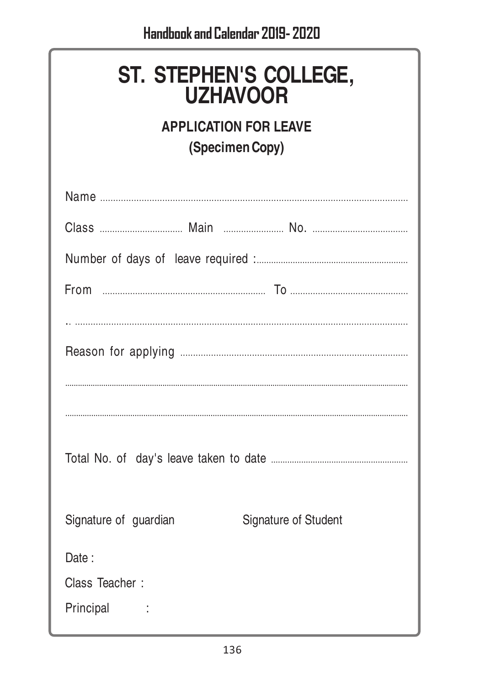| ST. STEPHEN'S COLLEGE,<br><b>UZHAVOOR</b><br><b>APPLICATION FOR LEAVE</b><br>(Specimen Copy) |
|----------------------------------------------------------------------------------------------|
|                                                                                              |
|                                                                                              |
|                                                                                              |
|                                                                                              |
|                                                                                              |
|                                                                                              |
|                                                                                              |
|                                                                                              |
|                                                                                              |
| Signature of guardian<br>Signature of Student                                                |
| Date:                                                                                        |
| Class Teacher:                                                                               |
| Principal                                                                                    |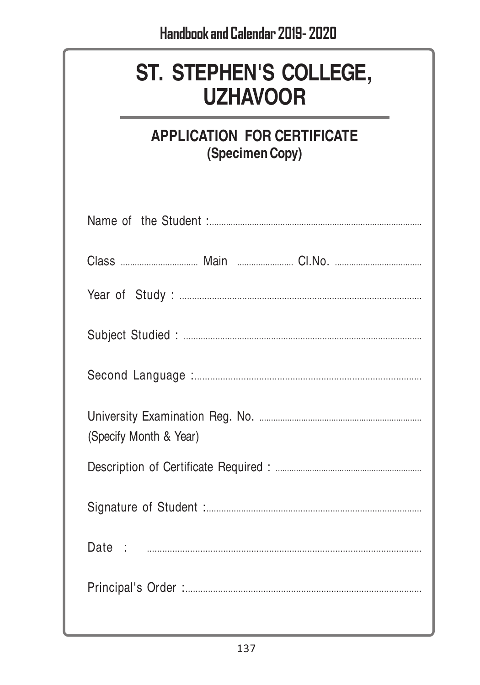# ST. STEPHEN'S COLLEGE, **UZHAVOOR**

#### **APPLICATION FOR CERTIFICATE** (Specimen Copy)

| (Specify Month & Year) |  |  |
|------------------------|--|--|
|                        |  |  |
|                        |  |  |
|                        |  |  |
|                        |  |  |
|                        |  |  |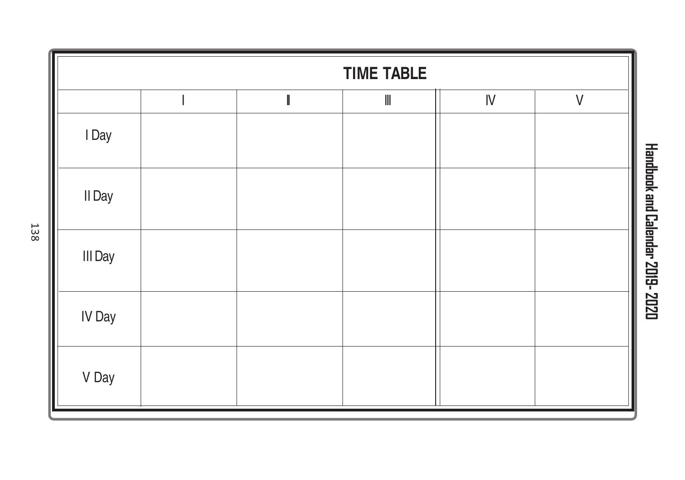

138